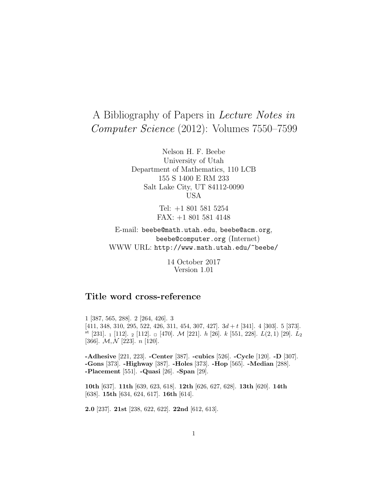# A Bibliography of Papers in Lecture Notes in Computer Science (2012): Volumes 7550–7599

Nelson H. F. Beebe University of Utah Department of Mathematics, 110 LCB 155 S 1400 E RM 233 Salt Lake City, UT 84112-0090 USA

> Tel: +1 801 581 5254 FAX: +1 801 581 4148

E-mail: beebe@math.utah.edu, beebe@acm.org, beebe@computer.org (Internet) WWW URL: http://www.math.utah.edu/~beebe/

> 14 October 2017 Version 1.01

# **Title word cross-reference**

1 [387, 565, 288]. 2 [264, 426]. 3 [411, 348, 310, 295, 522, 426, 311, 454, 307, 427]. 3d + t [341]. 4 [303]. 5 [373]. st [231].  $_1$  [112].  $_2$  [112].  $_0$  [470]. M [221]. h [26]. k [551, 228].  $L(2,1)$  [29].  $L_2$ [366].  $\mathcal{M}, \mathcal{N}$  [223]. *n* [120].

**-Adhesive** [221, 223]. **-Center** [387]. **-cubics** [526]. **-Cycle** [120]. **-D** [307]. **-Gons** [373]. **-Highway** [387]. **-Holes** [373]. **-Hop** [565]. **-Median** [288]. **-Placement** [551]. **-Quasi** [26]. **-Span** [29].

**10th** [637]. **11th** [639, 623, 618]. **12th** [626, 627, 628]. **13th** [620]. **14th** [638]. **15th** [634, 624, 617]. **16th** [614].

**2.0** [237]. **21st** [238, 622, 622]. **22nd** [612, 613].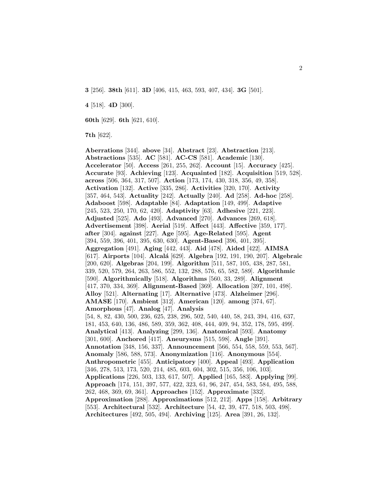**3** [256]. **38th** [611]. **3D** [406, 415, 463, 593, 407, 434]. **3G** [501].

**4** [518]. **4D** [300].

**60th** [629]. **6th** [621, 610].

**7th** [622].

**Aberrations** [344]. **above** [34]. **Abstract** [23]. **Abstraction** [213]. **Abstractions** [535]. **AC** [581]. **AC-CS** [581]. **Academic** [130]. **Accelerator** [50]. **Access** [261, 255, 262]. **Account** [15]. **Accuracy** [425]. **Accurate** [93]. **Achieving** [123]. **Acquainted** [182]. **Acquisition** [519, 528]. **across** [506, 364, 317, 507]. **Action** [173, 174, 430, 318, 356, 49, 358]. **Activation** [132]. **Active** [335, 286]. **Activities** [320, 170]. **Activity** [357, 464, 543]. **Actuality** [242]. **Actually** [240]. **Ad** [258]. **Ad-hoc** [258]. **Adaboost** [598]. **Adaptable** [84]. **Adaptation** [149, 499]. **Adaptive** [245, 523, 250, 170, 62, 420]. **Adaptivity** [63]. **Adhesive** [221, 223]. **Adjusted** [525]. **Ado** [493]. **Advanced** [270]. **Advances** [269, 618]. **Advertisement** [398]. **Aerial** [519]. **Affect** [443]. **Affective** [359, 177]. **after** [304]. **against** [227]. **Age** [595]. **Age-Related** [595]. **Agent** [394, 559, 396, 401, 395, 630, 630]. **Agent-Based** [396, 401, 395]. **Aggregation** [491]. **Aging** [442, 443]. **Aid** [478]. **Aided** [422]. **AIMSA** [617]. **Airports** [104]. **Alcal´a** [629]. **Algebra** [192, 191, 190, 207]. **Algebraic** [200, 620]. **Algebras** [204, 199]. **Algorithm** [511, 587, 105, 438, 287, 581, 339, 520, 579, 264, 263, 586, 552, 132, 288, 576, 65, 582, 589]. **Algorithmic** [590]. **Algorithmically** [518]. **Algorithms** [560, 33, 289]. **Alignment** [417, 370, 334, 369]. **Alignment-Based** [369]. **Allocation** [397, 101, 498]. **Alloy** [521]. **Alternating** [17]. **Alternative** [473]. **Alzheimer** [296]. **AMASE** [170]. **Ambient** [312]. **American** [120]. **among** [374, 67]. **Amorphous** [47]. **Analog** [47]. **Analysis** [54, 8, 82, 430, 500, 236, 625, 238, 296, 502, 540, 440, 58, 243, 394, 416, 637, 181, 453, 640, 136, 486, 589, 359, 362, 408, 444, 409, 94, 352, 178, 595, 499]. **Analytical** [413]. **Analyzing** [299, 136]. **Anatomical** [593]. **Anatomy** [301, 600]. **Anchored** [417]. **Aneurysms** [515, 598]. **Angle** [391]. **Annotation** [348, 156, 337]. **Announcement** [566, 554, 558, 559, 553, 567]. **Anomaly** [586, 588, 573]. **Anonymization** [116]. **Anonymous** [554]. **Anthropometric** [455]. **Anticipatory** [400]. **Appeal** [493]. **Application** [346, 278, 513, 173, 520, 214, 485, 603, 604, 302, 515, 356, 106, 103]. **Applications** [226, 503, 133, 617, 507]. **Applied** [165, 583]. **Applying** [99]. **Approach** [174, 151, 397, 577, 422, 323, 61, 96, 247, 454, 583, 584, 495, 588, 262, 468, 369, 69, 361]. **Approaches** [152]. **Approximate** [332]. **Approximation** [288]. **Approximations** [512, 212]. **Apps** [158]. **Arbitrary** [553]. **Architectural** [532]. **Architecture** [54, 42, 39, 477, 518, 503, 498]. **Architectures** [492, 505, 494]. **Archiving** [125]. **Area** [391, 26, 132].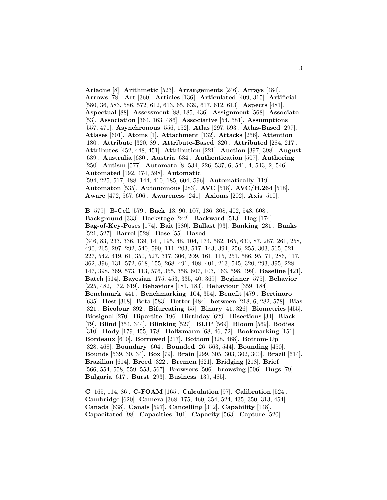**Ariadne** [8]. **Arithmetic** [523]. **Arrangements** [246]. **Arrays** [484]. **Arrows** [78]. **Art** [360]. **Articles** [136]. **Articulated** [409, 315]. **Artificial** [580, 36, 583, 586, 572, 612, 613, 65, 639, 617, 612, 613]. **Aspects** [481]. **Aspectual** [88]. **Assessment** [88, 185, 436]. **Assignment** [568]. **Associate** [53]. **Association** [364, 163, 486]. **Associative** [54, 581]. **Assumptions** [557, 471]. **Asynchronous** [556, 152]. **Atlas** [297, 593]. **Atlas-Based** [297]. **Atlases** [601]. **Atoms** [1]. **Attachment** [132]. **Attacks** [256]. **Attention** [180]. **Attribute** [320, 89]. **Attribute-Based** [320]. **Attributed** [284, 217]. **Attributes** [452, 448, 451]. **Attribution** [221]. **Auction** [397, 398]. **August** [639]. **Australia** [630]. **Austria** [634]. **Authentication** [507]. **Authoring** [250]. **Autism** [577]. **Automata** [8, 534, 226, 537, 6, 541, 4, 543, 2, 546]. **Automated** [192, 474, 598]. **Automatic** [594, 225, 517, 488, 144, 410, 185, 604, 596]. **Automatically** [119]. **Automaton** [535]. **Autonomous** [283]. **AVC** [518]. **AVC/H.264** [518]. **Aware** [472, 567, 606]. **Awareness** [241]. **Axioms** [202]. **Axis** [510]. **B** [579]. **B-Cell** [579]. **Back** [13, 90, 107, 186, 308, 402, 548, 608]. **Background** [333]. **Backstage** [242]. **Backward** [513]. **Bag** [174]. **Bag-of-Key-Poses** [174]. **Bait** [580]. **Ballast** [93]. **Banking** [281]. **Banks** [521, 527]. **Barrel** [528]. **Base** [55]. **Based** [346, 83, 233, 336, 139, 141, 195, 48, 104, 174, 582, 165, 630, 87, 287, 261, 258, 490, 265, 297, 292, 540, 590, 111, 203, 517, 143, 394, 256, 255, 303, 565, 521, 227, 542, 419, 61, 350, 527, 317, 306, 209, 161, 115, 251, 586, 95, 71, 286, 117, 362, 396, 131, 572, 618, 155, 268, 491, 408, 401, 213, 545, 320, 293, 395, 228, 147, 398, 369, 573, 113, 576, 355, 358, 607, 103, 163, 598, 499]. **Baseline** [421]. **Batch** [514]. **Bayesian** [175, 453, 335, 40, 369]. **Beginner** [575]. **Behavior** [225, 482, 172, 619]. **Behaviors** [181, 183]. **Behaviour** [359, 184]. **Benchmark** [441]. **Benchmarking** [104, 354]. **Benefit** [479]. **Bertinoro** [635]. **Best** [368]. **Beta** [583]. **Better** [484]. **between** [218, 6, 282, 578]. **Bias** [321]. **Bicolour** [392]. **Bifurcating** [55]. **Binary** [41, 326]. **Biometrics** [455]. **Biosignal** [270]. **Bipartite** [196]. **Birthday** [629]. **Bisections** [34]. **Black** [79]. **Blind** [354, 344]. **Blinking** [527]. **BLIP** [569]. **Bloom** [569]. **Bodies** [310]. **Body** [179, 455, 178]. **Boltzmann** [68, 46, 72]. **Bookmarking** [151]. **Bordeaux** [610]. **Borrowed** [217]. **Bottom** [328, 468]. **Bottom-Up** [328, 468]. **Boundary** [604]. **Bounded** [26, 563, 544]. **Bounding** [450].

**Bounds** [539, 30, 34]. **Box** [79]. **Brain** [299, 305, 303, 302, 300]. **Brazil** [614]. **Brazilian** [614]. **Breed** [322]. **Bremen** [621]. **Bridging** [218]. **Brief** [566, 554, 558, 559, 553, 567]. **Browsers** [506]. **browsing** [506]. **Bugs** [79]. **Bulgaria** [617]. **Burst** [293]. **Business** [139, 485].

**C** [165, 114, 86]. **C-FOAM** [165]. **Calculation** [97]. **Calibration** [524]. **Cambridge** [620]. **Camera** [368, 175, 460, 354, 524, 435, 350, 313, 454]. **Canada** [638]. **Canals** [597]. **Cancelling** [312]. **Capability** [148]. **Capacitated** [98]. **Capacities** [101]. **Capacity** [563]. **Capture** [520].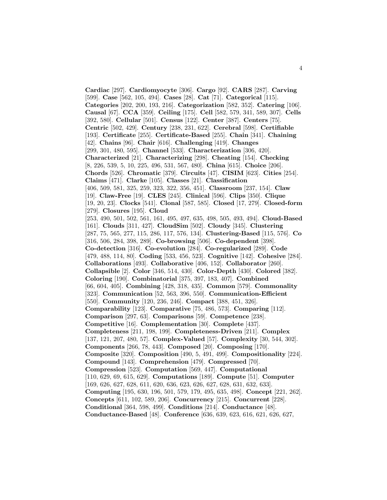**Cardiac** [297]. **Cardiomyocyte** [306]. **Cargo** [92]. **CARS** [287]. **Carving** [599]. **Case** [562, 105, 494]. **Cases** [28]. **Cat** [71]. **Categorical** [115]. **Categories** [202, 200, 193, 216]. **Categorization** [582, 352]. **Catering** [106]. **Causal** [67]. **CCA** [359]. **Ceiling** [175]. **Cell** [582, 579, 341, 589, 307]. **Cells** [392, 580]. **Cellular** [501]. **Census** [122]. **Center** [387]. **Centers** [75]. **Centric** [502, 429]. **Century** [238, 231, 622]. **Cerebral** [598]. **Certifiable** [193]. **Certificate** [255]. **Certificate-Based** [255]. **Chain** [341]. **Chaining** [42]. **Chains** [96]. **Chair** [616]. **Challenging** [419]. **Changes** [299, 301, 480, 595]. **Channel** [533]. **Characterization** [306, 420]. **Characterized** [21]. **Characterizing** [298]. **Cheating** [154]. **Checking** [8, 226, 539, 5, 10, 225, 496, 531, 567, 480]. **China** [615]. **Choice** [206]. **Chords** [526]. **Chromatic** [379]. **Circuits** [47]. **CISIM** [623]. **Cities** [254]. **Claims** [471]. **Clarke** [105]. **Classes** [21]. **Classification** [406, 509, 581, 325, 259, 323, 322, 356, 451]. **Classroom** [237, 154]. **Claw** [19]. **Claw-Free** [19]. **CLES** [245]. **Clinical** [596]. **Clips** [350]. **Clique** [19, 20, 23]. **Clocks** [541]. **Clonal** [587, 585]. **Closed** [17, 279]. **Closed-form** [279]. **Closures** [195]. **Cloud** [253, 490, 501, 502, 561, 161, 495, 497, 635, 498, 505, 493, 494]. **Cloud-Based** [161]. **Clouds** [311, 427]. **CloudSim** [502]. **Cloudy** [345]. **Clustering** [287, 75, 565, 277, 115, 286, 117, 576, 134]. **Clustering-Based** [115, 576]. **Co** [316, 506, 284, 398, 289]. **Co-browsing** [506]. **Co-dependent** [398]. **Co-detection** [316]. **Co-evolution** [284]. **Co-regularized** [289]. **Code** [479, 488, 114, 80]. **Coding** [533, 456, 523]. **Cognitive** [142]. **Cohesive** [284]. **Collaborations** [493]. **Collaborative** [406, 152]. **Collaborator** [260]. **Collapsible** [2]. **Color** [346, 514, 430]. **Color-Depth** [430]. **Colored** [382]. **Coloring** [190]. **Combinatorial** [375, 397, 183, 407]. **Combined** [66, 604, 405]. **Combining** [428, 318, 435]. **Common** [579]. **Commonality** [323]. **Communication** [52, 563, 396, 550]. **Communication-Efficient** [550]. **Community** [120, 236, 246]. **Compact** [388, 451, 326]. **Comparability** [123]. **Comparative** [75, 486, 573]. **Comparing** [112]. **Comparison** [297, 63]. **Comparisons** [59]. **Competence** [238]. **Competitive** [16]. **Complementation** [30]. **Complete** [437]. **Completeness** [211, 198, 199]. **Completeness-Driven** [211]. **Complex** [137, 121, 207, 480, 57]. **Complex-Valued** [57]. **Complexity** [30, 544, 302]. **Components** [266, 78, 443]. **Composed** [20]. **Composing** [170]. **Composite** [320]. **Composition** [490, 5, 491, 499]. **Compositionality** [224]. **Compound** [143]. **Comprehension** [479]. **Compressed** [70]. **Compression** [523]. **Computation** [569, 447]. **Computational** [110, 629, 69, 615, 629]. **Computations** [189]. **Compute** [51]. **Computer** [169, 626, 627, 628, 611, 620, 636, 623, 626, 627, 628, 631, 632, 633]. **Computing** [195, 630, 196, 501, 579, 179, 495, 635, 498]. **Concept** [221, 262]. **Concepts** [611, 102, 589, 206]. **Concurrency** [215]. **Concurrent** [228]. **Conditional** [364, 598, 499]. **Conditions** [214]. **Conductance** [48]. **Conductance-Based** [48]. **Conference** [636, 639, 623, 616, 621, 626, 627,

4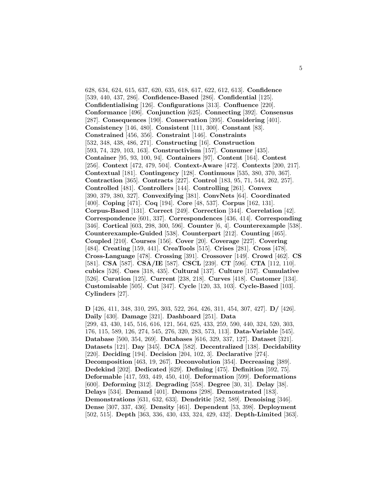628, 634, 624, 615, 637, 620, 635, 618, 617, 622, 612, 613]. **Confidence** [539, 440, 437, 286]. **Confidence-Based** [286]. **Confidential** [125]. **Confidentialising** [126]. **Configurations** [313]. **Confluence** [220]. **Conformance** [496]. **Conjunction** [625]. **Connecting** [392]. **Consensus** [287]. **Consequences** [190]. **Conservation** [395]. **Considering** [401]. **Consistency** [146, 480]. **Consistent** [111, 300]. **Constant** [83]. **Constrained** [456, 356]. **Constraint** [146]. **Constraints** [532, 348, 438, 486, 271]. **Constructing** [16]. **Construction** [593, 74, 329, 103, 163]. **Constructivism** [157]. **Consumer** [435]. **Container** [95, 93, 100, 94]. **Containers** [97]. **Content** [164]. **Contest** [256]. **Context** [472, 479, 504]. **Context-Aware** [472]. **Contexts** [200, 217]. **Contextual** [181]. **Contingency** [128]. **Continuous** [535, 380, 370, 367]. **Contraction** [365]. **Contracts** [227]. **Control** [183, 95, 71, 544, 262, 257]. **Controlled** [481]. **Controllers** [144]. **Controlling** [261]. **Convex** [390, 379, 380, 327]. **Convexifying** [381]. **ConvNets** [64]. **Coordinated** [400]. **Coping** [471]. **Coq** [194]. **Core** [48, 537]. **Corpus** [162, 131]. **Corpus-Based** [131]. **Correct** [249]. **Correction** [344]. **Correlation** [42]. **Correspondence** [601, 337]. **Correspondences** [436, 414]. **Corresponding** [346]. **Cortical** [603, 298, 300, 596]. **Counter** [6, 4]. **Counterexample** [538]. **Counterexample-Guided** [538]. **Counterpart** [212]. **Counting** [465]. **Coupled** [210]. **Courses** [156]. **Cover** [20]. **Coverage** [227]. **Covering** [484]. **Creating** [159, 441]. **CreaTools** [515]. **Crises** [281]. **Cross** [478]. **Cross-Language** [478]. **Crossing** [391]. **Crossover** [149]. **Crowd** [462]. **CS** [581]. **CSA** [587]. **CSA/IE** [587]. **CSCL** [239]. **CT** [596]. **CTA** [112, 110]. **cubics** [526]. **Cues** [318, 435]. **Cultural** [137]. **Culture** [157]. **Cumulative** [526]. **Curation** [125]. **Current** [238, 218]. **Curves** [418]. **Customer** [134]. **Customisable** [505]. **Cut** [347]. **Cycle** [120, 33, 103]. **Cycle-Based** [103]. **Cylinders** [27].

**D** [426, 411, 348, 310, 295, 303, 522, 264, 426, 311, 454, 307, 427]. **D/** [426]. **Daily** [430]. **Damage** [321]. **Dashboard** [251]. **Data** [299, 43, 430, 145, 516, 616, 121, 564, 625, 433, 259, 590, 440, 324, 520, 303, 176, 115, 589, 126, 274, 545, 276, 320, 283, 573, 113]. **Data-Variable** [545]. **Database** [500, 354, 269]. **Databases** [616, 329, 337, 127]. **Dataset** [321]. **Datasets** [121]. **Day** [345]. **DCA** [582]. **Decentralized** [138]. **Decidability** [220]. **Deciding** [194]. **Decision** [204, 102, 3]. **Declarative** [274]. **Decomposition** [463, 19, 267]. **Deconvolution** [354]. **Decreasing** [389]. **Dedekind** [202]. **Dedicated** [629]. **Defining** [475]. **Definition** [592, 75]. **Deformable** [417, 593, 449, 450, 410]. **Deformation** [599]. **Deformations** [600]. **Deforming** [312]. **Degrading** [558]. **Degree** [30, 31]. **Delay** [38]. **Delays** [534]. **Demand** [401]. **Demons** [298]. **Demonstrated** [183]. **Demonstrations** [631, 632, 633]. **Dendritic** [582, 589]. **Denoising** [346]. **Dense** [307, 337, 436]. **Density** [461]. **Dependent** [53, 398]. **Deployment** [502, 515]. **Depth** [363, 336, 430, 433, 324, 429, 432]. **Depth-Limited** [363].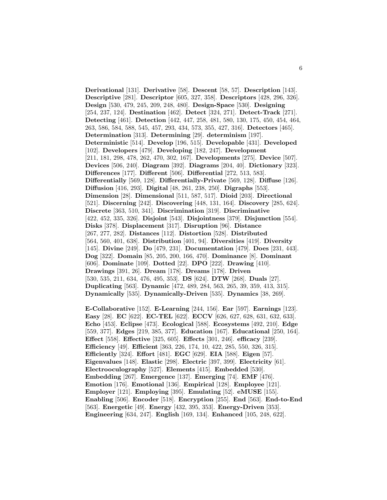**Derivational** [131]. **Derivative** [58]. **Descent** [58, 57]. **Description** [143]. **Descriptive** [281]. **Descriptor** [605, 327, 358]. **Descriptors** [428, 296, 326]. **Design** [530, 479, 245, 209, 248, 480]. **Design-Space** [530]. **Designing** [254, 237, 124]. **Destination** [462]. **Detect** [324, 271]. **Detect-Track** [271]. **Detecting** [461]. **Detection** [442, 447, 258, 481, 580, 130, 175, 450, 454, 464, 263, 586, 584, 588, 545, 457, 293, 434, 573, 355, 427, 316]. **Detectors** [465]. **Determination** [313]. **Determining** [29]. **determinism** [197]. **Deterministic** [514]. **Develop** [196, 515]. **Developable** [431]. **Developed** [102]. **Developers** [479]. **Developing** [182, 247]. **Development** [211, 181, 298, 478, 262, 470, 302, 167]. **Developments** [275]. **Device** [507]. **Devices** [506, 240]. **Diagram** [392]. **Diagrams** [204, 40]. **Dictionary** [323]. **Differences** [177]. **Different** [506]. **Differential** [272, 513, 583]. **Differentially** [569, 128]. **Differentially-Private** [569, 128]. **Diffuse** [126]. **Diffusion** [416, 293]. **Digital** [48, 261, 238, 250]. **Digraphs** [553]. **Dimension** [28]. **Dimensional** [511, 587, 517]. **Dioid** [203]. **Directional** [521]. **Discerning** [242]. **Discovering** [448, 131, 164]. **Discovery** [285, 624]. **Discrete** [363, 510, 341]. **Discrimination** [319]. **Discriminative** [422, 452, 335, 326]. **Disjoint** [543]. **Disjointness** [379]. **Disjunction** [554]. **Disks** [378]. **Displacement** [317]. **Disruption** [96]. **Distance** [267, 277, 282]. **Distances** [112]. **Distortion** [528]. **Distributed** [564, 560, 401, 638]. **Distribution** [401, 94]. **Diversities** [419]. **Diversity** [145]. **Divine** [249]. **Do** [479, 231]. **Documentation** [479]. **Does** [231, 443]. **Dog** [322]. **Domain** [85, 205, 200, 166, 470]. **Dominance** [8]. **Dominant** [606]. **Dominate** [109]. **Dotted** [22]. **DPO** [222]. **Drawing** [410]. **Drawings** [391, 26]. **Dream** [178]. **Dreams** [178]. **Driven** [530, 535, 211, 634, 476, 495, 353]. **DS** [624]. **DTW** [268]. **Duals** [27]. **Duplicating** [563]. **Dynamic** [472, 489, 284, 563, 265, 39, 359, 413, 315]. **Dynamically** [535]. **Dynamically-Driven** [535]. **Dynamics** [38, 269].

**E-Collaborative** [152]. **E-Learning** [244, 156]. **Ear** [597]. **Earnings** [123]. **Easy** [28]. **EC** [622]. **EC-TEL** [622]. **ECCV** [626, 627, 628, 631, 632, 633]. **Echo** [453]. **Eclipse** [473]. **Ecological** [588]. **Ecosystems** [492, 210]. **Edge** [559, 377]. **Edges** [219, 385, 377]. **Education** [167]. **Educational** [250, 164]. **Effect** [558]. **Effective** [325, 605]. **Effects** [301, 246]. **efficacy** [239]. **Efficiency** [49]. **Efficient** [363, 226, 174, 10, 422, 285, 550, 326, 315]. **Efficiently** [324]. **Effort** [481]. **EGC** [629]. **EIA** [588]. **Eigen** [57]. **Eigenvalues** [148]. **Elastic** [298]. **Electric** [397, 399]. **Electricity** [61]. **Electrooculography** [527]. **Elements** [415]. **Embedded** [530]. **Embedding** [267]. **Emergence** [137]. **Emerging** [74]. **EMF** [476]. **Emotion** [176]. **Emotional** [136]. **Empirical** [128]. **Employee** [121]. **Employer** [121]. **Employing** [395]. **Emulating** [52]. **eMUSE** [155]. **Enabling** [506]. **Encoder** [518]. **Encryption** [255]. **End** [563]. **End-to-End** [563]. **Energetic** [49]. **Energy** [432, 395, 353]. **Energy-Driven** [353]. **Engineering** [634, 247]. **English** [169, 134]. **Enhanced** [105, 248, 622].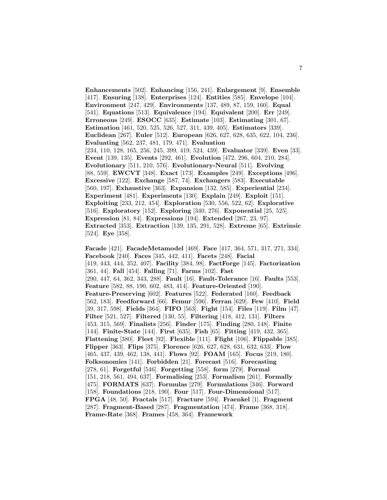**Enhancements** [502]. **Enhancing** [156, 241]. **Enlargement** [9]. **Ensemble** [417]. **Ensuring** [138]. **Enterprises** [124]. **Entities** [585]. **Envelope** [104]. **Environment** [247, 429]. **Environments** [137, 489, 87, 159, 160]. **Equal** [541]. **Equations** [513]. **Equivalence** [194]. **Equivalent** [200]. **Err** [249]. **Erroneous** [249]. **ESOCC** [635]. **Estimate** [103]. **Estimating** [301, 67]. **Estimation** [461, 520, 525, 526, 527, 311, 439, 405]. **Estimators** [339]. **Euclidean** [267]. **Euler** [512]. **European** [626, 627, 628, 635, 622, 104, 236]. **Evaluating** [562, 237, 481, 179, 471]. **Evaluation** [234, 110, 128, 165, 256, 245, 399, 419, 524, 439]. **Evaluator** [339]. **Even** [33]. **Event** [139, 135]. **Events** [292, 461]. **Evolution** [472, 296, 604, 210, 284]. **Evolutionary** [511, 210, 576]. **Evolutionary-Neural** [511]. **Evolving** [88, 559]. **EWCVT** [348]. **Exact** [173]. **Examples** [249]. **Exceptions** [496]. **Excessive** [122]. **Exchange** [587, 74]. **Exchangers** [583]. **Executable** [560, 197]. **Exhaustive** [363]. **Expansion** [132, 585]. **Experiential** [234]. **Experiment** [481]. **Experiments** [130]. **Explain** [249]. **Exploit** [151]. **Exploiting** [233, 212, 454]. **Exploration** [530, 556, 522, 62]. **Explorative** [516]. **Exploratory** [152]. **Exploring** [340, 276]. **Exponential** [25, 525]. **Expression** [81, 84]. **Expressions** [194]. **Extended** [267, 23, 97]. **Extracted** [353]. **Extraction** [139, 135, 291, 528]. **Extreme** [65]. **Extrinsic** [524]. **Eye** [358].

**Facade** [421]. **FacadeMetamodel** [469]. **Face** [417, 364, 571, 317, 271, 334]. **Facebook** [240]. **Faces** [345, 442, 411]. **Facets** [248]. **Facial** [419, 443, 444, 352, 407]. **Facility** [384, 98]. **FactForge** [145]. **Factorization** [361, 44]. **Fall** [454]. **Falling** [71]. **Farms** [102]. **Fast** [290, 447, 64, 362, 343, 288]. **Fault** [16]. **Fault-Tolerance** [16]. **Faults** [553]. **Feature** [582, 88, 190, 602, 483, 414]. **Feature-Oriented** [190]. **Feature-Preserving** [602]. **Features** [522]. **Federated** [160]. **Feedback** [562, 183]. **Feedforward** [66]. **Femur** [596]. **Ferran** [629]. **Few** [410]. **Field** [39, 317, 598]. **Fields** [364]. **FIFO** [563]. **Fight** [154]. **Files** [119]. **Film** [47]. **Filter** [521, 527]. **Filtered** [130, 55]. **Filtering** [418, 412, 131]. **Filters** [453, 315, 569]. **Finalists** [256]. **Finder** [175]. **Finding** [280, 148]. **Finite** [144]. **Finite-State** [144]. **First** [635]. **Fish** [65]. **Fitting** [419, 432, 365]. **Flattening** [380]. **Fleet** [92]. **Flexible** [111]. **Flight** [106]. **Flippable** [385]. **Flipper** [363]. **Flips** [375]. **Florence** [626, 627, 628, 631, 632, 633]. **Flow** [465, 437, 439, 462, 138, 441]. **Flows** [92]. **FOAM** [165]. **Focus** [219, 180]. **Folksonomies** [141]. **Forbidden** [21]. **Forecast** [516]. **Forecasting** [278, 61]. **Forgetful** [546]. **Forgetting** [558]. **form** [279]. **Formal** [151, 218, 561, 494, 637]. **Formalising** [253]. **Formalism** [261]. **Formally** [475]. **FORMATS** [637]. **Formulas** [279]. **Formulations** [346]. **Forward** [158]. **Foundations** [218, 190]. **Four** [517]. **Four-Dimensional** [517]. **FPGA** [48, 50]. **Fractals** [517]. **Fracture** [594]. **Fraenkel** [1]. **Fragment** [287]. **Fragment-Based** [287]. **Fragmentation** [474]. **Frame** [368, 318]. **Frame-Rate** [368]. **Frames** [458, 364]. **Framework**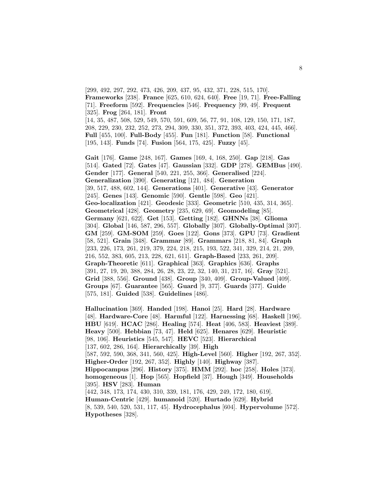[299, 492, 297, 292, 473, 426, 209, 437, 95, 432, 371, 228, 515, 170]. **Frameworks** [238]. **France** [625, 610, 624, 640]. **Free** [19, 71]. **Free-Falling** [71]. **Freeform** [592]. **Frequencies** [546]. **Frequency** [99, 49]. **Frequent** [325]. **Frog** [264, 181]. **Front** [14, 35, 487, 508, 529, 549, 570, 591, 609, 56, 77, 91, 108, 129, 150, 171, 187, 208, 229, 230, 232, 252, 273, 294, 309, 330, 351, 372, 393, 403, 424, 445, 466]. **Full** [455, 100]. **Full-Body** [455]. **Fun** [181]. **Function** [58]. **Functional** [195, 143]. **Funds** [74]. **Fusion** [564, 175, 425]. **Fuzzy** [45].

**Gait** [176]. **Game** [248, 167]. **Games** [169, 4, 168, 250]. **Gap** [218]. **Gas** [514]. **Gated** [72]. **Gates** [47]. **Gaussian** [332]. **GDP** [278]. **GEMBus** [490]. **Gender** [177]. **General** [540, 221, 255, 366]. **Generalised** [224]. **Generalization** [390]. **Generating** [121, 484]. **Generation** [39, 517, 488, 602, 144]. **Generations** [401]. **Generative** [43]. **Generator** [245]. **Genes** [143]. **Genomic** [590]. **Gentle** [598]. **Geo** [421]. **Geo-localization** [421]. **Geodesic** [333]. **Geometric** [510, 435, 314, 365]. **Geometrical** [428]. **Geometry** [235, 629, 69]. **Geomodeling** [85]. **Germany** [621, 622]. **Get** [153]. **Getting** [182]. **GHNNs** [38]. **Glioma** [304]. **Global** [146, 587, 296, 557]. **Globally** [307]. **Globally-Optimal** [307]. **GM** [259]. **GM-SOM** [259]. **Goes** [122]. **Gons** [373]. **GPU** [73]. **Gradient** [58, 521]. **Grain** [348]. **Grammar** [89]. **Grammars** [218, 81, 84]. **Graph** [233, 226, 173, 261, 219, 379, 224, 218, 215, 193, 522, 341, 329, 214, 21, 209, 216, 552, 383, 605, 213, 228, 621, 611]. **Graph-Based** [233, 261, 209]. **Graph-Theoretic** [611]. **Graphical** [363]. **Graphics** [636]. **Graphs** [391, 27, 19, 20, 388, 284, 26, 28, 23, 22, 32, 140, 31, 217, 16]. **Gray** [521]. **Grid** [388, 556]. **Ground** [438]. **Group** [340, 409]. **Group-Valued** [409]. **Groups** [67]. **Guarantee** [565]. **Guard** [9, 377]. **Guards** [377]. **Guide** [575, 181]. **Guided** [538]. **Guidelines** [486].

**Hallucination** [369]. **Handed** [198]. **Hanoi** [25]. **Hard** [28]. **Hardware** [48]. **Hardware-Core** [48]. **Harmful** [122]. **Harnessing** [68]. **Haskell** [196]. **HBU** [619]. **HCAC** [286]. **Healing** [574]. **Heat** [406, 583]. **Heaviest** [389]. **Heavy** [500]. **Hebbian** [73, 47]. **Held** [625]. **Henares** [629]. **Heuristic** [98, 106]. **Heuristics** [545, 547]. **HEVC** [523]. **Hierarchical** [137, 602, 286, 164]. **Hierarchically** [39]. **High** [587, 592, 590, 368, 341, 560, 425]. **High-Level** [560]. **Higher** [192, 267, 352]. **Higher-Order** [192, 267, 352]. **Highly** [140]. **Highway** [387]. **Hippocampus** [296]. **History** [375]. **HMM** [292]. **hoc** [258]. **Holes** [373]. **homogeneous** [1]. **Hop** [565]. **Hopfield** [37]. **Hough** [349]. **Households** [395]. **HSV** [283]. **Human** [442, 348, 173, 174, 430, 310, 339, 181, 176, 429, 249, 172, 180, 619]. **Human-Centric** [429]. **humanoid** [520]. **Hurtado** [629]. **Hybrid** [8, 539, 540, 520, 531, 117, 45]. **Hydrocephalus** [604]. **Hypervolume** [572]. **Hypotheses** [328].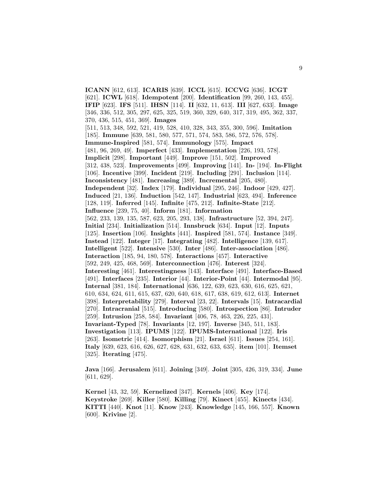**ICANN** [612, 613]. **ICARIS** [639]. **ICCL** [615]. **ICCVG** [636]. **ICGT** [621]. **ICWL** [618]. **Idempotent** [200]. **Identification** [99, 260, 143, 455]. **IFIP** [623]. **IFS** [511]. **IHSN** [114]. **II** [632, 11, 613]. **III** [627, 633]. **Image** [346, 336, 512, 305, 297, 625, 325, 519, 360, 329, 640, 317, 319, 495, 362, 337, 370, 436, 515, 451, 369]. **Images** [511, 513, 348, 592, 521, 419, 528, 410, 328, 343, 355, 300, 596]. **Imitation** [185]. **Immune** [639, 581, 580, 577, 571, 574, 583, 586, 572, 576, 578]. **Immune-Inspired** [581, 574]. **Immunology** [575]. **Impact** [481, 96, 269, 49]. **Imperfect** [433]. **Implementation** [226, 193, 578]. **Implicit** [298]. **Important** [449]. **Improve** [151, 502]. **Improved** [312, 438, 523]. **Improvements** [499]. **Improving** [141]. **In-** [194]. **In-Flight** [106]. **Incentive** [399]. **Incident** [219]. **Including** [291]. **Inclusion** [114]. **Inconsistency** [481]. **Increasing** [389]. **Incremental** [205, 480]. **Independent** [32]. **Index** [179]. **Individual** [295, 246]. **Indoor** [429, 427]. **Induced** [21, 136]. **Induction** [542, 147]. **Industrial** [623, 494]. **Inference** [128, 119]. **Inferred** [145]. **Infinite** [475, 212]. **Infinite-State** [212]. **Influence** [239, 75, 40]. **Inform** [181]. **Information** [562, 233, 139, 135, 587, 623, 205, 293, 138]. **Infrastructure** [52, 394, 247]. **Initial** [234]. **Initialization** [514]. **Innsbruck** [634]. **Input** [12]. **Inputs** [125]. **Insertion** [106]. **Insights** [441]. **Inspired** [581, 574]. **Instance** [349]. **Instead** [122]. **Integer** [17]. **Integrating** [482]. **Intelligence** [139, 617]. **Intelligent** [522]. **Intensive** [530]. **Inter** [486]. **Inter-association** [486]. **Interaction** [185, 94, 180, 578]. **Interactions** [457]. **Interactive** [592, 249, 425, 468, 569]. **Interconnection** [476]. **Interest** [324]. **Interesting** [461]. **Interestingness** [143]. **Interface** [491]. **Interface-Based** [491]. **Interfaces** [235]. **Interior** [44]. **Interior-Point** [44]. **Intermodal** [95]. **Internal** [381, 184]. **International** [636, 122, 639, 623, 630, 616, 625, 621, 610, 634, 624, 611, 615, 637, 620, 640, 618, 617, 638, 619, 612, 613]. **Internet** [398]. **Interpretability** [279]. **Interval** [23, 22]. **Intervals** [15]. **Intracardial** [270]. **Intracranial** [515]. **Introducing** [580]. **Introspection** [86]. **Intruder** [259]. **Intrusion** [258, 584]. **Invariant** [406, 78, 463, 226, 225, 431]. **Invariant-Typed** [78]. **Invariants** [12, 197]. **Inverse** [345, 511, 183]. **Investigation** [113]. **IPUMS** [122]. **IPUMS-International** [122]. **Iris** [263]. **Isometric** [414]. **Isomorphism** [21]. **Israel** [611]. **Issues** [254, 161]. **Italy** [639, 623, 616, 626, 627, 628, 631, 632, 633, 635]. **item** [101]. **Itemset** [325]. **Iterating** [475].

**Java** [166]. **Jerusalem** [611]. **Joining** [349]. **Joint** [305, 426, 319, 334]. **June** [611, 629].

**Kernel** [43, 32, 59]. **Kernelized** [347]. **Kernels** [406]. **Key** [174]. **Keystroke** [269]. **Killer** [580]. **Killing** [79]. **Kinect** [455]. **Kinects** [434]. **KITTI** [440]. **Knot** [11]. **Know** [243]. **Knowledge** [145, 166, 557]. **Known** [600]. **Krivine** [2].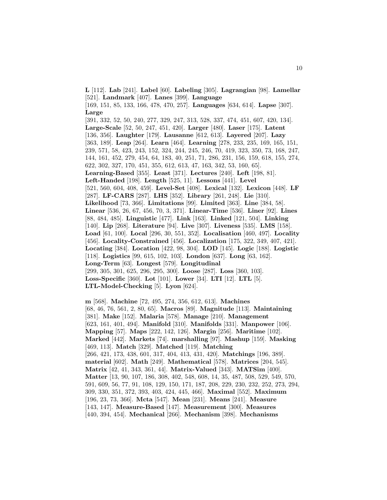**L** [112]. **Lab** [241]. **Label** [60]. **Labeling** [305]. **Lagrangian** [98]. **Lamellar** [521]. **Landmark** [407]. **Lanes** [399]. **Language** [169, 151, 85, 133, 166, 478, 470, 257]. **Languages** [634, 614]. **Lapse** [307].

**Large** [391, 332, 52, 50, 240, 277, 329, 247, 313, 528, 337, 474, 451, 607, 420, 134]. **Large-Scale** [52, 50, 247, 451, 420]. **Larger** [480]. **Laser** [175]. **Latent** [136, 356]. **Laughter** [179]. **Lausanne** [612, 613]. **Layered** [207]. **Lazy** [363, 189]. **Leap** [264]. **Learn** [464]. **Learning** [278, 233, 235, 169, 165, 151, 239, 571, 58, 423, 243, 152, 324, 244, 245, 246, 70, 419, 323, 350, 73, 168, 247, 144, 161, 452, 279, 454, 64, 183, 40, 251, 71, 286, 231, 156, 159, 618, 155, 274, 622, 302, 327, 170, 451, 355, 612, 613, 47, 163, 342, 53, 160, 65]. **Learning-Based** [355]. **Least** [371]. **Lectures** [240]. **Left** [198, 81]. **Left-Handed** [198]. **Length** [525, 11]. **Lessons** [441]. **Level** [521, 560, 604, 408, 459]. **Level-Set** [408]. **Lexical** [132]. **Lexicon** [448]. **LF** [287]. **LF-CARS** [287]. **LHS** [352]. **Library** [261, 248]. **Lie** [310]. **Likelihood** [73, 366]. **Limitations** [99]. **Limited** [363]. **Line** [384, 58]. **Linear** [536, 26, 67, 456, 70, 3, 371]. **Linear-Time** [536]. **Liner** [92]. **Lines** [88, 484, 485]. **Linguistic** [477]. **Link** [163]. **Linked** [121, 504]. **Linking** [140]. **Lip** [268]. **Literature** [94]. **Live** [307]. **Liveness** [535]. **LMS** [158]. **Load** [61, 100]. **Local** [296, 30, 551, 352]. **Localisation** [460, 497]. **Locality** [456]. **Locality-Constrained** [456]. **Localization** [175, 322, 349, 407, 421]. **Locating** [384]. **Location** [422, 98, 304]. **LOD** [145]. **Logic** [188]. **Logistic** [118]. **Logistics** [99, 615, 102, 103]. **London** [637]. **Long** [63, 162]. **Long-Term** [63]. **Longest** [579]. **Longitudinal** [299, 305, 301, 625, 296, 295, 300]. **Loose** [287]. **Loss** [360, 103]. **Loss-Specific** [360]. **Lot** [101]. **Lower** [34]. **LTI** [12]. **LTL** [5]. **LTL-Model-Checking** [5]. **Lyon** [624].

**m** [568]. **Machine** [72, 495, 274, 356, 612, 613]. **Machines** [68, 46, 76, 561, 2, 80, 65]. **Macros** [89]. **Magnitude** [113]. **Maintaining** [381]. **Make** [152]. **Malaria** [578]. **Manage** [210]. **Management** [623, 161, 401, 494]. **Manifold** [310]. **Manifolds** [331]. **Manpower** [106]. **Mapping** [57]. **Maps** [222, 142, 126]. **Margin** [256]. **Maritime** [102]. **Marked** [442]. **Markets** [74]. **marshalling** [97]. **Mashup** [159]. **Masking** [469, 113]. **Match** [329]. **Matched** [119]. **Matching** [266, 421, 173, 438, 601, 317, 404, 413, 431, 420]. **Matchings** [196, 389]. **material** [602]. **Math** [249]. **Mathematical** [578]. **Matrices** [204, 545]. **Matrix** [42, 41, 343, 361, 44]. **Matrix-Valued** [343]. **MATSim** [400]. **Matter** [13, 90, 107, 186, 308, 402, 548, 608, 14, 35, 487, 508, 529, 549, 570, 591, 609, 56, 77, 91, 108, 129, 150, 171, 187, 208, 229, 230, 232, 252, 273, 294, 309, 330, 351, 372, 393, 403, 424, 445, 466]. **Maximal** [552]. **Maximum** [196, 23, 73, 366]. **Mcta** [547]. **Mean** [231]. **Means** [241]. **Measure** [143, 147]. **Measure-Based** [147]. **Measurement** [300]. **Measures** [440, 394, 454]. **Mechanical** [266]. **Mechanism** [398]. **Mechanisms**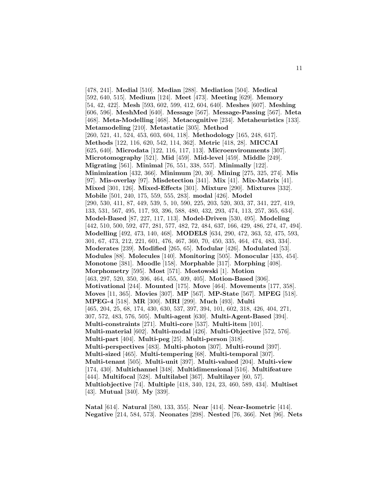[478, 241]. **Medial** [510]. **Median** [288]. **Mediation** [504]. **Medical** [592, 640, 515]. **Medium** [124]. **Meet** [473]. **Meeting** [629]. **Memory** [54, 42, 422]. **Mesh** [593, 602, 599, 412, 604, 640]. **Meshes** [607]. **Meshing** [606, 596]. **MeshMed** [640]. **Message** [567]. **Message-Passing** [567]. **Meta** [468]. **Meta-Modelling** [468]. **Metacognitive** [234]. **Metaheuristics** [133]. **Metamodeling** [210]. **Metastatic** [305]. **Method** [260, 521, 41, 524, 453, 603, 604, 118]. **Methodology** [165, 248, 617]. **Methods** [122, 116, 620, 542, 114, 362]. **Metric** [418, 28]. **MICCAI** [625, 640]. **Microdata** [122, 116, 117, 113]. **Microenvironments** [307]. **Microtomography** [521]. **Mid** [459]. **Mid-level** [459]. **Middle** [249]. **Migrating** [561]. **Minimal** [76, 551, 338, 557]. **Minimally** [122]. **Minimization** [432, 366]. **Minimum** [20, 30]. **Mining** [275, 325, 274]. **Mis** [97]. **Mis-overlay** [97]. **Misdetection** [341]. **Mix** [41]. **Mix-Matrix** [41]. **Mixed** [301, 126]. **Mixed-Effects** [301]. **Mixture** [290]. **Mixtures** [332]. **Mobile** [501, 240, 175, 559, 555, 283]. **modal** [426]. **Model** [290, 530, 411, 87, 449, 539, 5, 10, 590, 225, 203, 520, 303, 37, 341, 227, 419, 133, 531, 567, 495, 117, 93, 396, 588, 480, 432, 293, 474, 113, 257, 365, 634]. **Model-Based** [87, 227, 117, 113]. **Model-Driven** [530, 495]. **Modeling** [442, 510, 500, 592, 477, 281, 577, 482, 72, 484, 637, 166, 429, 486, 274, 47, 494]. **Modelling** [492, 473, 140, 468]. **MODELS** [634, 290, 472, 363, 52, 475, 593, 301, 67, 473, 212, 221, 601, 476, 467, 360, 70, 450, 335, 464, 474, 483, 334]. **Moderates** [239]. **Modified** [265, 65]. **Modular** [426]. **Modulated** [53]. **Modules** [88]. **Molecules** [140]. **Monitoring** [505]. **Monocular** [435, 454]. **Monotone** [381]. **Moodle** [158]. **Morphable** [317]. **Morphing** [408]. **Morphometry** [595]. **Most** [571]. **Mostowski** [1]. **Motion** [463, 297, 520, 350, 306, 464, 455, 409, 405]. **Motion-Based** [306]. **Motivational** [244]. **Mounted** [175]. **Move** [464]. **Movements** [177, 358]. **Moves** [11, 365]. **Movies** [307]. **MP** [567]. **MP-State** [567]. **MPEG** [518]. **MPEG-4** [518]. **MR** [300]. **MRI** [299]. **Much** [493]. **Multi** [465, 204, 25, 68, 174, 430, 630, 537, 397, 394, 101, 602, 318, 426, 404, 271, 307, 572, 483, 576, 505]. **Multi-agent** [630]. **Multi-Agent-Based** [394]. **Multi-constraints** [271]. **Multi-core** [537]. **Multi-item** [101]. **Multi-material** [602]. **Multi-modal** [426]. **Multi-Objective** [572, 576]. **Multi-part** [404]. **Multi-peg** [25]. **Multi-person** [318]. **Multi-perspectives** [483]. **Multi-photon** [307]. **Multi-round** [397]. **Multi-sized** [465]. **Multi-tempering** [68]. **Multi-temporal** [307]. **Multi-tenant** [505]. **Multi-unit** [397]. **Multi-valued** [204]. **Multi-view** [174, 430]. **Multichannel** [348]. **Multidimensional** [516]. **Multifeature** [444]. **Multifocal** [528]. **Multilabel** [367]. **Multilayer** [60, 57]. **Multiobjective** [74]. **Multiple** [418, 340, 124, 23, 460, 589, 434]. **Multiset** [43]. **Mutual** [340]. **My** [339].

**Natal** [614]. **Natural** [580, 133, 355]. **Near** [414]. **Near-Isometric** [414]. **Negative** [214, 584, 573]. **Neonates** [298]. **Nested** [76, 366]. **Net** [96]. **Nets**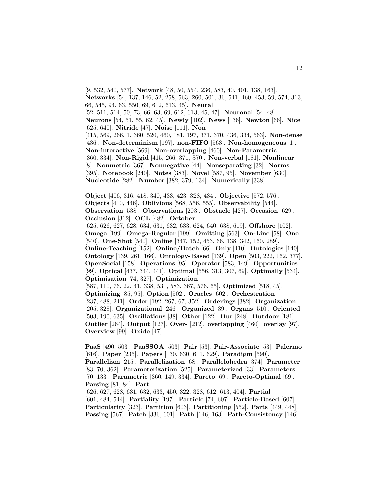[9, 532, 540, 577]. **Network** [48, 50, 554, 236, 583, 40, 401, 138, 163]. **Networks** [54, 137, 146, 52, 258, 563, 260, 501, 36, 541, 460, 453, 59, 574, 313, 66, 545, 94, 63, 550, 69, 612, 613, 45]. **Neural** [52, 511, 514, 50, 73, 66, 63, 69, 612, 613, 45, 47]. **Neuronal** [54, 48].

**Neurons** [54, 51, 55, 62, 45]. **Newly** [102]. **News** [136]. **Newton** [66]. **Nice** [625, 640]. **Nitride** [47]. **Noise** [111]. **Non**

[415, 569, 266, 1, 360, 520, 460, 181, 197, 371, 370, 436, 334, 563]. **Non-dense** [436]. **Non-determinism** [197]. **non-FIFO** [563]. **Non-homogeneous** [1]. **Non-interactive** [569]. **Non-overlapping** [460]. **Non-Parametric** [360, 334]. **Non-Rigid** [415, 266, 371, 370]. **Non-verbal** [181]. **Nonlinear** [8]. **Nonmetric** [367]. **Nonnegative** [44]. **Nonseparating** [32]. **Norms** [395]. **Notebook** [240]. **Notes** [383]. **Novel** [587, 95]. **November** [630]. **Nucleotide** [282]. **Number** [382, 379, 134]. **Numerically** [338].

**Object** [406, 316, 418, 340, 433, 423, 328, 434]. **Objective** [572, 576]. **Objects** [410, 446]. **Oblivious** [568, 556, 555]. **Observability** [544]. **Observation** [538]. **Observations** [203]. **Obstacle** [427]. **Occasion** [629]. **Occlusion** [312]. **OCL** [482]. **October**

[625, 626, 627, 628, 634, 631, 632, 633, 624, 640, 638, 619]. **Offshore** [102]. **Omega** [199]. **Omega-Regular** [199]. **Omitting** [563]. **On-Line** [58]. **One** [540]. **One-Shot** [540]. **Online** [347, 152, 453, 66, 138, 342, 160, 289]. **Online-Teaching** [152]. **Online/Batch** [66]. **Only** [410]. **Ontologies** [140]. **Ontology** [139, 261, 166]. **Ontology-Based** [139]. **Open** [503, 222, 162, 377]. **OpenSocial** [158]. **Operations** [95]. **Operator** [583, 149]. **Opportunities** [99]. **Optical** [437, 344, 441]. **Optimal** [556, 313, 307, 69]. **Optimally** [534]. **Optimisation** [74, 327]. **Optimization**

[587, 110, 76, 22, 41, 338, 531, 583, 367, 576, 65]. **Optimized** [518, 45]. **Optimizing** [85, 95]. **Option** [502]. **Oracles** [602]. **Orchestration** [237, 488, 241]. **Order** [192, 267, 67, 352]. **Orderings** [382]. **Organization** [205, 328]. **Organizational** [246]. **Organized** [39]. **Organs** [510]. **Oriented** [503, 190, 635]. **Oscillations** [38]. **Other** [122]. **Our** [248]. **Outdoor** [181]. **Outlier** [264]. **Output** [127]. **Over-** [212]. **overlapping** [460]. **overlay** [97]. **Overview** [99]. **Oxide** [47].

**PaaS** [490, 503]. **PaaSSOA** [503]. **Pair** [53]. **Pair-Associate** [53]. **Palermo** [616]. **Paper** [235]. **Papers** [130, 630, 611, 629]. **Paradigm** [590]. **Parallelism** [215]. **Parallelization** [68]. **Parallelohedra** [374]. **Parameter** [83, 70, 362]. **Parameterization** [525]. **Parameterized** [33]. **Parameters** [70, 133]. **Parametric** [360, 149, 334]. **Pareto** [69]. **Pareto-Optimal** [69]. **Parsing** [81, 84]. **Part**

[626, 627, 628, 631, 632, 633, 450, 322, 328, 612, 613, 404]. **Partial** [601, 484, 544]. **Partiality** [197]. **Particle** [74, 607]. **Particle-Based** [607]. **Particularity** [323]. **Partition** [603]. **Partitioning** [552]. **Parts** [449, 448]. **Passing** [567]. **Patch** [336, 601]. **Path** [146, 163]. **Path-Consistency** [146].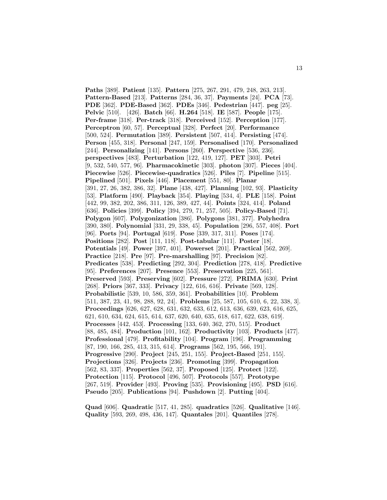**Paths** [389]. **Patient** [135]. **Pattern** [275, 267, 291, 479, 248, 263, 213]. **Pattern-Based** [213]. **Patterns** [284, 36, 37]. **Payments** [24]. **PCA** [73]. **PDE** [362]. **PDE-Based** [362]. **PDEs** [346]. **Pedestrian** [447]. **peg** [25]. **Pelvic** [510]. [426]. **Batch** [66]. **H.264** [518]. **IE** [587]. **People** [175]. **Per-frame** [318]. **Per-track** [318]. **Perceived** [152]. **Perception** [177]. **Perceptron** [60, 57]. **Perceptual** [328]. **Perfect** [20]. **Performance** [500, 524]. **Permutation** [389]. **Persistent** [507, 414]. **Persisting** [474]. **Person** [455, 318]. **Personal** [247, 159]. **Personalised** [170]. **Personalized** [244]. **Personalizing** [141]. **Persons** [260]. **Perspective** [536, 236]. **perspectives** [483]. **Perturbation** [122, 419, 127]. **PET** [303]. **Petri** [9, 532, 540, 577, 96]. **Pharmacokinetic** [303]. **photon** [307]. **Pieces** [404]. **Piecewise** [526]. **Piecewise-quadratics** [526]. **Piles** [7]. **Pipeline** [515]. **Pipelined** [501]. **Pixels** [446]. **Placement** [551, 80]. **Planar** [391, 27, 26, 382, 386, 32]. **Plane** [438, 427]. **Planning** [102, 93]. **Plasticity** [53]. **Platform** [490]. **Playback** [354]. **Playing** [534, 4]. **PLE** [158]. **Point** [442, 99, 382, 202, 386, 311, 126, 389, 427, 44]. **Points** [324, 414]. **Poland** [636]. **Policies** [399]. **Policy** [394, 279, 71, 257, 505]. **Policy-Based** [71]. **Polygon** [607]. **Polygonization** [386]. **Polygons** [381, 377]. **Polyhedra** [390, 380]. **Polynomial** [331, 29, 338, 45]. **Population** [296, 557, 408]. **Port** [96]. **Ports** [94]. **Portugal** [619]. **Pose** [339, 317, 311]. **Poses** [174]. **Positions** [282]. **Post** [111, 118]. **Post-tabular** [111]. **Poster** [18]. **Potentials** [49]. **Power** [397, 401]. **Powerset** [201]. **Practical** [562, 269]. **Practice** [218]. **Pre** [97]. **Pre-marshalling** [97]. **Precision** [82]. **Predicates** [538]. **Predicting** [292, 304]. **Prediction** [278, 418]. **Predictive** [95]. **Preferences** [207]. **Presence** [553]. **Preservation** [225, 561]. **Preserved** [593]. **Preserving** [602]. **Pressure** [272]. **PRIMA** [630]. **Print** [268]. **Priors** [367, 333]. **Privacy** [122, 616, 616]. **Private** [569, 128]. **Probabilistic** [539, 10, 586, 359, 361]. **Probabilities** [10]. **Problem** [511, 387, 23, 41, 98, 288, 92, 24]. **Problems** [25, 587, 105, 610, 6, 22, 338, 3]. **Proceedings** [626, 627, 628, 631, 632, 633, 612, 613, 636, 639, 623, 616, 625, 621, 610, 634, 624, 615, 614, 637, 620, 640, 635, 618, 617, 622, 638, 619]. **Processes** [442, 453]. **Processing** [133, 640, 362, 270, 515]. **Product** [88, 485, 484]. **Production** [101, 162]. **Productivity** [103]. **Products** [477]. **Professional** [479]. **Profitability** [104]. **Program** [196]. **Programming** [87, 190, 166, 285, 413, 315, 614]. **Programs** [562, 195, 566, 191]. **Progressive** [290]. **Project** [245, 251, 155]. **Project-Based** [251, 155]. **Projections** [326]. **Projects** [236]. **Promoting** [399]. **Propagation** [562, 83, 337]. **Properties** [562, 37]. **Proposed** [125]. **Protect** [122]. **Protection** [115]. **Protocol** [496, 507]. **Protocols** [557]. **Prototype** [267, 519]. **Provider** [493]. **Proving** [535]. **Provisioning** [495]. **PSD** [616]. **Pseudo** [205]. **Publications** [94]. **Pushdown** [2]. **Putting** [404].

**Quad** [606]. **Quadratic** [517, 41, 285]. **quadratics** [526]. **Qualitative** [146]. **Quality** [593, 269, 498, 436, 147]. **Quantales** [201]. **Quantiles** [278].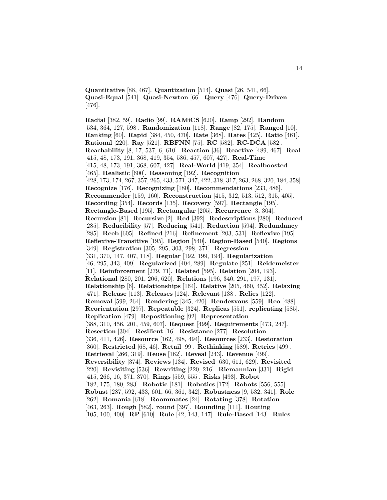**Quantitative** [88, 467]. **Quantization** [514]. **Quasi** [26, 541, 66]. **Quasi-Equal** [541]. **Quasi-Newton** [66]. **Query** [476]. **Query-Driven** [476].

**Radial** [382, 59]. **Radio** [99]. **RAMiCS** [620]. **Ramp** [292]. **Random** [534, 364, 127, 598]. **Randomization** [118]. **Range** [82, 175]. **Ranged** [10]. **Ranking** [60]. **Rapid** [384, 450, 470]. **Rate** [368]. **Rates** [425]. **Ratio** [461]. **Rational** [220]. **Ray** [521]. **RBFNN** [75]. **RC** [582]. **RC-DCA** [582]. **Reachability** [8, 17, 537, 6, 610]. **Reaction** [36]. **Reactive** [489, 467]. **Real** [415, 48, 173, 191, 368, 419, 354, 586, 457, 607, 427]. **Real-Time** [415, 48, 173, 191, 368, 607, 427]. **Real-World** [419, 354]. **Realboosted** [465]. **Realistic** [600]. **Reasoning** [192]. **Recognition** [428, 173, 174, 267, 357, 265, 433, 571, 347, 422, 318, 317, 263, 268, 320, 184, 358]. **Recognize** [176]. **Recognizing** [180]. **Recommendations** [233, 486]. **Recommender** [159, 160]. **Reconstruction** [415, 312, 513, 512, 315, 405]. **Recording** [354]. **Records** [135]. **Recovery** [597]. **Rectangle** [195]. **Rectangle-Based** [195]. **Rectangular** [205]. **Recurrence** [3, 304]. **Recursion** [81]. **Recursive** [2]. **Red** [392]. **Redescriptions** [280]. **Reduced** [285]. **Reducibility** [57]. **Reducing** [541]. **Reduction** [594]. **Redundancy** [285]. **Reeb** [605]. **Refined** [216]. **Refinement** [203, 531]. **Reflexive** [195]. **Reflexive-Transitive** [195]. **Region** [540]. **Region-Based** [540]. **Regions** [349]. **Registration** [305, 295, 303, 298, 371]. **Regression** [331, 370, 147, 407, 118]. **Regular** [192, 199, 194]. **Regularization** [46, 295, 343, 409]. **Regularized** [404, 289]. **Regulate** [251]. **Reidemeister** [11]. **Reinforcement** [279, 71]. **Related** [595]. **Relation** [204, 193]. **Relational** [280, 201, 206, 620]. **Relations** [196, 340, 291, 197, 131]. **Relationship** [6]. **Relationships** [164]. **Relative** [205, 460, 452]. **Relaxing** [471]. **Release** [113]. **Releases** [124]. **Relevant** [138]. **Relies** [122]. **Removal** [599, 264]. **Rendering** [345, 420]. **Rendezvous** [559]. **Reo** [488]. **Reorientation** [297]. **Repeatable** [324]. **Replicas** [551]. **replicating** [585]. **Replication** [479]. **Repositioning** [92]. **Representation** [388, 310, 456, 201, 459, 607]. **Request** [499]. **Requirements** [473, 247]. **Resection** [304]. **Resilient** [16]. **Resistance** [277]. **Resolution** [336, 411, 426]. **Resource** [162, 498, 494]. **Resources** [233]. **Restoration** [360]. **Restricted** [68, 46]. **Retail** [99]. **Rethinking** [589]. **Retries** [499]. **Retrieval** [266, 319]. **Reuse** [162]. **Reveal** [243]. **Revenue** [499]. **Reversibility** [374]. **Reviews** [134]. **Revised** [630, 611, 629]. **Revisited** [220]. **Revisiting** [536]. **Rewriting** [220, 216]. **Riemannian** [331]. **Rigid** [415, 266, 16, 371, 370]. **Rings** [559, 555]. **Risks** [493]. **Robot** [182, 175, 180, 283]. **Robotic** [181]. **Robotics** [172]. **Robots** [556, 555]. **Robust** [287, 592, 433, 601, 66, 361, 342]. **Robustness** [9, 532, 341]. **Role** [262]. **Romania** [618]. **Roommates** [24]. **Rotating** [378]. **Rotation** [463, 263]. **Rough** [582]. **round** [397]. **Rounding** [111]. **Routing** [105, 100, 400]. **RP** [610]. **Rule** [42, 143, 147]. **Rule-Based** [143]. **Rules**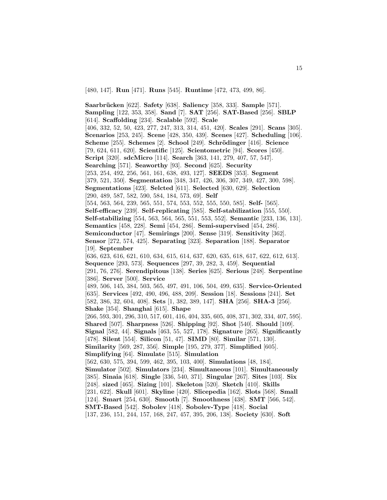[480, 147]. **Run** [471]. **Runs** [545]. **Runtime** [472, 473, 499, 86].

**Saarbr¨ucken** [622]. **Safety** [638]. **Saliency** [358, 333]. **Sample** [571]. **Sampling** [122, 353, 358]. **Sand** [7]. **SAT** [256]. **SAT-Based** [256]. **SBLP** [614]. **Scaffolding** [234]. **Scalable** [592]. **Scale** [406, 332, 52, 50, 423, 277, 247, 313, 314, 451, 420]. **Scales** [291]. **Scans** [305]. **Scenarios** [253, 245]. **Scene** [428, 350, 439]. **Scenes** [427]. **Scheduling** [106]. **Scheme** [255]. **Schemes** [2]. **School** [249]. **Schr¨odinger** [416]. **Science** [79, 624, 611, 620]. **Scientific** [125]. **Scientometric** [94]. **Scores** [450]. **Script** [320]. **sdcMicro** [114]. **Search** [363, 141, 279, 407, 57, 547]. **Searching** [571]. **Seaworthy** [93]. **Second** [625]. **Security** [253, 254, 492, 256, 561, 161, 638, 493, 127]. **SEEDS** [353]. **Segment** [379, 521, 350]. **Segmentation** [348, 347, 426, 306, 307, 349, 427, 300, 598]. **Segmentations** [423]. **Selcted** [611]. **Selected** [630, 629]. **Selection** [290, 489, 587, 582, 590, 584, 184, 573, 69]. **Self** [554, 563, 564, 239, 565, 551, 574, 553, 552, 555, 550, 585]. **Self-** [565]. **Self-efficacy** [239]. **Self-replicating** [585]. **Self-stabilization** [555, 550]. **Self-stabilizing** [554, 563, 564, 565, 551, 553, 552]. **Semantic** [233, 136, 131]. **Semantics** [458, 228]. **Semi** [454, 286]. **Semi-supervised** [454, 286]. **Semiconductor** [47]. **Semirings** [200]. **Sense** [319]. **Sensitivity** [362]. **Sensor** [272, 574, 425]. **Separating** [323]. **Separation** [188]. **Separator** [19]. **September** [636, 623, 616, 621, 610, 634, 615, 614, 637, 620, 635, 618, 617, 622, 612, 613]. **Sequence** [293, 573]. **Sequences** [297, 39, 282, 3, 459]. **Sequential** [291, 76, 276]. **Serendipitous** [138]. **Series** [625]. **Serious** [248]. **Serpentine** [386]. **Server** [500]. **Service** [489, 506, 145, 384, 503, 565, 497, 491, 106, 504, 499, 635]. **Service-Oriented** [635]. **Services** [492, 490, 496, 488, 209]. **Session** [18]. **Sessions** [241]. **Set** [582, 386, 32, 604, 408]. **Sets** [1, 382, 389, 147]. **SHA** [256]. **SHA-3** [256]. **Shake** [354]. **Shanghai** [615]. **Shape** [266, 593, 301, 296, 310, 517, 601, 416, 404, 335, 605, 408, 371, 302, 334, 407, 595]. **Shared** [507]. **Sharpness** [526]. **Shipping** [92]. **Shot** [540]. **Should** [109]. **Signal** [582, 44]. **Signals** [463, 55, 527, 178]. **Signature** [265]. **Significantly** [478]. **Silent** [554]. **Silicon** [51, 47]. **SIMD** [80]. **Similar** [571, 130]. **Similarity** [569, 287, 356]. **Simple** [195, 279, 377]. **Simplified** [605]. **Simplifying** [64]. **Simulate** [515]. **Simulation** [562, 630, 575, 394, 599, 462, 395, 103, 400]. **Simulations** [48, 184]. **Simulator** [502]. **Simulators** [234]. **Simultaneous** [101]. **Simultaneously** [385]. **Sinaia** [618]. **Single** [336, 540, 371]. **Singular** [267]. **Sites** [103]. **Six** [248]. **sized** [465]. **Sizing** [101]. **Skeleton** [520]. **Sketch** [410]. **Skills** [231, 622]. **Skull** [601]. **Skyline** [420]. **Slicepedia** [162]. **Slots** [568]. **Small** [124]. **Smart** [254, 630]. **Smooth** [7]. **Smoothness** [438]. **SMT** [566, 542]. **SMT-Based** [542]. **Sobolev** [418]. **Sobolev-Type** [418]. **Social**

[137, 236, 151, 244, 157, 168, 247, 457, 395, 206, 138]. **Society** [630]. **Soft**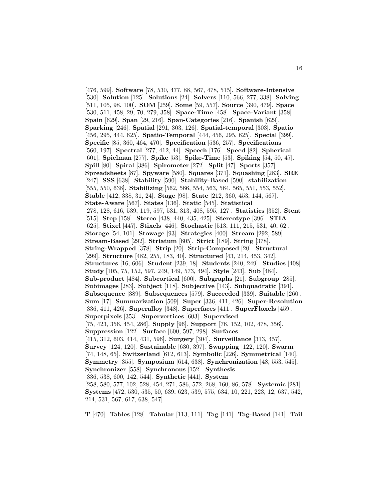[476, 599]. **Software** [78, 530, 477, 88, 567, 478, 515]. **Software-Intensive** [530]. **Solution** [125]. **Solutions** [24]. **Solvers** [110, 566, 277, 338]. **Solving** [511, 105, 98, 100]. **SOM** [259]. **Some** [59, 557]. **Source** [390, 479]. **Space** [530, 511, 458, 29, 70, 279, 358]. **Space-Time** [458]. **Space-Variant** [358]. **Spain** [629]. **Span** [29, 216]. **Span-Categories** [216]. **Spanish** [629]. **Sparking** [246]. **Spatial** [291, 303, 126]. **Spatial-temporal** [303]. **Spatio** [456, 295, 444, 625]. **Spatio-Temporal** [444, 456, 295, 625]. **Special** [399]. **Specific** [85, 360, 464, 470]. **Specification** [536, 257]. **Specifications** [560, 197]. **Spectral** [277, 412, 44]. **Speech** [176]. **Speed** [82]. **Spherical** [601]. **Spielman** [277]. **Spike** [53]. **Spike-Time** [53]. **Spiking** [54, 50, 47]. **Spill** [80]. **Spiral** [386]. **Spirometer** [272]. **Split** [47]. **Sports** [357]. **Spreadsheets** [87]. **Spyware** [580]. **Squares** [371]. **Squashing** [283]. **SRE** [247]. **SSS** [638]. **Stability** [590]. **Stability-Based** [590]. **stabilization** [555, 550, 638]. **Stabilizing** [562, 566, 554, 563, 564, 565, 551, 553, 552]. **Stable** [412, 338, 31, 24]. **Stage** [98]. **State** [212, 360, 453, 144, 567]. **State-Aware** [567]. **States** [136]. **Static** [545]. **Statistical** [278, 128, 616, 539, 119, 597, 531, 313, 408, 595, 127]. **Statistics** [352]. **Stent** [515]. **Step** [158]. **Stereo** [438, 440, 435, 425]. **Stereotype** [396]. **STIA** [625]. **Stixel** [447]. **Stixels** [446]. **Stochastic** [513, 111, 215, 531, 40, 62]. **Storage** [54, 101]. **Stowage** [93]. **Strategies** [400]. **Stream** [292, 589]. **Stream-Based** [292]. **Striatum** [605]. **Strict** [189]. **String** [378]. **String-Wrapped** [378]. **Strip** [20]. **Strip-Composed** [20]. **Structural** [299]. **Structure** [482, 255, 183, 40]. **Structured** [43, 214, 453, 342]. **Structures** [16, 606]. **Student** [239, 18]. **Students** [240, 249]. **Studies** [408]. **Study** [105, 75, 152, 597, 249, 149, 573, 494]. **Style** [243]. **Sub** [484]. **Sub-product** [484]. **Subcortical** [600]. **Subgraphs** [21]. **Subgroup** [285]. **Subimages** [283]. **Subject** [118]. **Subjective** [143]. **Subquadratic** [391]. **Subsequence** [389]. **Subsequences** [579]. **Succeeded** [339]. **Suitable** [260]. **Sum** [17]. **Summarization** [509]. **Super** [336, 411, 426]. **Super-Resolution** [336, 411, 426]. **Superalloy** [348]. **Superfaces** [411]. **SuperFloxels** [459]. **Superpixels** [353]. **Supervertices** [603]. **Supervised** [75, 423, 356, 454, 286]. **Supply** [96]. **Support** [76, 152, 102, 478, 356]. **Suppression** [122]. **Surface** [600, 597, 298]. **Surfaces** [415, 312, 603, 414, 431, 596]. **Surgery** [304]. **Surveillance** [313, 457]. **Survey** [124, 120]. **Sustainable** [630, 397]. **Swapping** [122, 120]. **Swarm** [74, 148, 65]. **Switzerland** [612, 613]. **Symbolic** [226]. **Symmetrical** [140]. **Symmetry** [355]. **Symposium** [614, 638]. **Synchronization** [48, 553, 545]. **Synchronizer** [558]. **Synchronous** [152]. **Synthesis** [336, 538, 600, 142, 544]. **Synthetic** [441]. **System** [258, 580, 577, 102, 528, 454, 271, 586, 572, 268, 160, 86, 578]. **Systemic** [281]. **Systems** [472, 530, 535, 50, 639, 623, 539, 575, 634, 10, 221, 223, 12, 637, 542, 214, 531, 567, 617, 638, 547].

**T** [470]. **Tables** [128]. **Tabular** [113, 111]. **Tag** [141]. **Tag-Based** [141]. **Tail**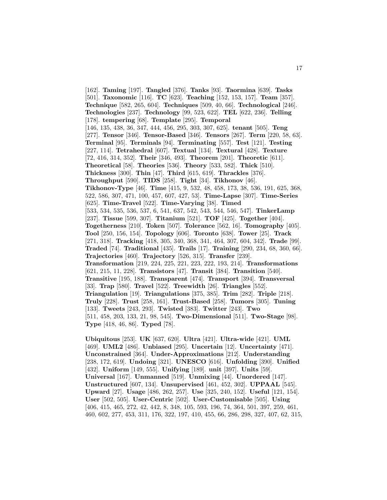[162]. **Taming** [197]. **Tangled** [376]. **Tanks** [93]. **Taormina** [639]. **Tasks** [501]. **Taxonomic** [116]. **TC** [623]. **Teaching** [152, 153, 157]. **Team** [357]. **Technique** [582, 265, 604]. **Techniques** [509, 40, 66]. **Technological** [246]. **Technologies** [237]. **Technology** [99, 523, 622]. **TEL** [622, 236]. **Telling** [178]. **tempering** [68]. **Template** [295]. **Temporal** [146, 135, 438, 36, 347, 444, 456, 295, 303, 307, 625]. **tenant** [505]. **Teng** [277]. **Tensor** [346]. **Tensor-Based** [346]. **Tensors** [267]. **Term** [220, 58, 63]. **Terminal** [95]. **Terminals** [94]. **Terminating** [557]. **Test** [121]. **Testing** [227, 114]. **Tetrahedral** [607]. **Textual** [134]. **Textural** [428]. **Texture** [72, 416, 314, 352]. **Their** [346, 493]. **Theorem** [201]. **Theoretic** [611]. **Theoretical** [58]. **Theories** [536]. **Theory** [533, 582]. **Thick** [510]. **Thickness** [300]. **Thin** [47]. **Third** [615, 619]. **Thrackles** [376]. **Throughput** [590]. **TIDS** [258]. **Tight** [34]. **Tikhonov** [46]. **Tikhonov-Type** [46]. **Time** [415, 9, 532, 48, 458, 173, 38, 536, 191, 625, 368, 522, 586, 307, 471, 100, 457, 607, 427, 53]. **Time-Lapse** [307]. **Time-Series** [625]. **Time-Travel** [522]. **Time-Varying** [38]. **Timed** [533, 534, 535, 536, 537, 6, 541, 637, 542, 543, 544, 546, 547]. **TinkerLamp** [237]. **Tissue** [599, 307]. **Titanium** [521]. **TOF** [425]. **Together** [404]. **Togetherness** [210]. **Token** [507]. **Tolerance** [562, 16]. **Tomography** [405]. **Tool** [250, 156, 154]. **Topology** [606]. **Toronto** [638]. **Tower** [25]. **Track** [271, 318]. **Tracking** [418, 305, 340, 368, 341, 464, 307, 604, 342]. **Trade** [99]. **Traded** [74]. **Traditional** [435]. **Trails** [17]. **Training** [290, 234, 68, 360, 66]. **Trajectories** [460]. **Trajectory** [526, 315]. **Transfer** [239]. **Transformation** [219, 224, 225, 221, 223, 222, 193, 214]. **Transformations** [621, 215, 11, 228]. **Transistors** [47]. **Transit** [384]. **Transition** [540]. **Transitive** [195, 188]. **Transparent** [474]. **Transport** [394]. **Transversal** [33]. **Trap** [580]. **Travel** [522]. **Treewidth** [26]. **Triangles** [552]. **Triangulation** [19]. **Triangulations** [375, 385]. **Trim** [282]. **Triple** [218]. **Truly** [228]. **Trust** [258, 161]. **Trust-Based** [258]. **Tumors** [305]. **Tuning** [133]. **Tweets** [243, 293]. **Twisted** [383]. **Twitter** [243]. **Two** [511, 458, 203, 133, 21, 98, 545]. **Two-Dimensional** [511]. **Two-Stage** [98]. **Type** [418, 46, 86]. **Typed** [78].

**Ubiquitous** [253]. **UK** [637, 620]. **Ultra** [421]. **Ultra-wide** [421]. **UML** [469]. **UML2** [486]. **Unbiased** [295]. **Uncertain** [12]. **Uncertainty** [471]. **Unconstrained** [364]. **Under-Approximations** [212]. **Understanding** [238, 172, 619]. **Undoing** [321]. **UNESCO** [616]. **Unfolding** [390]. **Unified** [432]. **Uniform** [149, 555]. **Unifying** [189]. **unit** [397]. **Units** [59]. **Universal** [167]. **Unmanned** [519]. **Unmixing** [44]. **Unordered** [147]. **Unstructured** [607, 134]. **Unsupervised** [461, 452, 302]. **UPPAAL** [545]. **Upward** [27]. **Usage** [486, 262, 257]. **Use** [325, 240, 152]. **Useful** [121, 154]. **User** [502, 505]. **User-Centric** [502]. **User-Customisable** [505]. **Using** [406, 415, 465, 272, 42, 442, 8, 348, 105, 593, 196, 74, 364, 501, 397, 259, 461, 460, 602, 277, 453, 311, 176, 322, 197, 410, 455, 66, 286, 298, 327, 407, 62, 315,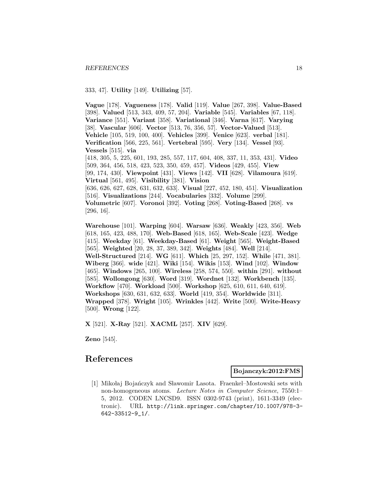333, 47]. **Utility** [149]. **Utilizing** [57].

**Vague** [178]. **Vagueness** [178]. **Valid** [119]. **Value** [267, 398]. **Value-Based** [398]. **Valued** [513, 343, 409, 57, 204]. **Variable** [545]. **Variables** [67, 118]. **Variance** [551]. **Variant** [358]. **Variational** [346]. **Varna** [617]. **Varying** [38]. **Vascular** [606]. **Vector** [513, 76, 356, 57]. **Vector-Valued** [513]. **Vehicle** [105, 519, 100, 400]. **Vehicles** [399]. **Venice** [623]. **verbal** [181]. **Verification** [566, 225, 561]. **Vertebral** [595]. **Very** [134]. **Vessel** [93]. **Vessels** [515]. **via** [418, 305, 5, 225, 601, 193, 285, 557, 117, 604, 408, 337, 11, 353, 431]. **Video** [509, 364, 456, 518, 423, 523, 350, 459, 457]. **Videos** [429, 455]. **View** [99, 174, 430]. **Viewpoint** [431]. **Views** [142]. **VII** [628]. **Vilamoura** [619]. **Virtual** [561, 495]. **Visibility** [381]. **Vision** [636, 626, 627, 628, 631, 632, 633]. **Visual** [227, 452, 180, 451]. **Visualization** [516]. **Visualizations** [244]. **Vocabularies** [332]. **Volume** [299]. **Volumetric** [607]. **Voronoi** [392]. **Voting** [268]. **Voting-Based** [268]. **vs** [296, 16].

**Warehouse** [101]. **Warping** [604]. **Warsaw** [636]. **Weakly** [423, 356]. **Web** [618, 165, 423, 488, 170]. **Web-Based** [618, 165]. **Web-Scale** [423]. **Wedge** [415]. **Weekday** [61]. **Weekday-Based** [61]. **Weight** [565]. **Weight-Based** [565]. **Weighted** [20, 28, 37, 389, 342]. **Weights** [484]. **Well** [214]. **Well-Structured** [214]. **WG** [611]. **Which** [25, 297, 152]. **While** [471, 381]. **Wiberg** [366]. **wide** [421]. **Wiki** [154]. **Wikis** [153]. **Wind** [102]. **Window** [465]. **Windows** [265, 100]. **Wireless** [258, 574, 550]. **within** [291]. **without** [585]. **Wollongong** [630]. **Word** [319]. **Wordnet** [132]. **Workbench** [135]. **Workflow** [470]. **Workload** [500]. **Workshop** [625, 610, 611, 640, 619]. **Workshops** [630, 631, 632, 633]. **World** [419, 354]. **Worldwide** [311]. **Wrapped** [378]. **Wright** [105]. **Wrinkles** [442]. **Write** [500]. **Write-Heavy** [500]. **Wrong** [122].

**X** [521]. **X-Ray** [521]. **XACML** [257]. **XIV** [629].

**Zeno** [545].

# **References**

**Bojanczyk:2012:FMS**

[1] Mikołaj Bojańczyk and Sławomir Lasota. Fraenkel–Mostowski sets with non-homogeneous atoms. Lecture Notes in Computer Science, 7550:1– 5, 2012. CODEN LNCSD9. ISSN 0302-9743 (print), 1611-3349 (electronic). URL http://link.springer.com/chapter/10.1007/978-3- 642-33512-9\_1/.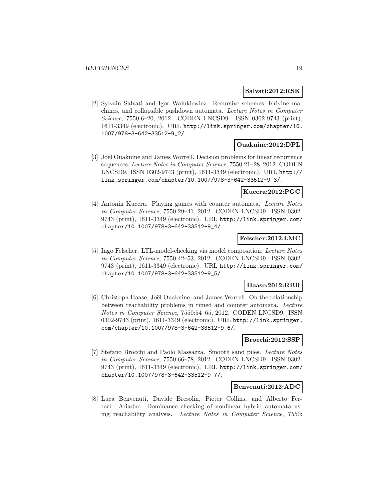#### **Salvati:2012:RSK**

[2] Sylvain Salvati and Igor Walukiewicz. Recursive schemes, Krivine machines, and collapsible pushdown automata. Lecture Notes in Computer Science, 7550:6-20, 2012. CODEN LNCSD9. ISSN 0302-9743 (print), 1611-3349 (electronic). URL http://link.springer.com/chapter/10. 1007/978-3-642-33512-9\_2/.

### **Ouaknine:2012:DPL**

[3] Joël Ouaknine and James Worrell. Decision problems for linear recurrence sequences. Lecture Notes in Computer Science, 7550:21–28, 2012. CODEN LNCSD9. ISSN 0302-9743 (print), 1611-3349 (electronic). URL http:// link.springer.com/chapter/10.1007/978-3-642-33512-9\_3/.

#### **Kucera:2012:PGC**

[4] Antonín Kučera. Playing games with counter automata. Lecture Notes in Computer Science, 7550:29–41, 2012. CODEN LNCSD9. ISSN 0302- 9743 (print), 1611-3349 (electronic). URL http://link.springer.com/ chapter/10.1007/978-3-642-33512-9\_4/.

### **Felscher:2012:LMC**

[5] Ingo Felscher. LTL-model-checking via model composition. Lecture Notes in Computer Science, 7550:42–53, 2012. CODEN LNCSD9. ISSN 0302- 9743 (print), 1611-3349 (electronic). URL http://link.springer.com/ chapter/10.1007/978-3-642-33512-9\_5/.

### **Haase:2012:RBR**

[6] Christoph Haase, Joël Ouaknine, and James Worrell. On the relationship between reachability problems in timed and counter automata. Lecture Notes in Computer Science, 7550:54–65, 2012. CODEN LNCSD9. ISSN 0302-9743 (print), 1611-3349 (electronic). URL http://link.springer. com/chapter/10.1007/978-3-642-33512-9\_6/.

#### **Brocchi:2012:SSP**

[7] Stefano Brocchi and Paolo Massazza. Smooth sand piles. Lecture Notes in Computer Science, 7550:66–78, 2012. CODEN LNCSD9. ISSN 0302- 9743 (print), 1611-3349 (electronic). URL http://link.springer.com/ chapter/10.1007/978-3-642-33512-9\_7/.

#### **Benvenuti:2012:ADC**

[8] Luca Benvenuti, Davide Bresolin, Pieter Collins, and Alberto Ferrari. Ariadne: Dominance checking of nonlinear hybrid automata using reachability analysis. Lecture Notes in Computer Science, 7550: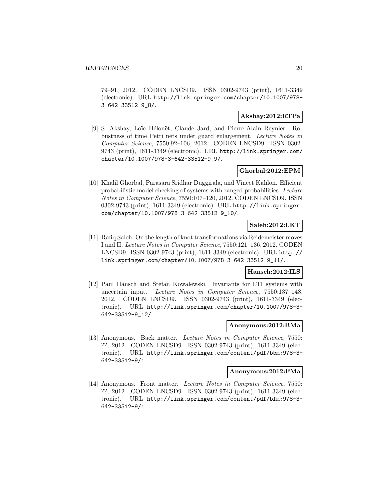79–91, 2012. CODEN LNCSD9. ISSN 0302-9743 (print), 1611-3349 (electronic). URL http://link.springer.com/chapter/10.1007/978- 3-642-33512-9\_8/.

# **Akshay:2012:RTPa**

[9] S. Akshay, Loïc Hélouët, Claude Jard, and Pierre-Alain Reynier. Robustness of time Petri nets under guard enlargement. Lecture Notes in Computer Science, 7550:92–106, 2012. CODEN LNCSD9. ISSN 0302- 9743 (print), 1611-3349 (electronic). URL http://link.springer.com/ chapter/10.1007/978-3-642-33512-9\_9/.

# **Ghorbal:2012:EPM**

[10] Khalil Ghorbal, Parasara Sridhar Duggirala, and Vineet Kahlon. Efficient probabilistic model checking of systems with ranged probabilities. Lecture Notes in Computer Science, 7550:107–120, 2012. CODEN LNCSD9. ISSN 0302-9743 (print), 1611-3349 (electronic). URL http://link.springer. com/chapter/10.1007/978-3-642-33512-9\_10/.

# **Saleh:2012:LKT**

[11] Rafiq Saleh. On the length of knot transformations via Reidemeister moves I and II. Lecture Notes in Computer Science, 7550:121–136, 2012. CODEN LNCSD9. ISSN 0302-9743 (print), 1611-3349 (electronic). URL http:// link.springer.com/chapter/10.1007/978-3-642-33512-9\_11/.

#### **Hansch:2012:ILS**

[12] Paul Hänsch and Stefan Kowalewski. Invariants for LTI systems with uncertain input. Lecture Notes in Computer Science, 7550:137–148, 2012. CODEN LNCSD9. ISSN 0302-9743 (print), 1611-3349 (electronic). URL http://link.springer.com/chapter/10.1007/978-3- 642-33512-9\_12/.

#### **Anonymous:2012:BMa**

[13] Anonymous. Back matter. Lecture Notes in Computer Science, 7550: ??, 2012. CODEN LNCSD9. ISSN 0302-9743 (print), 1611-3349 (electronic). URL http://link.springer.com/content/pdf/bbm:978-3- 642-33512-9/1.

#### **Anonymous:2012:FMa**

[14] Anonymous. Front matter. Lecture Notes in Computer Science, 7550: ??, 2012. CODEN LNCSD9. ISSN 0302-9743 (print), 1611-3349 (electronic). URL http://link.springer.com/content/pdf/bfm:978-3- 642-33512-9/1.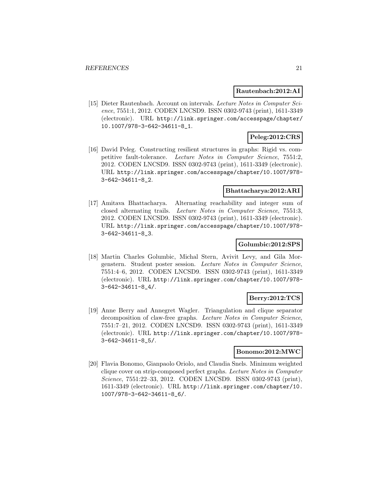### **Rautenbach:2012:AI**

[15] Dieter Rautenbach. Account on intervals. Lecture Notes in Computer Science, 7551:1, 2012. CODEN LNCSD9. ISSN 0302-9743 (print), 1611-3349 (electronic). URL http://link.springer.com/accesspage/chapter/ 10.1007/978-3-642-34611-8\_1.

# **Peleg:2012:CRS**

[16] David Peleg. Constructing resilient structures in graphs: Rigid vs. competitive fault-tolerance. Lecture Notes in Computer Science, 7551:2, 2012. CODEN LNCSD9. ISSN 0302-9743 (print), 1611-3349 (electronic). URL http://link.springer.com/accesspage/chapter/10.1007/978- 3-642-34611-8\_2.

#### **Bhattacharya:2012:ARI**

[17] Amitava Bhattacharya. Alternating reachability and integer sum of closed alternating trails. Lecture Notes in Computer Science, 7551:3, 2012. CODEN LNCSD9. ISSN 0302-9743 (print), 1611-3349 (electronic). URL http://link.springer.com/accesspage/chapter/10.1007/978- 3-642-34611-8\_3.

#### **Golumbic:2012:SPS**

[18] Martin Charles Golumbic, Michal Stern, Avivit Levy, and Gila Morgenstern. Student poster session. Lecture Notes in Computer Science, 7551:4–6, 2012. CODEN LNCSD9. ISSN 0302-9743 (print), 1611-3349 (electronic). URL http://link.springer.com/chapter/10.1007/978- 3-642-34611-8\_4/.

#### **Berry:2012:TCS**

[19] Anne Berry and Annegret Wagler. Triangulation and clique separator decomposition of claw-free graphs. Lecture Notes in Computer Science, 7551:7–21, 2012. CODEN LNCSD9. ISSN 0302-9743 (print), 1611-3349 (electronic). URL http://link.springer.com/chapter/10.1007/978- 3-642-34611-8\_5/.

#### **Bonomo:2012:MWC**

[20] Flavia Bonomo, Gianpaolo Oriolo, and Claudia Snels. Minimum weighted clique cover on strip-composed perfect graphs. Lecture Notes in Computer Science, 7551:22–33, 2012. CODEN LNCSD9. ISSN 0302-9743 (print), 1611-3349 (electronic). URL http://link.springer.com/chapter/10. 1007/978-3-642-34611-8\_6/.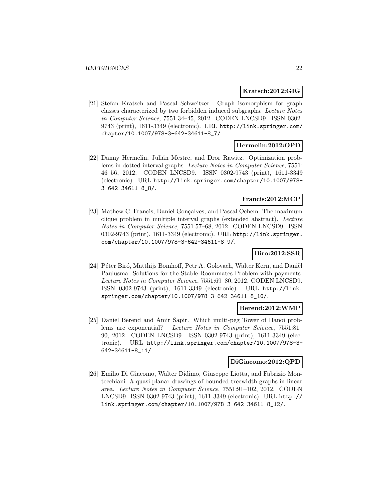#### **Kratsch:2012:GIG**

[21] Stefan Kratsch and Pascal Schweitzer. Graph isomorphism for graph classes characterized by two forbidden induced subgraphs. Lecture Notes in Computer Science, 7551:34–45, 2012. CODEN LNCSD9. ISSN 0302- 9743 (print), 1611-3349 (electronic). URL http://link.springer.com/ chapter/10.1007/978-3-642-34611-8\_7/.

# **Hermelin:2012:OPD**

[22] Danny Hermelin, Juli´an Mestre, and Dror Rawitz. Optimization problems in dotted interval graphs. Lecture Notes in Computer Science, 7551: 46–56, 2012. CODEN LNCSD9. ISSN 0302-9743 (print), 1611-3349 (electronic). URL http://link.springer.com/chapter/10.1007/978- 3-642-34611-8\_8/.

#### **Francis:2012:MCP**

[23] Mathew C. Francis, Daniel Gonçalves, and Pascal Ochem. The maximum clique problem in multiple interval graphs (extended abstract). Lecture Notes in Computer Science, 7551:57–68, 2012. CODEN LNCSD9. ISSN 0302-9743 (print), 1611-3349 (electronic). URL http://link.springer. com/chapter/10.1007/978-3-642-34611-8\_9/.

# **Biro:2012:SSR**

[24] Péter Biró, Matthijs Bomhoff, Petr A. Golovach, Walter Kern, and Daniël Paulusma. Solutions for the Stable Roommates Problem with payments. Lecture Notes in Computer Science, 7551:69–80, 2012. CODEN LNCSD9. ISSN 0302-9743 (print), 1611-3349 (electronic). URL http://link. springer.com/chapter/10.1007/978-3-642-34611-8\_10/.

#### **Berend:2012:WMP**

[25] Daniel Berend and Amir Sapir. Which multi-peg Tower of Hanoi problems are exponential? Lecture Notes in Computer Science, 7551:81– 90, 2012. CODEN LNCSD9. ISSN 0302-9743 (print), 1611-3349 (electronic). URL http://link.springer.com/chapter/10.1007/978-3- 642-34611-8\_11/.

#### **DiGiacomo:2012:QPD**

[26] Emilio Di Giacomo, Walter Didimo, Giuseppe Liotta, and Fabrizio Montecchiani. h-quasi planar drawings of bounded treewidth graphs in linear area. Lecture Notes in Computer Science, 7551:91–102, 2012. CODEN LNCSD9. ISSN 0302-9743 (print), 1611-3349 (electronic). URL http:// link.springer.com/chapter/10.1007/978-3-642-34611-8\_12/.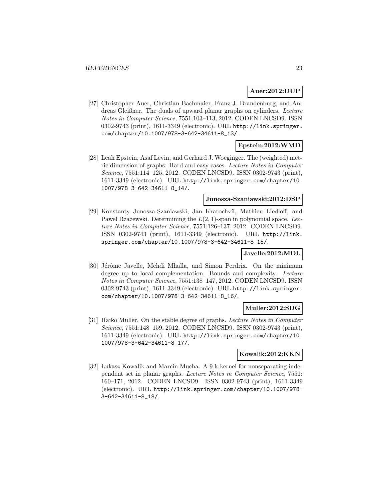# **Auer:2012:DUP**

[27] Christopher Auer, Christian Bachmaier, Franz J. Brandenburg, and Andreas Gleißner. The duals of upward planar graphs on cylinders. Lecture Notes in Computer Science, 7551:103–113, 2012. CODEN LNCSD9. ISSN 0302-9743 (print), 1611-3349 (electronic). URL http://link.springer. com/chapter/10.1007/978-3-642-34611-8\_13/.

# **Epstein:2012:WMD**

[28] Leah Epstein, Asaf Levin, and Gerhard J. Woeginger. The (weighted) metric dimension of graphs: Hard and easy cases. Lecture Notes in Computer Science, 7551:114–125, 2012. CODEN LNCSD9. ISSN 0302-9743 (print), 1611-3349 (electronic). URL http://link.springer.com/chapter/10. 1007/978-3-642-34611-8\_14/.

#### **Junosza-Szaniawski:2012:DSP**

[29] Konstanty Junosza-Szaniawski, Jan Kratochv´ıl, Mathieu Liedloff, and Paweł Rzażewski. Determining the  $L(2, 1)$ -span in polynomial space. Lecture Notes in Computer Science, 7551:126–137, 2012. CODEN LNCSD9. ISSN 0302-9743 (print), 1611-3349 (electronic). URL http://link. springer.com/chapter/10.1007/978-3-642-34611-8\_15/.

#### **Javelle:2012:MDL**

[30] Jérôme Javelle, Mehdi Mhalla, and Simon Perdrix. On the minimum degree up to local complementation: Bounds and complexity. Lecture Notes in Computer Science, 7551:138–147, 2012. CODEN LNCSD9. ISSN 0302-9743 (print), 1611-3349 (electronic). URL http://link.springer. com/chapter/10.1007/978-3-642-34611-8\_16/.

# **Muller:2012:SDG**

[31] Haiko Müller. On the stable degree of graphs. Lecture Notes in Computer Science, 7551:148–159, 2012. CODEN LNCSD9. ISSN 0302-9743 (print), 1611-3349 (electronic). URL http://link.springer.com/chapter/10. 1007/978-3-642-34611-8\_17/.

# **Kowalik:2012:KKN**

[32] Lukasz Kowalik and Marcin Mucha. A 9 k kernel for nonseparating independent set in planar graphs. Lecture Notes in Computer Science, 7551: 160–171, 2012. CODEN LNCSD9. ISSN 0302-9743 (print), 1611-3349 (electronic). URL http://link.springer.com/chapter/10.1007/978- 3-642-34611-8\_18/.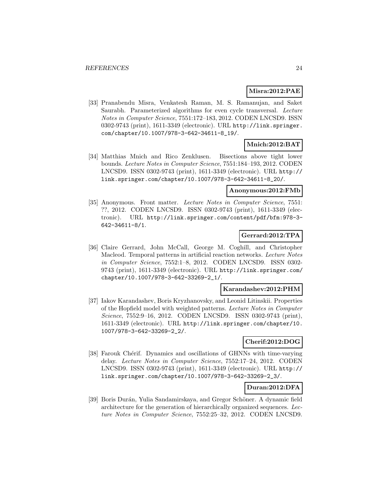### **Misra:2012:PAE**

[33] Pranabendu Misra, Venkatesh Raman, M. S. Ramanujan, and Saket Saurabh. Parameterized algorithms for even cycle transversal. Lecture Notes in Computer Science, 7551:172–183, 2012. CODEN LNCSD9. ISSN 0302-9743 (print), 1611-3349 (electronic). URL http://link.springer. com/chapter/10.1007/978-3-642-34611-8\_19/.

# **Mnich:2012:BAT**

[34] Matthias Mnich and Rico Zenklusen. Bisections above tight lower bounds. Lecture Notes in Computer Science, 7551:184–193, 2012. CODEN LNCSD9. ISSN 0302-9743 (print), 1611-3349 (electronic). URL http:// link.springer.com/chapter/10.1007/978-3-642-34611-8\_20/.

### **Anonymous:2012:FMb**

[35] Anonymous. Front matter. Lecture Notes in Computer Science, 7551: ??, 2012. CODEN LNCSD9. ISSN 0302-9743 (print), 1611-3349 (electronic). URL http://link.springer.com/content/pdf/bfm:978-3- 642-34611-8/1.

# **Gerrard:2012:TPA**

[36] Claire Gerrard, John McCall, George M. Coghill, and Christopher Macleod. Temporal patterns in artificial reaction networks. Lecture Notes in Computer Science, 7552:1–8, 2012. CODEN LNCSD9. ISSN 0302- 9743 (print), 1611-3349 (electronic). URL http://link.springer.com/ chapter/10.1007/978-3-642-33269-2\_1/.

#### **Karandashev:2012:PHM**

[37] Iakov Karandashev, Boris Kryzhanovsky, and Leonid Litinskii. Properties of the Hopfield model with weighted patterns. Lecture Notes in Computer Science, 7552:9–16, 2012. CODEN LNCSD9. ISSN 0302-9743 (print), 1611-3349 (electronic). URL http://link.springer.com/chapter/10. 1007/978-3-642-33269-2\_2/.

#### **Cherif:2012:DOG**

[38] Farouk Chérif. Dynamics and oscillations of GHNNs with time-varying delay. Lecture Notes in Computer Science, 7552:17–24, 2012. CODEN LNCSD9. ISSN 0302-9743 (print), 1611-3349 (electronic). URL http:// link.springer.com/chapter/10.1007/978-3-642-33269-2\_3/.

#### **Duran:2012:DFA**

[39] Boris Durán, Yulia Sandamirskaya, and Gregor Schöner. A dynamic field architecture for the generation of hierarchically organized sequences. Lecture Notes in Computer Science, 7552:25–32, 2012. CODEN LNCSD9.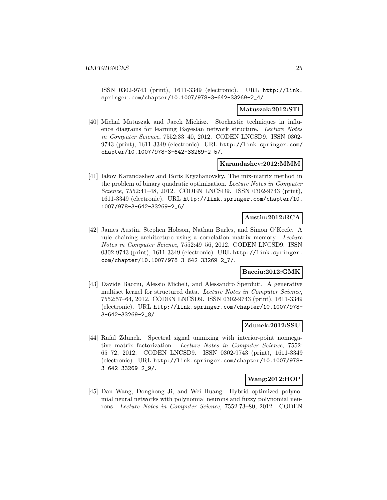ISSN 0302-9743 (print), 1611-3349 (electronic). URL http://link. springer.com/chapter/10.1007/978-3-642-33269-2\_4/.

#### **Matuszak:2012:STI**

[40] Michal Matuszak and Jacek Miekisz. Stochastic techniques in influence diagrams for learning Bayesian network structure. Lecture Notes in Computer Science, 7552:33–40, 2012. CODEN LNCSD9. ISSN 0302- 9743 (print), 1611-3349 (electronic). URL http://link.springer.com/ chapter/10.1007/978-3-642-33269-2\_5/.

#### **Karandashev:2012:MMM**

[41] Iakov Karandashev and Boris Kryzhanovsky. The mix-matrix method in the problem of binary quadratic optimization. Lecture Notes in Computer Science, 7552:41–48, 2012. CODEN LNCSD9. ISSN 0302-9743 (print), 1611-3349 (electronic). URL http://link.springer.com/chapter/10. 1007/978-3-642-33269-2\_6/.

# **Austin:2012:RCA**

[42] James Austin, Stephen Hobson, Nathan Burles, and Simon O'Keefe. A rule chaining architecture using a correlation matrix memory. Lecture Notes in Computer Science, 7552:49–56, 2012. CODEN LNCSD9. ISSN 0302-9743 (print), 1611-3349 (electronic). URL http://link.springer. com/chapter/10.1007/978-3-642-33269-2\_7/.

# **Bacciu:2012:GMK**

[43] Davide Bacciu, Alessio Micheli, and Alessandro Sperduti. A generative multiset kernel for structured data. Lecture Notes in Computer Science, 7552:57–64, 2012. CODEN LNCSD9. ISSN 0302-9743 (print), 1611-3349 (electronic). URL http://link.springer.com/chapter/10.1007/978- 3-642-33269-2\_8/.

#### **Zdunek:2012:SSU**

[44] Rafal Zdunek. Spectral signal unmixing with interior-point nonnegative matrix factorization. Lecture Notes in Computer Science, 7552: 65–72, 2012. CODEN LNCSD9. ISSN 0302-9743 (print), 1611-3349 (electronic). URL http://link.springer.com/chapter/10.1007/978- 3-642-33269-2\_9/.

# **Wang:2012:HOP**

[45] Dan Wang, Donghong Ji, and Wei Huang. Hybrid optimized polynomial neural networks with polynomial neurons and fuzzy polynomial neurons. Lecture Notes in Computer Science, 7552:73–80, 2012. CODEN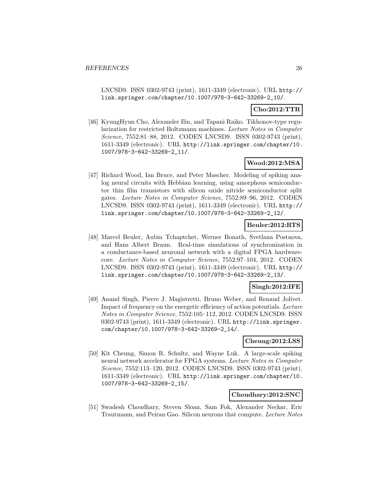LNCSD9. ISSN 0302-9743 (print), 1611-3349 (electronic). URL http:// link.springer.com/chapter/10.1007/978-3-642-33269-2\_10/.

# **Cho:2012:TTR**

[46] KyungHyun Cho, Alexander Ilin, and Tapani Raiko. Tikhonov-type regularization for restricted Boltzmann machines. Lecture Notes in Computer Science, 7552:81–88, 2012. CODEN LNCSD9. ISSN 0302-9743 (print), 1611-3349 (electronic). URL http://link.springer.com/chapter/10. 1007/978-3-642-33269-2\_11/.

### **Wood:2012:MSA**

[47] Richard Wood, Ian Bruce, and Peter Mascher. Modeling of spiking analog neural circuits with Hebbian learning, using amorphous semiconductor thin film transistors with silicon oxide nitride semiconductor split gates. Lecture Notes in Computer Science, 7552:89–96, 2012. CODEN LNCSD9. ISSN 0302-9743 (print), 1611-3349 (electronic). URL http:// link.springer.com/chapter/10.1007/978-3-642-33269-2\_12/.

# **Beuler:2012:RTS**

[48] Marcel Beuler, Aubin Tchaptchet, Werner Bonath, Svetlana Postnova, and Hans Albert Braun. Real-time simulations of synchronization in a conductance-based neuronal network with a digital FPGA hardwarecore. Lecture Notes in Computer Science, 7552:97–104, 2012. CODEN LNCSD9. ISSN 0302-9743 (print), 1611-3349 (electronic). URL http:// link.springer.com/chapter/10.1007/978-3-642-33269-2\_13/.

# **Singh:2012:IFE**

[49] Anand Singh, Pierre J. Magistretti, Bruno Weber, and Renaud Jolivet. Impact of frequency on the energetic efficiency of action potentials. Lecture Notes in Computer Science, 7552:105–112, 2012. CODEN LNCSD9. ISSN 0302-9743 (print), 1611-3349 (electronic). URL http://link.springer. com/chapter/10.1007/978-3-642-33269-2\_14/.

#### **Cheung:2012:LSS**

[50] Kit Cheung, Simon R. Schultz, and Wayne Luk. A large-scale spiking neural network accelerator for FPGA systems. Lecture Notes in Computer Science, 7552:113–120, 2012. CODEN LNCSD9. ISSN 0302-9743 (print), 1611-3349 (electronic). URL http://link.springer.com/chapter/10. 1007/978-3-642-33269-2\_15/.

#### **Choudhary:2012:SNC**

[51] Swadesh Choudhary, Steven Sloan, Sam Fok, Alexander Neckar, Eric Trautmann, and Peiran Gao. Silicon neurons that compute. Lecture Notes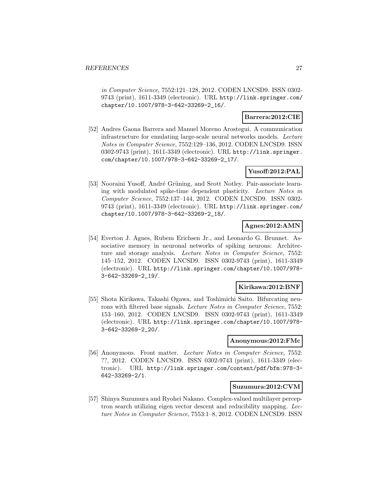in Computer Science, 7552:121–128, 2012. CODEN LNCSD9. ISSN 0302- 9743 (print), 1611-3349 (electronic). URL http://link.springer.com/ chapter/10.1007/978-3-642-33269-2\_16/.

### **Barrera:2012:CIE**

[52] Andres Gaona Barrera and Manuel Moreno Arostegui. A communication infrastructure for emulating large-scale neural networks models. Lecture Notes in Computer Science, 7552:129–136, 2012. CODEN LNCSD9. ISSN 0302-9743 (print), 1611-3349 (electronic). URL http://link.springer. com/chapter/10.1007/978-3-642-33269-2\_17/.

# **Yusoff:2012:PAL**

[53] Nooraini Yusoff, André Grüning, and Scott Notley. Pair-associate learning with modulated spike-time dependent plasticity. Lecture Notes in Computer Science, 7552:137–144, 2012. CODEN LNCSD9. ISSN 0302- 9743 (print), 1611-3349 (electronic). URL http://link.springer.com/ chapter/10.1007/978-3-642-33269-2\_18/.

# **Agnes:2012:AMN**

[54] Everton J. Agnes, Rubem Erichsen Jr., and Leonardo G. Brunnet. Associative memory in neuronal networks of spiking neurons: Architecture and storage analysis. Lecture Notes in Computer Science, 7552: 145–152, 2012. CODEN LNCSD9. ISSN 0302-9743 (print), 1611-3349 (electronic). URL http://link.springer.com/chapter/10.1007/978- 3-642-33269-2\_19/.

#### **Kirikawa:2012:BNF**

[55] Shota Kirikawa, Takashi Ogawa, and Toshimichi Saito. Bifurcating neurons with filtered base signals. Lecture Notes in Computer Science, 7552: 153–160, 2012. CODEN LNCSD9. ISSN 0302-9743 (print), 1611-3349 (electronic). URL http://link.springer.com/chapter/10.1007/978- 3-642-33269-2\_20/.

#### **Anonymous:2012:FMc**

[56] Anonymous. Front matter. Lecture Notes in Computer Science, 7552: ??, 2012. CODEN LNCSD9. ISSN 0302-9743 (print), 1611-3349 (electronic). URL http://link.springer.com/content/pdf/bfm:978-3- 642-33269-2/1.

### **Suzumura:2012:CVM**

[57] Shinya Suzumura and Ryohei Nakano. Complex-valued multilayer perceptron search utilizing eigen vector descent and reducibility mapping. Lecture Notes in Computer Science, 7553:1–8, 2012. CODEN LNCSD9. ISSN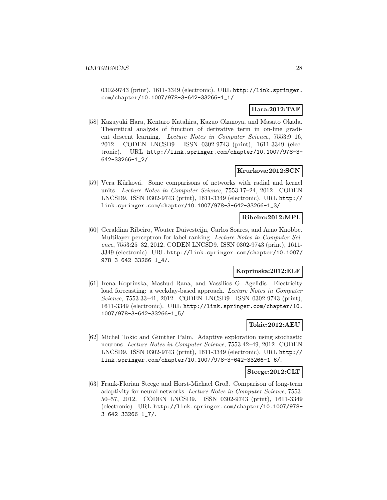0302-9743 (print), 1611-3349 (electronic). URL http://link.springer. com/chapter/10.1007/978-3-642-33266-1\_1/.

# **Hara:2012:TAF**

[58] Kazuyuki Hara, Kentaro Katahira, Kazuo Okanoya, and Masato Okada. Theoretical analysis of function of derivative term in on-line gradient descent learning. Lecture Notes in Computer Science, 7553:9–16, 2012. CODEN LNCSD9. ISSN 0302-9743 (print), 1611-3349 (electronic). URL http://link.springer.com/chapter/10.1007/978-3- 642-33266-1\_2/.

# **Krurkova:2012:SCN**

[59] Věra Kůrková. Some comparisons of networks with radial and kernel units. Lecture Notes in Computer Science, 7553:17–24, 2012. CODEN LNCSD9. ISSN 0302-9743 (print), 1611-3349 (electronic). URL http:// link.springer.com/chapter/10.1007/978-3-642-33266-1\_3/.

# **Ribeiro:2012:MPL**

[60] Geraldina Ribeiro, Wouter Duivesteijn, Carlos Soares, and Arno Knobbe. Multilayer perceptron for label ranking. Lecture Notes in Computer Science, 7553:25–32, 2012. CODEN LNCSD9. ISSN 0302-9743 (print), 1611- 3349 (electronic). URL http://link.springer.com/chapter/10.1007/ 978-3-642-33266-1\_4/.

# **Koprinska:2012:ELF**

[61] Irena Koprinska, Mashud Rana, and Vassilios G. Agelidis. Electricity load forecasting: a weekday-based approach. Lecture Notes in Computer Science, 7553:33–41, 2012. CODEN LNCSD9. ISSN 0302-9743 (print), 1611-3349 (electronic). URL http://link.springer.com/chapter/10. 1007/978-3-642-33266-1\_5/.

### **Tokic:2012:AEU**

[62] Michel Tokic and Günther Palm. Adaptive exploration using stochastic neurons. Lecture Notes in Computer Science, 7553:42–49, 2012. CODEN LNCSD9. ISSN 0302-9743 (print), 1611-3349 (electronic). URL http:// link.springer.com/chapter/10.1007/978-3-642-33266-1\_6/.

#### **Steege:2012:CLT**

[63] Frank-Florian Steege and Horst-Michael Groß. Comparison of long-term adaptivity for neural networks. Lecture Notes in Computer Science, 7553: 50–57, 2012. CODEN LNCSD9. ISSN 0302-9743 (print), 1611-3349 (electronic). URL http://link.springer.com/chapter/10.1007/978- 3-642-33266-1\_7/.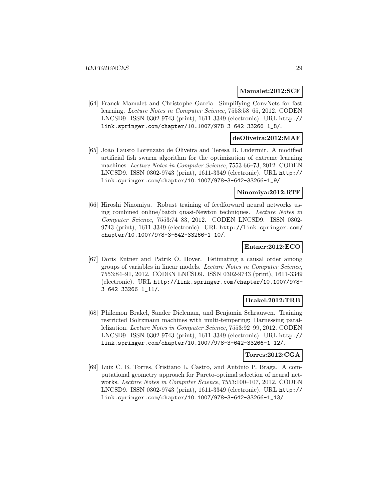#### **Mamalet:2012:SCF**

[64] Franck Mamalet and Christophe Garcia. Simplifying ConvNets for fast learning. Lecture Notes in Computer Science, 7553:58–65, 2012. CODEN LNCSD9. ISSN 0302-9743 (print), 1611-3349 (electronic). URL http:// link.springer.com/chapter/10.1007/978-3-642-33266-1\_8/.

# **deOliveira:2012:MAF**

[65] Jo˜ao Fausto Lorenzato de Oliveira and Teresa B. Ludermir. A modified artificial fish swarm algorithm for the optimization of extreme learning machines. Lecture Notes in Computer Science, 7553:66–73, 2012. CODEN LNCSD9. ISSN 0302-9743 (print), 1611-3349 (electronic). URL http:// link.springer.com/chapter/10.1007/978-3-642-33266-1\_9/.

#### **Ninomiya:2012:RTF**

[66] Hiroshi Ninomiya. Robust training of feedforward neural networks using combined online/batch quasi-Newton techniques. Lecture Notes in Computer Science, 7553:74–83, 2012. CODEN LNCSD9. ISSN 0302- 9743 (print), 1611-3349 (electronic). URL http://link.springer.com/ chapter/10.1007/978-3-642-33266-1\_10/.

# **Entner:2012:ECO**

[67] Doris Entner and Patrik O. Hoyer. Estimating a causal order among groups of variables in linear models. Lecture Notes in Computer Science, 7553:84–91, 2012. CODEN LNCSD9. ISSN 0302-9743 (print), 1611-3349 (electronic). URL http://link.springer.com/chapter/10.1007/978- 3-642-33266-1\_11/.

#### **Brakel:2012:TRB**

[68] Philemon Brakel, Sander Dieleman, and Benjamin Schrauwen. Training restricted Boltzmann machines with multi-tempering: Harnessing parallelization. Lecture Notes in Computer Science, 7553:92–99, 2012. CODEN LNCSD9. ISSN 0302-9743 (print), 1611-3349 (electronic). URL http:// link.springer.com/chapter/10.1007/978-3-642-33266-1\_12/.

# **Torres:2012:CGA**

[69] Luiz C. B. Torres, Cristiano L. Castro, and Antônio P. Braga. A computational geometry approach for Pareto-optimal selection of neural networks. Lecture Notes in Computer Science, 7553:100–107, 2012. CODEN LNCSD9. ISSN 0302-9743 (print), 1611-3349 (electronic). URL http:// link.springer.com/chapter/10.1007/978-3-642-33266-1\_13/.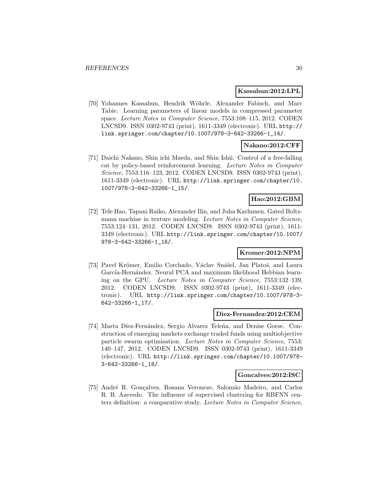#### **Kassahun:2012:LPL**

[70] Yohannes Kassahun, Hendrik Wöhrle, Alexander Fabisch, and Marc Tabie. Learning parameters of linear models in compressed parameter space. Lecture Notes in Computer Science, 7553:108–115, 2012. CODEN LNCSD9. ISSN 0302-9743 (print), 1611-3349 (electronic). URL http:// link.springer.com/chapter/10.1007/978-3-642-33266-1\_14/.

# **Nakano:2012:CFF**

[71] Daichi Nakano, Shin ichi Maeda, and Shin Ishii. Control of a free-falling cat by policy-based reinforcement learning. Lecture Notes in Computer Science, 7553:116–123, 2012. CODEN LNCSD9. ISSN 0302-9743 (print), 1611-3349 (electronic). URL http://link.springer.com/chapter/10. 1007/978-3-642-33266-1\_15/.

#### **Hao:2012:GBM**

[72] Tele Hao, Tapani Raiko, Alexander Ilin, and Juha Karhunen. Gated Boltzmann machine in texture modeling. Lecture Notes in Computer Science, 7553:124–131, 2012. CODEN LNCSD9. ISSN 0302-9743 (print), 1611- 3349 (electronic). URL http://link.springer.com/chapter/10.1007/ 978-3-642-33266-1\_16/.

# **Kromer:2012:NPM**

[73] Pavel Krömer, Emilio Corchado, Václav Snášel, Jan Platoš, and Laura García-Hernández. Neural PCA and maximum likelihood Hebbian learning on the GPU. Lecture Notes in Computer Science, 7553:132–139, 2012. CODEN LNCSD9. ISSN 0302-9743 (print), 1611-3349 (electronic). URL http://link.springer.com/chapter/10.1007/978-3- 642-33266-1\_17/.

#### **Diez-Fernandez:2012:CEM**

[74] Marta Díez-Fernández, Sergio Alvarez Teleña, and Denise Gorse. Construction of emerging markets exchange traded funds using multiobjective particle swarm optimisation. Lecture Notes in Computer Science, 7553: 140–147, 2012. CODEN LNCSD9. ISSN 0302-9743 (print), 1611-3349 (electronic). URL http://link.springer.com/chapter/10.1007/978- 3-642-33266-1\_18/.

#### **Goncalves:2012:ISC**

[75] Andr´e R. Gon¸calves, Rosana Veroneze, Salom˜ao Madeiro, and Carlos R. B. Azevedo. The influence of supervised clustering for RBFNN centers definition: a comparative study. Lecture Notes in Computer Science,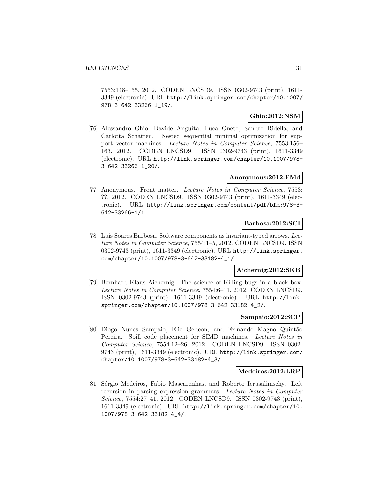7553:148–155, 2012. CODEN LNCSD9. ISSN 0302-9743 (print), 1611- 3349 (electronic). URL http://link.springer.com/chapter/10.1007/ 978-3-642-33266-1\_19/.

# **Ghio:2012:NSM**

[76] Alessandro Ghio, Davide Anguita, Luca Oneto, Sandro Ridella, and Carlotta Schatten. Nested sequential minimal optimization for support vector machines. Lecture Notes in Computer Science, 7553:156– 163, 2012. CODEN LNCSD9. ISSN 0302-9743 (print), 1611-3349 (electronic). URL http://link.springer.com/chapter/10.1007/978- 3-642-33266-1\_20/.

# **Anonymous:2012:FMd**

[77] Anonymous. Front matter. Lecture Notes in Computer Science, 7553: ??, 2012. CODEN LNCSD9. ISSN 0302-9743 (print), 1611-3349 (electronic). URL http://link.springer.com/content/pdf/bfm:978-3- 642-33266-1/1.

#### **Barbosa:2012:SCI**

[78] Luis Soares Barbosa. Software components as invariant-typed arrows. Lecture Notes in Computer Science, 7554:1–5, 2012. CODEN LNCSD9. ISSN 0302-9743 (print), 1611-3349 (electronic). URL http://link.springer. com/chapter/10.1007/978-3-642-33182-4\_1/.

# **Aichernig:2012:SKB**

[79] Bernhard Klaus Aichernig. The science of Killing bugs in a black box. Lecture Notes in Computer Science, 7554:6–11, 2012. CODEN LNCSD9. ISSN 0302-9743 (print), 1611-3349 (electronic). URL http://link. springer.com/chapter/10.1007/978-3-642-33182-4\_2/.

#### **Sampaio:2012:SCP**

[80] Diogo Nunes Sampaio, Elie Gedeon, and Fernando Magno Quintão Pereira. Spill code placement for SIMD machines. Lecture Notes in Computer Science, 7554:12–26, 2012. CODEN LNCSD9. ISSN 0302- 9743 (print), 1611-3349 (electronic). URL http://link.springer.com/ chapter/10.1007/978-3-642-33182-4\_3/.

#### **Medeiros:2012:LRP**

[81] Sérgio Medeiros, Fabio Mascarenhas, and Roberto Ierusalimschy. Left recursion in parsing expression grammars. Lecture Notes in Computer Science, 7554:27–41, 2012. CODEN LNCSD9. ISSN 0302-9743 (print), 1611-3349 (electronic). URL http://link.springer.com/chapter/10. 1007/978-3-642-33182-4\_4/.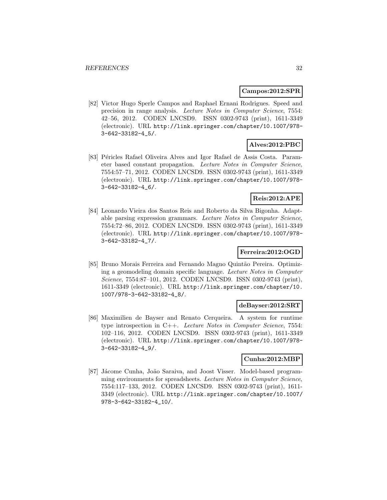#### **Campos:2012:SPR**

[82] Victor Hugo Sperle Campos and Raphael Ernani Rodrigues. Speed and precision in range analysis. Lecture Notes in Computer Science, 7554: 42–56, 2012. CODEN LNCSD9. ISSN 0302-9743 (print), 1611-3349 (electronic). URL http://link.springer.com/chapter/10.1007/978- 3-642-33182-4\_5/.

# **Alves:2012:PBC**

[83] Péricles Rafael Oliveira Alves and Igor Rafael de Assis Costa. Parameter based constant propagation. Lecture Notes in Computer Science, 7554:57–71, 2012. CODEN LNCSD9. ISSN 0302-9743 (print), 1611-3349 (electronic). URL http://link.springer.com/chapter/10.1007/978- 3-642-33182-4\_6/.

# **Reis:2012:APE**

[84] Leonardo Vieira dos Santos Reis and Roberto da Silva Bigonha. Adaptable parsing expression grammars. Lecture Notes in Computer Science, 7554:72–86, 2012. CODEN LNCSD9. ISSN 0302-9743 (print), 1611-3349 (electronic). URL http://link.springer.com/chapter/10.1007/978- 3-642-33182-4\_7/.

# **Ferreira:2012:OGD**

[85] Bruno Morais Ferreira and Fernando Magno Quintão Pereira. Optimizing a geomodeling domain specific language. Lecture Notes in Computer Science, 7554:87–101, 2012. CODEN LNCSD9. ISSN 0302-9743 (print), 1611-3349 (electronic). URL http://link.springer.com/chapter/10. 1007/978-3-642-33182-4\_8/.

#### **deBayser:2012:SRT**

[86] Maximilien de Bayser and Renato Cerqueira. A system for runtime type introspection in C++. Lecture Notes in Computer Science, 7554: 102–116, 2012. CODEN LNCSD9. ISSN 0302-9743 (print), 1611-3349 (electronic). URL http://link.springer.com/chapter/10.1007/978- 3-642-33182-4\_9/.

#### **Cunha:2012:MBP**

[87] Jácome Cunha, João Saraiva, and Joost Visser. Model-based programming environments for spreadsheets. Lecture Notes in Computer Science, 7554:117–133, 2012. CODEN LNCSD9. ISSN 0302-9743 (print), 1611- 3349 (electronic). URL http://link.springer.com/chapter/10.1007/ 978-3-642-33182-4\_10/.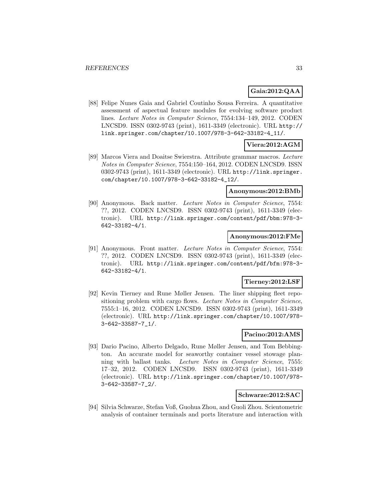# **Gaia:2012:QAA**

[88] Felipe Nunes Gaia and Gabriel Coutinho Sousa Ferreira. A quantitative assessment of aspectual feature modules for evolving software product lines. Lecture Notes in Computer Science, 7554:134–149, 2012. CODEN LNCSD9. ISSN 0302-9743 (print), 1611-3349 (electronic). URL http:// link.springer.com/chapter/10.1007/978-3-642-33182-4\_11/.

# **Viera:2012:AGM**

[89] Marcos Viera and Doaitse Swierstra. Attribute grammar macros. Lecture Notes in Computer Science, 7554:150–164, 2012. CODEN LNCSD9. ISSN 0302-9743 (print), 1611-3349 (electronic). URL http://link.springer. com/chapter/10.1007/978-3-642-33182-4\_12/.

### **Anonymous:2012:BMb**

[90] Anonymous. Back matter. Lecture Notes in Computer Science, 7554: ??, 2012. CODEN LNCSD9. ISSN 0302-9743 (print), 1611-3349 (electronic). URL http://link.springer.com/content/pdf/bbm:978-3- 642-33182-4/1.

### **Anonymous:2012:FMe**

[91] Anonymous. Front matter. Lecture Notes in Computer Science, 7554: ??, 2012. CODEN LNCSD9. ISSN 0302-9743 (print), 1611-3349 (electronic). URL http://link.springer.com/content/pdf/bfm:978-3- 642-33182-4/1.

# **Tierney:2012:LSF**

[92] Kevin Tierney and Rune Møller Jensen. The liner shipping fleet repositioning problem with cargo flows. Lecture Notes in Computer Science, 7555:1–16, 2012. CODEN LNCSD9. ISSN 0302-9743 (print), 1611-3349 (electronic). URL http://link.springer.com/chapter/10.1007/978- 3-642-33587-7\_1/.

# **Pacino:2012:AMS**

[93] Dario Pacino, Alberto Delgado, Rune Møller Jensen, and Tom Bebbington. An accurate model for seaworthy container vessel stowage planning with ballast tanks. Lecture Notes in Computer Science, 7555: 17–32, 2012. CODEN LNCSD9. ISSN 0302-9743 (print), 1611-3349 (electronic). URL http://link.springer.com/chapter/10.1007/978- 3-642-33587-7\_2/.

# **Schwarze:2012:SAC**

[94] Silvia Schwarze, Stefan Voß, Guohua Zhou, and Guoli Zhou. Scientometric analysis of container terminals and ports literature and interaction with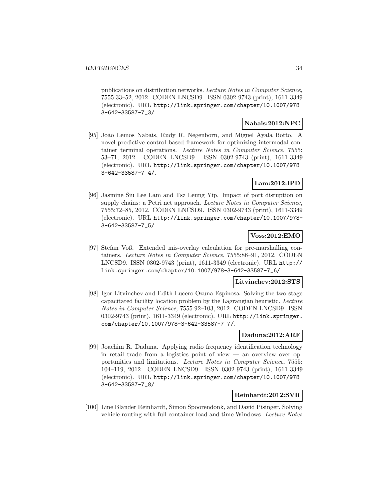publications on distribution networks. Lecture Notes in Computer Science, 7555:33–52, 2012. CODEN LNCSD9. ISSN 0302-9743 (print), 1611-3349 (electronic). URL http://link.springer.com/chapter/10.1007/978- 3-642-33587-7\_3/.

#### **Nabais:2012:NPC**

[95] João Lemos Nabais, Rudy R. Negenborn, and Miguel Ayala Botto. A novel predictive control based framework for optimizing intermodal container terminal operations. Lecture Notes in Computer Science, 7555: 53–71, 2012. CODEN LNCSD9. ISSN 0302-9743 (print), 1611-3349 (electronic). URL http://link.springer.com/chapter/10.1007/978- 3-642-33587-7\_4/.

# **Lam:2012:IPD**

[96] Jasmine Siu Lee Lam and Tsz Leung Yip. Impact of port disruption on supply chains: a Petri net approach. Lecture Notes in Computer Science, 7555:72–85, 2012. CODEN LNCSD9. ISSN 0302-9743 (print), 1611-3349 (electronic). URL http://link.springer.com/chapter/10.1007/978- 3-642-33587-7\_5/.

# **Voss:2012:EMO**

[97] Stefan Voß. Extended mis-overlay calculation for pre-marshalling containers. Lecture Notes in Computer Science, 7555:86–91, 2012. CODEN LNCSD9. ISSN 0302-9743 (print), 1611-3349 (electronic). URL http:// link.springer.com/chapter/10.1007/978-3-642-33587-7\_6/.

# **Litvinchev:2012:STS**

[98] Igor Litvinchev and Edith Lucero Ozuna Espinosa. Solving the two-stage capacitated facility location problem by the Lagrangian heuristic. Lecture Notes in Computer Science, 7555:92–103, 2012. CODEN LNCSD9. ISSN 0302-9743 (print), 1611-3349 (electronic). URL http://link.springer. com/chapter/10.1007/978-3-642-33587-7\_7/.

# **Daduna:2012:ARF**

[99] Joachim R. Daduna. Applying radio frequency identification technology in retail trade from a logistics point of view  $-$  an overview over opportunities and limitations. Lecture Notes in Computer Science, 7555: 104–119, 2012. CODEN LNCSD9. ISSN 0302-9743 (print), 1611-3349 (electronic). URL http://link.springer.com/chapter/10.1007/978- 3-642-33587-7\_8/.

# **Reinhardt:2012:SVR**

[100] Line Blander Reinhardt, Simon Spoorendonk, and David Pisinger. Solving vehicle routing with full container load and time Windows. Lecture Notes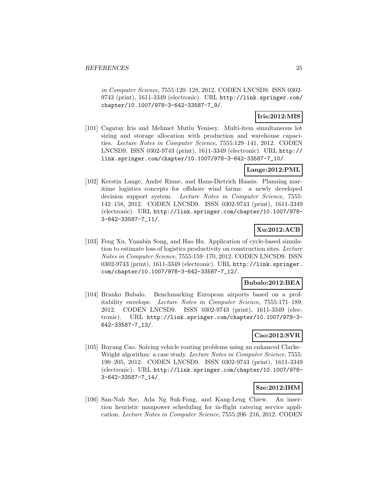in Computer Science, 7555:120–128, 2012. CODEN LNCSD9. ISSN 0302- 9743 (print), 1611-3349 (electronic). URL http://link.springer.com/ chapter/10.1007/978-3-642-33587-7\_9/.

# **Iris:2012:MIS**

[101] Cagatay Iris and Mehmet Mutlu Yenisey. Multi-item simultaneous lot sizing and storage allocation with production and warehouse capacities. Lecture Notes in Computer Science, 7555:129–141, 2012. CODEN LNCSD9. ISSN 0302-9743 (print), 1611-3349 (electronic). URL http:// link.springer.com/chapter/10.1007/978-3-642-33587-7\_10/.

# **Lange:2012:PML**

[102] Kerstin Lange, André Rinne, and Hans-Dietrich Haasis. Planning maritime logistics concepts for offshore wind farms: a newly developed decision support system. Lecture Notes in Computer Science, 7555: 142–158, 2012. CODEN LNCSD9. ISSN 0302-9743 (print), 1611-3349 (electronic). URL http://link.springer.com/chapter/10.1007/978- 3-642-33587-7\_11/.

# **Xu:2012:ACB**

[103] Feng Xu, Yuanbin Song, and Hao Hu. Application of cycle-based simulation to estimate loss of logistics productivity on construction sites. Lecture Notes in Computer Science, 7555:159–170, 2012. CODEN LNCSD9. ISSN 0302-9743 (print), 1611-3349 (electronic). URL http://link.springer. com/chapter/10.1007/978-3-642-33587-7\_12/.

# **Bubalo:2012:BEA**

[104] Branko Bubalo. Benchmarking European airports based on a profitability envelope. Lecture Notes in Computer Science, 7555:171–189, 2012. CODEN LNCSD9. ISSN 0302-9743 (print), 1611-3349 (electronic). URL http://link.springer.com/chapter/10.1007/978-3- 642-33587-7\_13/.

# **Cao:2012:SVR**

[105] Buyang Cao. Solving vehicle routing problems using an enhanced Clarke– Wright algorithm: a case study. Lecture Notes in Computer Science, 7555: 190–205, 2012. CODEN LNCSD9. ISSN 0302-9743 (print), 1611-3349 (electronic). URL http://link.springer.com/chapter/10.1007/978- 3-642-33587-7\_14/.

# **Sze:2012:IHM**

[106] San-Nah Sze, Ada Ng Suk-Fong, and Kang-Leng Chiew. An insertion heuristic manpower scheduling for in-flight catering service application. Lecture Notes in Computer Science, 7555:206–216, 2012. CODEN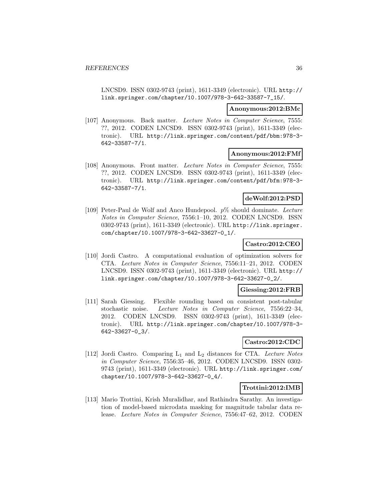LNCSD9. ISSN 0302-9743 (print), 1611-3349 (electronic). URL http:// link.springer.com/chapter/10.1007/978-3-642-33587-7\_15/.

#### **Anonymous:2012:BMc**

[107] Anonymous. Back matter. Lecture Notes in Computer Science, 7555: ??, 2012. CODEN LNCSD9. ISSN 0302-9743 (print), 1611-3349 (electronic). URL http://link.springer.com/content/pdf/bbm:978-3- 642-33587-7/1.

#### **Anonymous:2012:FMf**

[108] Anonymous. Front matter. Lecture Notes in Computer Science, 7555: ??, 2012. CODEN LNCSD9. ISSN 0302-9743 (print), 1611-3349 (electronic). URL http://link.springer.com/content/pdf/bfm:978-3- 642-33587-7/1.

# **deWolf:2012:PSD**

[109] Peter-Paul de Wolf and Anco Hundepool.  $p\%$  should dominate. Lecture Notes in Computer Science, 7556:1–10, 2012. CODEN LNCSD9. ISSN 0302-9743 (print), 1611-3349 (electronic). URL http://link.springer. com/chapter/10.1007/978-3-642-33627-0\_1/.

# **Castro:2012:CEO**

[110] Jordi Castro. A computational evaluation of optimization solvers for CTA. Lecture Notes in Computer Science, 7556:11–21, 2012. CODEN LNCSD9. ISSN 0302-9743 (print), 1611-3349 (electronic). URL http:// link.springer.com/chapter/10.1007/978-3-642-33627-0\_2/.

#### **Giessing:2012:FRB**

[111] Sarah Giessing. Flexible rounding based on consistent post-tabular stochastic noise. Lecture Notes in Computer Science, 7556:22–34, 2012. CODEN LNCSD9. ISSN 0302-9743 (print), 1611-3349 (electronic). URL http://link.springer.com/chapter/10.1007/978-3- 642-33627-0\_3/.

#### **Castro:2012:CDC**

[112] Jordi Castro. Comparing  $L_1$  and  $L_2$  distances for CTA. Lecture Notes in Computer Science, 7556:35–46, 2012. CODEN LNCSD9. ISSN 0302- 9743 (print), 1611-3349 (electronic). URL http://link.springer.com/ chapter/10.1007/978-3-642-33627-0\_4/.

#### **Trottini:2012:IMB**

[113] Mario Trottini, Krish Muralidhar, and Rathindra Sarathy. An investigation of model-based microdata masking for magnitude tabular data release. Lecture Notes in Computer Science, 7556:47–62, 2012. CODEN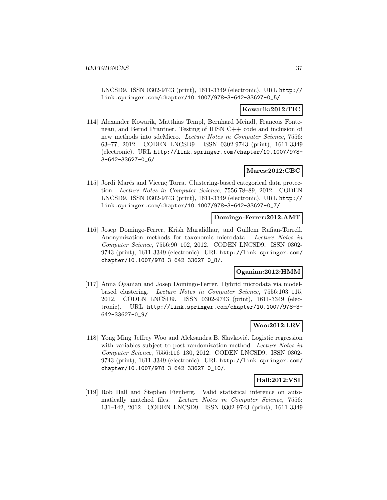LNCSD9. ISSN 0302-9743 (print), 1611-3349 (electronic). URL http:// link.springer.com/chapter/10.1007/978-3-642-33627-0\_5/.

### **Kowarik:2012:TIC**

[114] Alexander Kowarik, Matthias Templ, Bernhard Meindl, Francois Fonteneau, and Bernd Prantner. Testing of IHSN C++ code and inclusion of new methods into sdcMicro. Lecture Notes in Computer Science, 7556: 63–77, 2012. CODEN LNCSD9. ISSN 0302-9743 (print), 1611-3349 (electronic). URL http://link.springer.com/chapter/10.1007/978- 3-642-33627-0\_6/.

### **Mares:2012:CBC**

[115] Jordi Marés and Vicenç Torra. Clustering-based categorical data protection. Lecture Notes in Computer Science, 7556:78–89, 2012. CODEN LNCSD9. ISSN 0302-9743 (print), 1611-3349 (electronic). URL http:// link.springer.com/chapter/10.1007/978-3-642-33627-0\_7/.

### **Domingo-Ferrer:2012:AMT**

[116] Josep Domingo-Ferrer, Krish Muralidhar, and Guillem Rufian-Torrell. Anonymization methods for taxonomic microdata. Lecture Notes in Computer Science, 7556:90–102, 2012. CODEN LNCSD9. ISSN 0302- 9743 (print), 1611-3349 (electronic). URL http://link.springer.com/ chapter/10.1007/978-3-642-33627-0\_8/.

### **Oganian:2012:HMM**

[117] Anna Oganian and Josep Domingo-Ferrer. Hybrid microdata via modelbased clustering. Lecture Notes in Computer Science, 7556:103–115, 2012. CODEN LNCSD9. ISSN 0302-9743 (print), 1611-3349 (electronic). URL http://link.springer.com/chapter/10.1007/978-3- 642-33627-0\_9/.

#### **Woo:2012:LRV**

[118] Yong Ming Jeffrey Woo and Aleksandra B. Slavković. Logistic regression with variables subject to post randomization method. Lecture Notes in Computer Science, 7556:116–130, 2012. CODEN LNCSD9. ISSN 0302- 9743 (print), 1611-3349 (electronic). URL http://link.springer.com/ chapter/10.1007/978-3-642-33627-0\_10/.

### **Hall:2012:VSI**

[119] Rob Hall and Stephen Fienberg. Valid statistical inference on automatically matched files. Lecture Notes in Computer Science, 7556: 131–142, 2012. CODEN LNCSD9. ISSN 0302-9743 (print), 1611-3349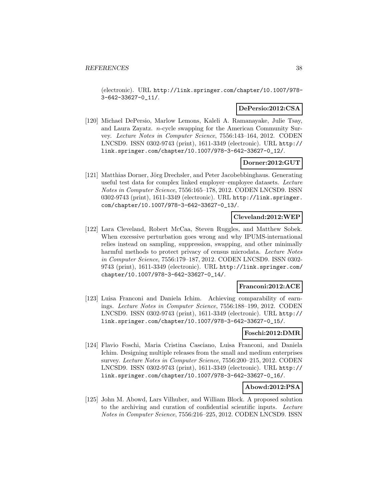(electronic). URL http://link.springer.com/chapter/10.1007/978- 3-642-33627-0\_11/.

### **DePersio:2012:CSA**

[120] Michael DePersio, Marlow Lemons, Kaleli A. Ramanayake, Julie Tsay, and Laura Zayatz. n-cycle swapping for the American Community Survey. Lecture Notes in Computer Science, 7556:143–164, 2012. CODEN LNCSD9. ISSN 0302-9743 (print), 1611-3349 (electronic). URL http:// link.springer.com/chapter/10.1007/978-3-642-33627-0\_12/.

#### **Dorner:2012:GUT**

[121] Matthias Dorner, Jörg Drechsler, and Peter Jacobebbinghaus. Generating useful test data for complex linked employer–employee datasets. Lecture Notes in Computer Science, 7556:165–178, 2012. CODEN LNCSD9. ISSN 0302-9743 (print), 1611-3349 (electronic). URL http://link.springer. com/chapter/10.1007/978-3-642-33627-0\_13/.

### **Cleveland:2012:WEP**

[122] Lara Cleveland, Robert McCaa, Steven Ruggles, and Matthew Sobek. When excessive perturbation goes wrong and why IPUMS-international relies instead on sampling, suppression, swapping, and other minimally harmful methods to protect privacy of census microdata. Lecture Notes in Computer Science, 7556:179–187, 2012. CODEN LNCSD9. ISSN 0302- 9743 (print), 1611-3349 (electronic). URL http://link.springer.com/ chapter/10.1007/978-3-642-33627-0\_14/.

#### **Franconi:2012:ACE**

[123] Luisa Franconi and Daniela Ichim. Achieving comparability of earnings. Lecture Notes in Computer Science, 7556:188–199, 2012. CODEN LNCSD9. ISSN 0302-9743 (print), 1611-3349 (electronic). URL http:// link.springer.com/chapter/10.1007/978-3-642-33627-0\_15/.

### **Foschi:2012:DMR**

[124] Flavio Foschi, Maria Cristina Casciano, Luisa Franconi, and Daniela Ichim. Designing multiple releases from the small and medium enterprises survey. Lecture Notes in Computer Science, 7556:200–215, 2012. CODEN LNCSD9. ISSN 0302-9743 (print), 1611-3349 (electronic). URL http:// link.springer.com/chapter/10.1007/978-3-642-33627-0\_16/.

#### **Abowd:2012:PSA**

[125] John M. Abowd, Lars Vilhuber, and William Block. A proposed solution to the archiving and curation of confidential scientific inputs. Lecture Notes in Computer Science, 7556:216–225, 2012. CODEN LNCSD9. ISSN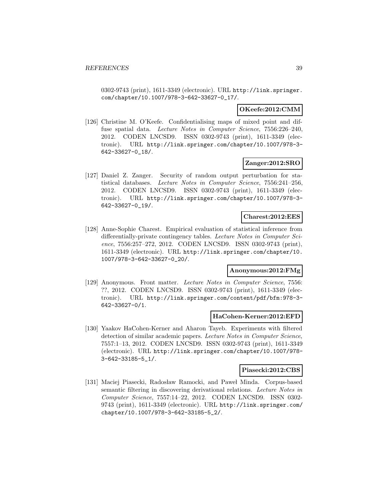0302-9743 (print), 1611-3349 (electronic). URL http://link.springer. com/chapter/10.1007/978-3-642-33627-0\_17/.

### **OKeefe:2012:CMM**

[126] Christine M. O'Keefe. Confidentialising maps of mixed point and diffuse spatial data. Lecture Notes in Computer Science, 7556:226-240, 2012. CODEN LNCSD9. ISSN 0302-9743 (print), 1611-3349 (electronic). URL http://link.springer.com/chapter/10.1007/978-3- 642-33627-0\_18/.

#### **Zanger:2012:SRO**

[127] Daniel Z. Zanger. Security of random output perturbation for statistical databases. Lecture Notes in Computer Science, 7556:241–256, 2012. CODEN LNCSD9. ISSN 0302-9743 (print), 1611-3349 (electronic). URL http://link.springer.com/chapter/10.1007/978-3- 642-33627-0\_19/.

#### **Charest:2012:EES**

[128] Anne-Sophie Charest. Empirical evaluation of statistical inference from differentially-private contingency tables. Lecture Notes in Computer Science, 7556:257–272, 2012. CODEN LNCSD9. ISSN 0302-9743 (print), 1611-3349 (electronic). URL http://link.springer.com/chapter/10. 1007/978-3-642-33627-0\_20/.

### **Anonymous:2012:FMg**

[129] Anonymous. Front matter. Lecture Notes in Computer Science, 7556: ??, 2012. CODEN LNCSD9. ISSN 0302-9743 (print), 1611-3349 (electronic). URL http://link.springer.com/content/pdf/bfm:978-3- 642-33627-0/1.

#### **HaCohen-Kerner:2012:EFD**

[130] Yaakov HaCohen-Kerner and Aharon Tayeb. Experiments with filtered detection of similar academic papers. Lecture Notes in Computer Science, 7557:1–13, 2012. CODEN LNCSD9. ISSN 0302-9743 (print), 1611-3349 (electronic). URL http://link.springer.com/chapter/10.1007/978- 3-642-33185-5\_1/.

#### **Piasecki:2012:CBS**

[131] Maciej Piasecki, Radosław Ramocki, and Paweł Minda. Corpus-based semantic filtering in discovering derivational relations. Lecture Notes in Computer Science, 7557:14–22, 2012. CODEN LNCSD9. ISSN 0302- 9743 (print), 1611-3349 (electronic). URL http://link.springer.com/ chapter/10.1007/978-3-642-33185-5\_2/.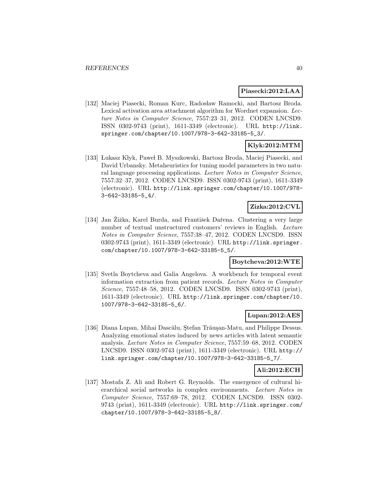#### **Piasecki:2012:LAA**

[132] Maciej Piasecki, Roman Kurc, Radosław Ramocki, and Bartosz Broda. Lexical activation area attachment algorithm for Wordnet expansion. Lecture Notes in Computer Science, 7557:23–31, 2012. CODEN LNCSD9. ISSN 0302-9743 (print), 1611-3349 (electronic). URL http://link. springer.com/chapter/10.1007/978-3-642-33185-5\_3/.

# **Klyk:2012:MTM**

[133] Lukasz Kłyk, Paweł B. Myszkowski, Bartosz Broda, Maciej Piasecki, and David Urbansky. Metaheuristics for tuning model parameters in two natural language processing applications. Lecture Notes in Computer Science, 7557:32–37, 2012. CODEN LNCSD9. ISSN 0302-9743 (print), 1611-3349 (electronic). URL http://link.springer.com/chapter/10.1007/978- 3-642-33185-5\_4/.

### **Zizka:2012:CVL**

[134] Jan Zižka, Karel Burda, and František Dařena. Clustering a very large number of textual unstructured customers' reviews in English. Lecture Notes in Computer Science, 7557:38–47, 2012. CODEN LNCSD9. ISSN 0302-9743 (print), 1611-3349 (electronic). URL http://link.springer. com/chapter/10.1007/978-3-642-33185-5\_5/.

### **Boytcheva:2012:WTE**

[135] Svetla Boytcheva and Galia Angelova. A workbench for temporal event information extraction from patient records. Lecture Notes in Computer Science, 7557:48–58, 2012. CODEN LNCSD9. ISSN 0302-9743 (print), 1611-3349 (electronic). URL http://link.springer.com/chapter/10. 1007/978-3-642-33185-5\_6/.

# **Lupan:2012:AES**

[136] Diana Lupan, Mihai Dascălu, Ștefan Trăușan-Matu, and Philippe Dessus. Analyzing emotional states induced by news articles with latent semantic analysis. Lecture Notes in Computer Science, 7557:59–68, 2012. CODEN LNCSD9. ISSN 0302-9743 (print), 1611-3349 (electronic). URL http:// link.springer.com/chapter/10.1007/978-3-642-33185-5\_7/.

### **Ali:2012:ECH**

[137] Mostafa Z. Ali and Robert G. Reynolds. The emergence of cultural hierarchical social networks in complex environments. Lecture Notes in Computer Science, 7557:69–78, 2012. CODEN LNCSD9. ISSN 0302- 9743 (print), 1611-3349 (electronic). URL http://link.springer.com/ chapter/10.1007/978-3-642-33185-5\_8/.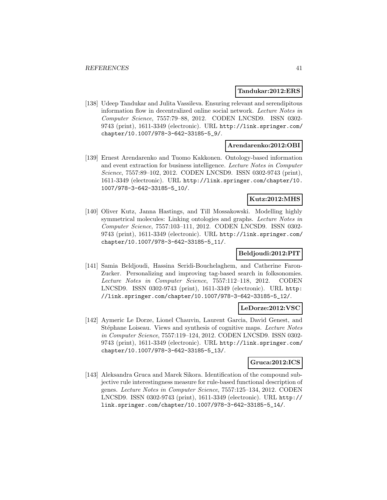#### **Tandukar:2012:ERS**

[138] Udeep Tandukar and Julita Vassileva. Ensuring relevant and serendipitous information flow in decentralized online social network. Lecture Notes in Computer Science, 7557:79–88, 2012. CODEN LNCSD9. ISSN 0302- 9743 (print), 1611-3349 (electronic). URL http://link.springer.com/ chapter/10.1007/978-3-642-33185-5\_9/.

### **Arendarenko:2012:OBI**

[139] Ernest Arendarenko and Tuomo Kakkonen. Ontology-based information and event extraction for business intelligence. Lecture Notes in Computer Science, 7557:89–102, 2012. CODEN LNCSD9. ISSN 0302-9743 (print), 1611-3349 (electronic). URL http://link.springer.com/chapter/10. 1007/978-3-642-33185-5\_10/.

#### **Kutz:2012:MHS**

[140] Oliver Kutz, Janna Hastings, and Till Mossakowski. Modelling highly symmetrical molecules: Linking ontologies and graphs. Lecture Notes in Computer Science, 7557:103–111, 2012. CODEN LNCSD9. ISSN 0302- 9743 (print), 1611-3349 (electronic). URL http://link.springer.com/ chapter/10.1007/978-3-642-33185-5\_11/.

### **Beldjoudi:2012:PIT**

[141] Samia Beldjoudi, Hassina Seridi-Bouchelaghem, and Catherine Faron-Zucker. Personalizing and improving tag-based search in folksonomies. Lecture Notes in Computer Science, 7557:112–118, 2012. CODEN LNCSD9. ISSN 0302-9743 (print), 1611-3349 (electronic). URL http: //link.springer.com/chapter/10.1007/978-3-642-33185-5\_12/.

#### **LeDorze:2012:VSC**

[142] Aymeric Le Dorze, Lionel Chauvin, Laurent Garcia, David Genest, and Stéphane Loiseau. Views and synthesis of cognitive maps. Lecture Notes in Computer Science, 7557:119–124, 2012. CODEN LNCSD9. ISSN 0302- 9743 (print), 1611-3349 (electronic). URL http://link.springer.com/ chapter/10.1007/978-3-642-33185-5\_13/.

#### **Gruca:2012:ICS**

[143] Aleksandra Gruca and Marek Sikora. Identification of the compound subjective rule interestingness measure for rule-based functional description of genes. Lecture Notes in Computer Science, 7557:125–134, 2012. CODEN LNCSD9. ISSN 0302-9743 (print), 1611-3349 (electronic). URL http:// link.springer.com/chapter/10.1007/978-3-642-33185-5\_14/.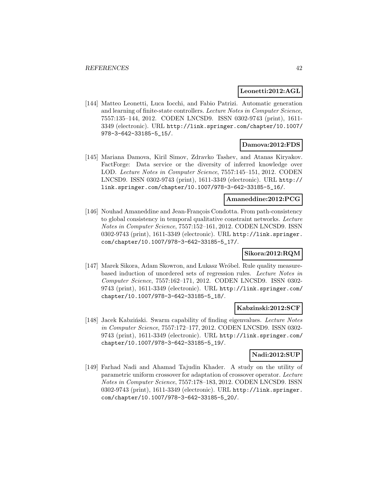#### **Leonetti:2012:AGL**

[144] Matteo Leonetti, Luca Iocchi, and Fabio Patrizi. Automatic generation and learning of finite-state controllers. Lecture Notes in Computer Science, 7557:135–144, 2012. CODEN LNCSD9. ISSN 0302-9743 (print), 1611- 3349 (electronic). URL http://link.springer.com/chapter/10.1007/ 978-3-642-33185-5\_15/.

#### **Damova:2012:FDS**

[145] Mariana Damova, Kiril Simov, Zdravko Tashev, and Atanas Kiryakov. FactForge: Data service or the diversity of inferred knowledge over LOD. Lecture Notes in Computer Science, 7557:145–151, 2012. CODEN LNCSD9. ISSN 0302-9743 (print), 1611-3349 (electronic). URL http:// link.springer.com/chapter/10.1007/978-3-642-33185-5\_16/.

### **Amaneddine:2012:PCG**

[146] Nouhad Amaneddine and Jean-François Condotta. From path-consistency to global consistency in temporal qualitative constraint networks. Lecture Notes in Computer Science, 7557:152–161, 2012. CODEN LNCSD9. ISSN 0302-9743 (print), 1611-3349 (electronic). URL http://link.springer. com/chapter/10.1007/978-3-642-33185-5\_17/.

### **Sikora:2012:RQM**

[147] Marek Sikora, Adam Skowron, and Lukasz Wróbel. Rule quality measurebased induction of unordered sets of regression rules. Lecture Notes in Computer Science, 7557:162–171, 2012. CODEN LNCSD9. ISSN 0302- 9743 (print), 1611-3349 (electronic). URL http://link.springer.com/ chapter/10.1007/978-3-642-33185-5\_18/.

#### **Kabzinski:2012:SCF**

[148] Jacek Kabziński. Swarm capability of finding eigenvalues. Lecture Notes in Computer Science, 7557:172–177, 2012. CODEN LNCSD9. ISSN 0302- 9743 (print), 1611-3349 (electronic). URL http://link.springer.com/ chapter/10.1007/978-3-642-33185-5\_19/.

### **Nadi:2012:SUP**

[149] Farhad Nadi and Ahamad Tajudin Khader. A study on the utility of parametric uniform crossover for adaptation of crossover operator. Lecture Notes in Computer Science, 7557:178–183, 2012. CODEN LNCSD9. ISSN 0302-9743 (print), 1611-3349 (electronic). URL http://link.springer. com/chapter/10.1007/978-3-642-33185-5\_20/.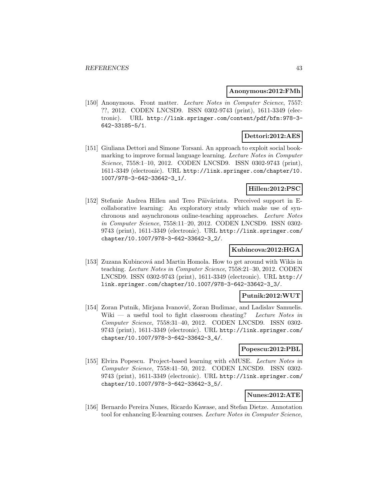#### **Anonymous:2012:FMh**

[150] Anonymous. Front matter. Lecture Notes in Computer Science, 7557: ??, 2012. CODEN LNCSD9. ISSN 0302-9743 (print), 1611-3349 (electronic). URL http://link.springer.com/content/pdf/bfm:978-3- 642-33185-5/1.

# **Dettori:2012:AES**

[151] Giuliana Dettori and Simone Torsani. An approach to exploit social bookmarking to improve formal language learning. Lecture Notes in Computer Science, 7558:1–10, 2012. CODEN LNCSD9. ISSN 0302-9743 (print), 1611-3349 (electronic). URL http://link.springer.com/chapter/10. 1007/978-3-642-33642-3\_1/.

# **Hillen:2012:PSC**

[152] Stefanie Andrea Hillen and Tero Päivärinta. Perceived support in Ecollaborative learning: An exploratory study which make use of synchronous and asynchronous online-teaching approaches. Lecture Notes in Computer Science, 7558:11–20, 2012. CODEN LNCSD9. ISSN 0302- 9743 (print), 1611-3349 (electronic). URL http://link.springer.com/ chapter/10.1007/978-3-642-33642-3\_2/.

# **Kubincova:2012:HGA**

[153] Zuzana Kubincová and Martin Homola. How to get around with Wikis in teaching. Lecture Notes in Computer Science, 7558:21–30, 2012. CODEN LNCSD9. ISSN 0302-9743 (print), 1611-3349 (electronic). URL http:// link.springer.com/chapter/10.1007/978-3-642-33642-3\_3/.

### **Putnik:2012:WUT**

[154] Zoran Putnik, Mirjana Ivanović, Zoran Budimac, and Ladislav Samuelis. Wiki — a useful tool to fight classroom cheating? Lecture Notes in Computer Science, 7558:31–40, 2012. CODEN LNCSD9. ISSN 0302- 9743 (print), 1611-3349 (electronic). URL http://link.springer.com/ chapter/10.1007/978-3-642-33642-3\_4/.

### **Popescu:2012:PBL**

[155] Elvira Popescu. Project-based learning with eMUSE. Lecture Notes in Computer Science, 7558:41–50, 2012. CODEN LNCSD9. ISSN 0302- 9743 (print), 1611-3349 (electronic). URL http://link.springer.com/ chapter/10.1007/978-3-642-33642-3\_5/.

### **Nunes:2012:ATE**

[156] Bernardo Pereira Nunes, Ricardo Kawase, and Stefan Dietze. Annotation tool for enhancing E-learning courses. Lecture Notes in Computer Science,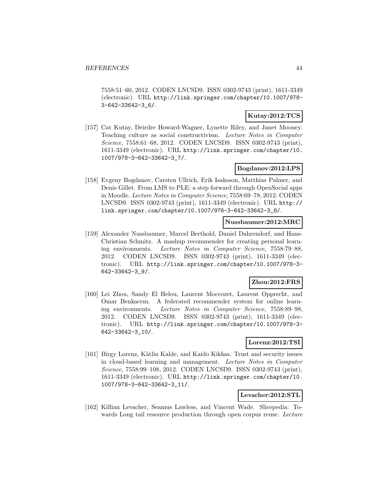7558:51–60, 2012. CODEN LNCSD9. ISSN 0302-9743 (print), 1611-3349 (electronic). URL http://link.springer.com/chapter/10.1007/978- 3-642-33642-3\_6/.

# **Kutay:2012:TCS**

[157] Cat Kutay, Deirdre Howard-Wagner, Lynette Riley, and Janet Mooney. Teaching culture as social constructivism. Lecture Notes in Computer Science, 7558:61–68, 2012. CODEN LNCSD9. ISSN 0302-9743 (print), 1611-3349 (electronic). URL http://link.springer.com/chapter/10. 1007/978-3-642-33642-3\_7/.

### **Bogdanov:2012:LPS**

[158] Evgeny Bogdanov, Carsten Ullrich, Erik Isaksson, Matthias Palmer, and Denis Gillet. From LMS to PLE: a step forward through OpenSocial apps in Moodle. Lecture Notes in Computer Science, 7558:69–78, 2012. CODEN LNCSD9. ISSN 0302-9743 (print), 1611-3349 (electronic). URL http:// link.springer.com/chapter/10.1007/978-3-642-33642-3\_8/.

### **Nussbaumer:2012:MRC**

[159] Alexander Nussbaumer, Marcel Berthold, Daniel Dahrendorf, and Hans-Christian Schmitz. A mashup recommender for creating personal learning environments. Lecture Notes in Computer Science, 7558:79–88, 2012. CODEN LNCSD9. ISSN 0302-9743 (print), 1611-3349 (electronic). URL http://link.springer.com/chapter/10.1007/978-3- 642-33642-3\_9/.

## **Zhou:2012:FRS**

[160] Lei Zhou, Sandy El Helou, Laurent Moccozet, Laurent Opprecht, and Omar Benkacem. A federated recommender system for online learning environments. Lecture Notes in Computer Science, 7558:89–98, 2012. CODEN LNCSD9. ISSN 0302-9743 (print), 1611-3349 (electronic). URL http://link.springer.com/chapter/10.1007/978-3- 642-33642-3\_10/.

### **Lorenz:2012:TSI**

[161] Birgy Lorenz, K¨atlin Kalde, and Kaido Kikkas. Trust and security issues in cloud-based learning and management. Lecture Notes in Computer Science, 7558:99–108, 2012. CODEN LNCSD9. ISSN 0302-9743 (print), 1611-3349 (electronic). URL http://link.springer.com/chapter/10. 1007/978-3-642-33642-3\_11/.

### **Levacher:2012:STL**

[162] Killian Levacher, Seamus Lawless, and Vincent Wade. Slicepedia: Towards Long tail resource production through open corpus reuse. Lecture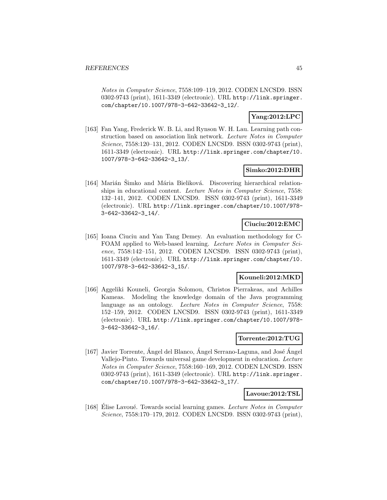Notes in Computer Science, 7558:109–119, 2012. CODEN LNCSD9. ISSN 0302-9743 (print), 1611-3349 (electronic). URL http://link.springer. com/chapter/10.1007/978-3-642-33642-3\_12/.

### **Yang:2012:LPC**

[163] Fan Yang, Frederick W. B. Li, and Rynson W. H. Lau. Learning path construction based on association link network. Lecture Notes in Computer Science, 7558:120–131, 2012. CODEN LNCSD9. ISSN 0302-9743 (print), 1611-3349 (electronic). URL http://link.springer.com/chapter/10. 1007/978-3-642-33642-3\_13/.

### **Simko:2012:DHR**

[164] Marián Śimko and Mária Bieliková. Discovering hierarchical relationships in educational content. Lecture Notes in Computer Science, 7558: 132–141, 2012. CODEN LNCSD9. ISSN 0302-9743 (print), 1611-3349 (electronic). URL http://link.springer.com/chapter/10.1007/978- 3-642-33642-3\_14/.

# **Ciuciu:2012:EMC**

[165] Ioana Ciuciu and Yan Tang Demey. An evaluation methodology for C-FOAM applied to Web-based learning. Lecture Notes in Computer Science, 7558:142–151, 2012. CODEN LNCSD9. ISSN 0302-9743 (print), 1611-3349 (electronic). URL http://link.springer.com/chapter/10. 1007/978-3-642-33642-3\_15/.

### **Kouneli:2012:MKD**

[166] Aggeliki Kouneli, Georgia Solomou, Christos Pierrakeas, and Achilles Kameas. Modeling the knowledge domain of the Java programming language as an ontology. Lecture Notes in Computer Science, 7558: 152–159, 2012. CODEN LNCSD9. ISSN 0302-9743 (print), 1611-3349 (electronic). URL http://link.springer.com/chapter/10.1007/978- 3-642-33642-3\_16/.

### **Torrente:2012:TUG**

[167] Javier Torrente, Angel del Blanco, Angel Serrano-Laguna, and José Angel Vallejo-Pinto. Towards universal game development in education. Lecture Notes in Computer Science, 7558:160–169, 2012. CODEN LNCSD9. ISSN 0302-9743 (print), 1611-3349 (electronic). URL http://link.springer. com/chapter/10.1007/978-3-642-33642-3\_17/.

#### **Lavoue:2012:TSL**

[168] Elise Lavoué. Towards social learning games. Lecture Notes in Computer Science, 7558:170–179, 2012. CODEN LNCSD9. ISSN 0302-9743 (print),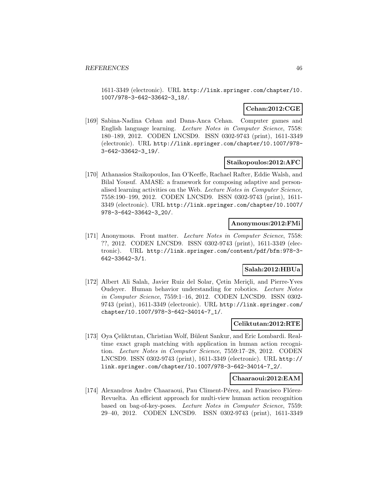1611-3349 (electronic). URL http://link.springer.com/chapter/10. 1007/978-3-642-33642-3\_18/.

### **Cehan:2012:CGE**

[169] Sabina-Nadina Cehan and Dana-Anca Cehan. Computer games and English language learning. Lecture Notes in Computer Science, 7558: 180–189, 2012. CODEN LNCSD9. ISSN 0302-9743 (print), 1611-3349 (electronic). URL http://link.springer.com/chapter/10.1007/978- 3-642-33642-3\_19/.

#### **Staikopoulos:2012:AFC**

[170] Athanasios Staikopoulos, Ian O'Keeffe, Rachael Rafter, Eddie Walsh, and Bilal Yousuf. AMASE: a framework for composing adaptive and personalised learning activities on the Web. Lecture Notes in Computer Science, 7558:190–199, 2012. CODEN LNCSD9. ISSN 0302-9743 (print), 1611- 3349 (electronic). URL http://link.springer.com/chapter/10.1007/ 978-3-642-33642-3\_20/.

#### **Anonymous:2012:FMi**

[171] Anonymous. Front matter. Lecture Notes in Computer Science, 7558: ??, 2012. CODEN LNCSD9. ISSN 0302-9743 (print), 1611-3349 (electronic). URL http://link.springer.com/content/pdf/bfm:978-3- 642-33642-3/1.

### **Salah:2012:HBUa**

[172] Albert Ali Salah, Javier Ruiz del Solar, Cetin Meriçli, and Pierre-Yves Oudeyer. Human behavior understanding for robotics. Lecture Notes in Computer Science, 7559:1–16, 2012. CODEN LNCSD9. ISSN 0302- 9743 (print), 1611-3349 (electronic). URL http://link.springer.com/ chapter/10.1007/978-3-642-34014-7\_1/.

#### **Celiktutan:2012:RTE**

[173] Oya Çeliktutan, Christian Wolf, Bülent Sankur, and Eric Lombardi. Realtime exact graph matching with application in human action recognition. Lecture Notes in Computer Science, 7559:17–28, 2012. CODEN LNCSD9. ISSN 0302-9743 (print), 1611-3349 (electronic). URL http:// link.springer.com/chapter/10.1007/978-3-642-34014-7\_2/.

#### **Chaaraoui:2012:EAM**

[174] Alexandros Andre Chaaraoui, Pau Climent-Pérez, and Francisco Flórez-Revuelta. An efficient approach for multi-view human action recognition based on bag-of-key-poses. Lecture Notes in Computer Science, 7559: 29–40, 2012. CODEN LNCSD9. ISSN 0302-9743 (print), 1611-3349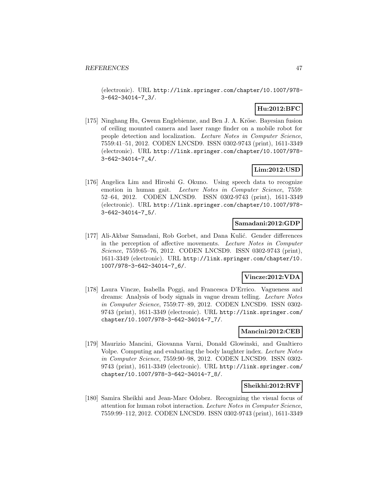(electronic). URL http://link.springer.com/chapter/10.1007/978- 3-642-34014-7\_3/.

# **Hu:2012:BFC**

[175] Ninghang Hu, Gwenn Englebienne, and Ben J. A. Kröse. Bayesian fusion of ceiling mounted camera and laser range finder on a mobile robot for people detection and localization. Lecture Notes in Computer Science, 7559:41–51, 2012. CODEN LNCSD9. ISSN 0302-9743 (print), 1611-3349 (electronic). URL http://link.springer.com/chapter/10.1007/978- 3-642-34014-7\_4/.

# **Lim:2012:USD**

[176] Angelica Lim and Hiroshi G. Okuno. Using speech data to recognize emotion in human gait. Lecture Notes in Computer Science, 7559: 52–64, 2012. CODEN LNCSD9. ISSN 0302-9743 (print), 1611-3349 (electronic). URL http://link.springer.com/chapter/10.1007/978- 3-642-34014-7\_5/.

### **Samadani:2012:GDP**

[177] Ali-Akbar Samadani, Rob Gorbet, and Dana Kulić. Gender differences in the perception of affective movements. Lecture Notes in Computer Science, 7559:65–76, 2012. CODEN LNCSD9. ISSN 0302-9743 (print), 1611-3349 (electronic). URL http://link.springer.com/chapter/10. 1007/978-3-642-34014-7\_6/.

### **Vincze:2012:VDA**

[178] Laura Vincze, Isabella Poggi, and Francesca D'Errico. Vagueness and dreams: Analysis of body signals in vague dream telling. Lecture Notes in Computer Science, 7559:77–89, 2012. CODEN LNCSD9. ISSN 0302- 9743 (print), 1611-3349 (electronic). URL http://link.springer.com/ chapter/10.1007/978-3-642-34014-7\_7/.

### **Mancini:2012:CEB**

[179] Maurizio Mancini, Giovanna Varni, Donald Glowinski, and Gualtiero Volpe. Computing and evaluating the body laughter index. Lecture Notes in Computer Science, 7559:90–98, 2012. CODEN LNCSD9. ISSN 0302- 9743 (print), 1611-3349 (electronic). URL http://link.springer.com/ chapter/10.1007/978-3-642-34014-7\_8/.

### **Sheikhi:2012:RVF**

[180] Samira Sheikhi and Jean-Marc Odobez. Recognizing the visual focus of attention for human robot interaction. Lecture Notes in Computer Science, 7559:99–112, 2012. CODEN LNCSD9. ISSN 0302-9743 (print), 1611-3349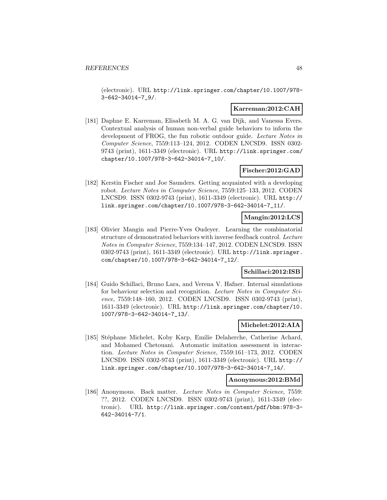(electronic). URL http://link.springer.com/chapter/10.1007/978- 3-642-34014-7\_9/.

#### **Karreman:2012:CAH**

[181] Daphne E. Karreman, Elisabeth M. A. G. van Dijk, and Vanessa Evers. Contextual analysis of human non-verbal guide behaviors to inform the development of FROG, the fun robotic outdoor guide. Lecture Notes in Computer Science, 7559:113–124, 2012. CODEN LNCSD9. ISSN 0302- 9743 (print), 1611-3349 (electronic). URL http://link.springer.com/ chapter/10.1007/978-3-642-34014-7\_10/.

#### **Fischer:2012:GAD**

[182] Kerstin Fischer and Joe Saunders. Getting acquainted with a developing robot. Lecture Notes in Computer Science, 7559:125–133, 2012. CODEN LNCSD9. ISSN 0302-9743 (print), 1611-3349 (electronic). URL http:// link.springer.com/chapter/10.1007/978-3-642-34014-7\_11/.

### **Mangin:2012:LCS**

[183] Olivier Mangin and Pierre-Yves Oudeyer. Learning the combinatorial structure of demonstrated behaviors with inverse feedback control. Lecture Notes in Computer Science, 7559:134–147, 2012. CODEN LNCSD9. ISSN 0302-9743 (print), 1611-3349 (electronic). URL http://link.springer. com/chapter/10.1007/978-3-642-34014-7\_12/.

### **Schillaci:2012:ISB**

[184] Guido Schillaci, Bruno Lara, and Verena V. Hafner. Internal simulations for behaviour selection and recognition. Lecture Notes in Computer Science, 7559:148–160, 2012. CODEN LNCSD9. ISSN 0302-9743 (print), 1611-3349 (electronic). URL http://link.springer.com/chapter/10. 1007/978-3-642-34014-7\_13/.

#### **Michelet:2012:AIA**

[185] Stéphane Michelet, Koby Karp, Emilie Delaherche, Catherine Achard, and Mohamed Chetouani. Automatic imitation assessment in interaction. Lecture Notes in Computer Science, 7559:161–173, 2012. CODEN LNCSD9. ISSN 0302-9743 (print), 1611-3349 (electronic). URL http:// link.springer.com/chapter/10.1007/978-3-642-34014-7\_14/.

#### **Anonymous:2012:BMd**

[186] Anonymous. Back matter. Lecture Notes in Computer Science, 7559: ??, 2012. CODEN LNCSD9. ISSN 0302-9743 (print), 1611-3349 (electronic). URL http://link.springer.com/content/pdf/bbm:978-3- 642-34014-7/1.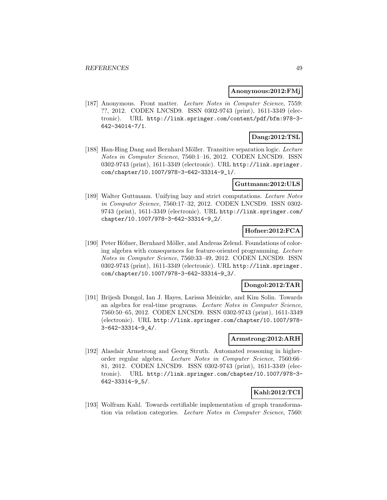#### **Anonymous:2012:FMj**

[187] Anonymous. Front matter. Lecture Notes in Computer Science, 7559: ??, 2012. CODEN LNCSD9. ISSN 0302-9743 (print), 1611-3349 (electronic). URL http://link.springer.com/content/pdf/bfm:978-3- 642-34014-7/1.

# **Dang:2012:TSL**

[188] Han-Hing Dang and Bernhard Möller. Transitive separation logic. Lecture Notes in Computer Science, 7560:1–16, 2012. CODEN LNCSD9. ISSN 0302-9743 (print), 1611-3349 (electronic). URL http://link.springer. com/chapter/10.1007/978-3-642-33314-9\_1/.

### **Guttmann:2012:ULS**

[189] Walter Guttmann. Unifying lazy and strict computations. Lecture Notes in Computer Science, 7560:17–32, 2012. CODEN LNCSD9. ISSN 0302- 9743 (print), 1611-3349 (electronic). URL http://link.springer.com/ chapter/10.1007/978-3-642-33314-9\_2/.

### **Hofner:2012:FCA**

[190] Peter Höfner, Bernhard Möller, and Andreas Zelend. Foundations of coloring algebra with consequences for feature-oriented programming. Lecture Notes in Computer Science, 7560:33–49, 2012. CODEN LNCSD9. ISSN 0302-9743 (print), 1611-3349 (electronic). URL http://link.springer. com/chapter/10.1007/978-3-642-33314-9\_3/.

### **Dongol:2012:TAR**

[191] Brijesh Dongol, Ian J. Hayes, Larissa Meinicke, and Kim Solin. Towards an algebra for real-time programs. Lecture Notes in Computer Science, 7560:50–65, 2012. CODEN LNCSD9. ISSN 0302-9743 (print), 1611-3349 (electronic). URL http://link.springer.com/chapter/10.1007/978- 3-642-33314-9\_4/.

#### **Armstrong:2012:ARH**

[192] Alasdair Armstrong and Georg Struth. Automated reasoning in higherorder regular algebra. Lecture Notes in Computer Science, 7560:66– 81, 2012. CODEN LNCSD9. ISSN 0302-9743 (print), 1611-3349 (electronic). URL http://link.springer.com/chapter/10.1007/978-3- 642-33314-9\_5/.

### **Kahl:2012:TCI**

[193] Wolfram Kahl. Towards certifiable implementation of graph transformation via relation categories. Lecture Notes in Computer Science, 7560: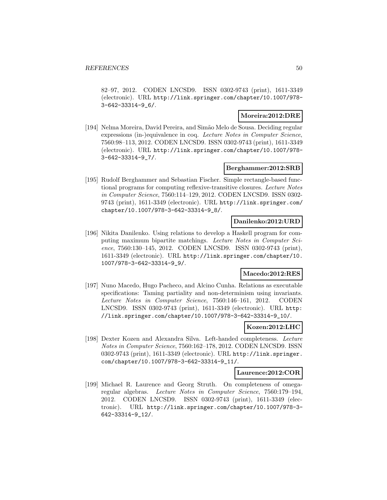82–97, 2012. CODEN LNCSD9. ISSN 0302-9743 (print), 1611-3349 (electronic). URL http://link.springer.com/chapter/10.1007/978- 3-642-33314-9\_6/.

### **Moreira:2012:DRE**

[194] Nelma Moreira, David Pereira, and Simão Melo de Sousa. Deciding regular expressions (in-)equivalence in coq. Lecture Notes in Computer Science, 7560:98–113, 2012. CODEN LNCSD9. ISSN 0302-9743 (print), 1611-3349 (electronic). URL http://link.springer.com/chapter/10.1007/978- 3-642-33314-9\_7/.

### **Berghammer:2012:SRB**

[195] Rudolf Berghammer and Sebastian Fischer. Simple rectangle-based functional programs for computing reflexive-transitive closures. Lecture Notes in Computer Science, 7560:114–129, 2012. CODEN LNCSD9. ISSN 0302- 9743 (print), 1611-3349 (electronic). URL http://link.springer.com/ chapter/10.1007/978-3-642-33314-9\_8/.

### **Danilenko:2012:URD**

[196] Nikita Danilenko. Using relations to develop a Haskell program for computing maximum bipartite matchings. Lecture Notes in Computer Science, 7560:130–145, 2012. CODEN LNCSD9. ISSN 0302-9743 (print), 1611-3349 (electronic). URL http://link.springer.com/chapter/10. 1007/978-3-642-33314-9\_9/.

### **Macedo:2012:RES**

[197] Nuno Macedo, Hugo Pacheco, and Alcino Cunha. Relations as executable specifications: Taming partiality and non-determinism using invariants. Lecture Notes in Computer Science, 7560:146–161, 2012. CODEN LNCSD9. ISSN 0302-9743 (print), 1611-3349 (electronic). URL http: //link.springer.com/chapter/10.1007/978-3-642-33314-9\_10/.

#### **Kozen:2012:LHC**

[198] Dexter Kozen and Alexandra Silva. Left-handed completeness. Lecture Notes in Computer Science, 7560:162–178, 2012. CODEN LNCSD9. ISSN 0302-9743 (print), 1611-3349 (electronic). URL http://link.springer. com/chapter/10.1007/978-3-642-33314-9\_11/.

#### **Laurence:2012:COR**

[199] Michael R. Laurence and Georg Struth. On completeness of omegaregular algebras. Lecture Notes in Computer Science, 7560:179–194, 2012. CODEN LNCSD9. ISSN 0302-9743 (print), 1611-3349 (electronic). URL http://link.springer.com/chapter/10.1007/978-3- 642-33314-9\_12/.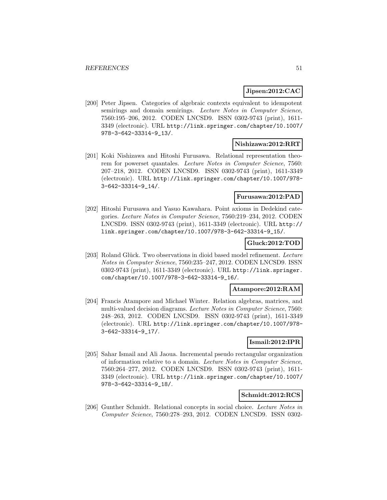### **Jipsen:2012:CAC**

[200] Peter Jipsen. Categories of algebraic contexts equivalent to idempotent semirings and domain semirings. Lecture Notes in Computer Science, 7560:195–206, 2012. CODEN LNCSD9. ISSN 0302-9743 (print), 1611- 3349 (electronic). URL http://link.springer.com/chapter/10.1007/ 978-3-642-33314-9\_13/.

#### **Nishizawa:2012:RRT**

[201] Koki Nishizawa and Hitoshi Furusawa. Relational representation theorem for powerset quantales. Lecture Notes in Computer Science, 7560: 207–218, 2012. CODEN LNCSD9. ISSN 0302-9743 (print), 1611-3349 (electronic). URL http://link.springer.com/chapter/10.1007/978- 3-642-33314-9\_14/.

# **Furusawa:2012:PAD**

[202] Hitoshi Furusawa and Yasuo Kawahara. Point axioms in Dedekind categories. Lecture Notes in Computer Science, 7560:219–234, 2012. CODEN LNCSD9. ISSN 0302-9743 (print), 1611-3349 (electronic). URL http:// link.springer.com/chapter/10.1007/978-3-642-33314-9\_15/.

#### **Gluck:2012:TOD**

[203] Roland Glück. Two observations in dioid based model refinement. Lecture Notes in Computer Science, 7560:235–247, 2012. CODEN LNCSD9. ISSN 0302-9743 (print), 1611-3349 (electronic). URL http://link.springer. com/chapter/10.1007/978-3-642-33314-9\_16/.

#### **Atampore:2012:RAM**

[204] Francis Atampore and Michael Winter. Relation algebras, matrices, and multi-valued decision diagrams. Lecture Notes in Computer Science, 7560: 248–263, 2012. CODEN LNCSD9. ISSN 0302-9743 (print), 1611-3349 (electronic). URL http://link.springer.com/chapter/10.1007/978- 3-642-33314-9\_17/.

### **Ismail:2012:IPR**

[205] Sahar Ismail and Ali Jaoua. Incremental pseudo rectangular organization of information relative to a domain. Lecture Notes in Computer Science, 7560:264–277, 2012. CODEN LNCSD9. ISSN 0302-9743 (print), 1611- 3349 (electronic). URL http://link.springer.com/chapter/10.1007/ 978-3-642-33314-9\_18/.

### **Schmidt:2012:RCS**

[206] Gunther Schmidt. Relational concepts in social choice. Lecture Notes in Computer Science, 7560:278–293, 2012. CODEN LNCSD9. ISSN 0302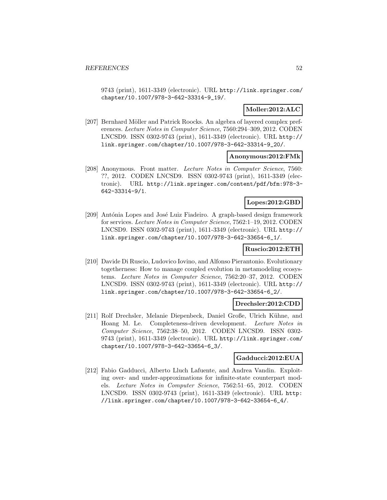9743 (print), 1611-3349 (electronic). URL http://link.springer.com/ chapter/10.1007/978-3-642-33314-9\_19/.

### **Moller:2012:ALC**

[207] Bernhard Möller and Patrick Roocks. An algebra of layered complex preferences. Lecture Notes in Computer Science, 7560:294–309, 2012. CODEN LNCSD9. ISSN 0302-9743 (print), 1611-3349 (electronic). URL http:// link.springer.com/chapter/10.1007/978-3-642-33314-9\_20/.

#### **Anonymous:2012:FMk**

[208] Anonymous. Front matter. Lecture Notes in Computer Science, 7560: ??, 2012. CODEN LNCSD9. ISSN 0302-9743 (print), 1611-3349 (electronic). URL http://link.springer.com/content/pdf/bfm:978-3- 642-33314-9/1.

### **Lopes:2012:GBD**

[209] Antónia Lopes and José Luiz Fiadeiro. A graph-based design framework for services. Lecture Notes in Computer Science, 7562:1–19, 2012. CODEN LNCSD9. ISSN 0302-9743 (print), 1611-3349 (electronic). URL http:// link.springer.com/chapter/10.1007/978-3-642-33654-6\_1/.

# **Ruscio:2012:ETH**

[210] Davide Di Ruscio, Ludovico Iovino, and Alfonso Pierantonio. Evolutionary togetherness: How to manage coupled evolution in metamodeling ecosystems. Lecture Notes in Computer Science, 7562:20–37, 2012. CODEN LNCSD9. ISSN 0302-9743 (print), 1611-3349 (electronic). URL http:// link.springer.com/chapter/10.1007/978-3-642-33654-6\_2/.

### **Drechsler:2012:CDD**

[211] Rolf Drechsler, Melanie Diepenbeck, Daniel Große, Ulrich Kühne, and Hoang M. Le. Completeness-driven development. Lecture Notes in Computer Science, 7562:38–50, 2012. CODEN LNCSD9. ISSN 0302- 9743 (print), 1611-3349 (electronic). URL http://link.springer.com/ chapter/10.1007/978-3-642-33654-6\_3/.

#### **Gadducci:2012:EUA**

[212] Fabio Gadducci, Alberto Lluch Lafuente, and Andrea Vandin. Exploiting over- and under-approximations for infinite-state counterpart models. Lecture Notes in Computer Science, 7562:51–65, 2012. CODEN LNCSD9. ISSN 0302-9743 (print), 1611-3349 (electronic). URL http: //link.springer.com/chapter/10.1007/978-3-642-33654-6\_4/.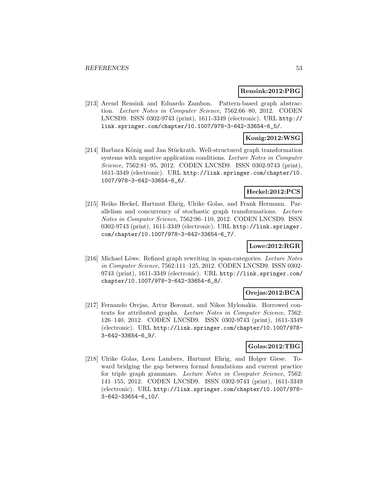#### **Rensink:2012:PBG**

[213] Arend Rensink and Eduardo Zambon. Pattern-based graph abstraction. Lecture Notes in Computer Science, 7562:66–80, 2012. CODEN LNCSD9. ISSN 0302-9743 (print), 1611-3349 (electronic). URL http:// link.springer.com/chapter/10.1007/978-3-642-33654-6\_5/.

### **Konig:2012:WSG**

[214] Barbara König and Jan Stückrath. Well-structured graph transformation systems with negative application conditions. Lecture Notes in Computer Science, 7562:81–95, 2012. CODEN LNCSD9. ISSN 0302-9743 (print), 1611-3349 (electronic). URL http://link.springer.com/chapter/10. 1007/978-3-642-33654-6\_6/.

### **Heckel:2012:PCS**

[215] Reiko Heckel, Hartmut Ehrig, Ulrike Golas, and Frank Hermann. Parallelism and concurrency of stochastic graph transformations. Lecture Notes in Computer Science, 7562:96–110, 2012. CODEN LNCSD9. ISSN 0302-9743 (print), 1611-3349 (electronic). URL http://link.springer. com/chapter/10.1007/978-3-642-33654-6\_7/.

#### **Lowe:2012:RGR**

[216] Michael Löwe. Refined graph rewriting in span-categories. Lecture Notes in Computer Science, 7562:111–125, 2012. CODEN LNCSD9. ISSN 0302- 9743 (print), 1611-3349 (electronic). URL http://link.springer.com/ chapter/10.1007/978-3-642-33654-6\_8/.

### **Orejas:2012:BCA**

[217] Fernando Orejas, Artur Boronat, and Nikos Mylonakis. Borrowed contexts for attributed graphs. Lecture Notes in Computer Science, 7562: 126–140, 2012. CODEN LNCSD9. ISSN 0302-9743 (print), 1611-3349 (electronic). URL http://link.springer.com/chapter/10.1007/978- 3-642-33654-6\_9/.

### **Golas:2012:TBG**

[218] Ulrike Golas, Leen Lambers, Hartmut Ehrig, and Holger Giese. Toward bridging the gap between formal foundations and current practice for triple graph grammars. Lecture Notes in Computer Science, 7562: 141–155, 2012. CODEN LNCSD9. ISSN 0302-9743 (print), 1611-3349 (electronic). URL http://link.springer.com/chapter/10.1007/978- 3-642-33654-6\_10/.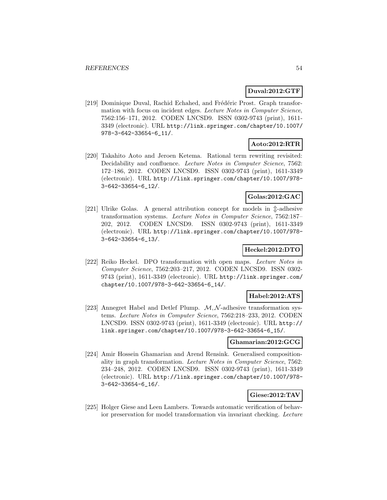### **Duval:2012:GTF**

[219] Dominique Duval, Rachid Echahed, and Frédéric Prost. Graph transformation with focus on incident edges. Lecture Notes in Computer Science, 7562:156–171, 2012. CODEN LNCSD9. ISSN 0302-9743 (print), 1611- 3349 (electronic). URL http://link.springer.com/chapter/10.1007/ 978-3-642-33654-6\_11/.

# **Aoto:2012:RTR**

[220] Takahito Aoto and Jeroen Ketema. Rational term rewriting revisited: Decidability and confluence. Lecture Notes in Computer Science, 7562: 172–186, 2012. CODEN LNCSD9. ISSN 0302-9743 (print), 1611-3349 (electronic). URL http://link.springer.com/chapter/10.1007/978- 3-642-33654-6\_12/.

### **Golas:2012:GAC**

[221] Ulrike Golas. A general attribution concept for models in  $\hat{\mathbb{L}}$ -adhesive transformation systems. Lecture Notes in Computer Science, 7562:187– 202, 2012. CODEN LNCSD9. ISSN 0302-9743 (print), 1611-3349 (electronic). URL http://link.springer.com/chapter/10.1007/978- 3-642-33654-6\_13/.

# **Heckel:2012:DTO**

[222] Reiko Heckel. DPO transformation with open maps. Lecture Notes in Computer Science, 7562:203–217, 2012. CODEN LNCSD9. ISSN 0302- 9743 (print), 1611-3349 (electronic). URL http://link.springer.com/ chapter/10.1007/978-3-642-33654-6\_14/.

### **Habel:2012:ATS**

[223] Annegret Habel and Detlef Plump.  $M, N$ -adhesive transformation systems. Lecture Notes in Computer Science, 7562:218–233, 2012. CODEN LNCSD9. ISSN 0302-9743 (print), 1611-3349 (electronic). URL http:// link.springer.com/chapter/10.1007/978-3-642-33654-6\_15/.

#### **Ghamarian:2012:GCG**

[224] Amir Hossein Ghamarian and Arend Rensink. Generalised compositionality in graph transformation. Lecture Notes in Computer Science, 7562: 234–248, 2012. CODEN LNCSD9. ISSN 0302-9743 (print), 1611-3349 (electronic). URL http://link.springer.com/chapter/10.1007/978- 3-642-33654-6\_16/.

# **Giese:2012:TAV**

[225] Holger Giese and Leen Lambers. Towards automatic verification of behavior preservation for model transformation via invariant checking. Lecture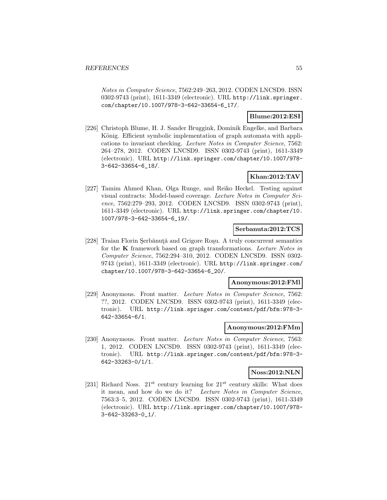Notes in Computer Science, 7562:249–263, 2012. CODEN LNCSD9. ISSN 0302-9743 (print), 1611-3349 (electronic). URL http://link.springer. com/chapter/10.1007/978-3-642-33654-6\_17/.

### **Blume:2012:ESI**

[226] Christoph Blume, H. J. Sander Bruggink, Dominik Engelke, and Barbara König. Efficient symbolic implementation of graph automata with applications to invariant checking. Lecture Notes in Computer Science, 7562: 264–278, 2012. CODEN LNCSD9. ISSN 0302-9743 (print), 1611-3349 (electronic). URL http://link.springer.com/chapter/10.1007/978- 3-642-33654-6\_18/.

### **Khan:2012:TAV**

[227] Tamim Ahmed Khan, Olga Runge, and Reiko Heckel. Testing against visual contracts: Model-based coverage. Lecture Notes in Computer Science, 7562:279–293, 2012. CODEN LNCSD9. ISSN 0302-9743 (print), 1611-3349 (electronic). URL http://link.springer.com/chapter/10. 1007/978-3-642-33654-6\_19/.

### **Serbanuta:2012:TCS**

[228] Traian Florin Serbănută and Grigore Roșu. A truly concurrent semantics for the **K** framework based on graph transformations. Lecture Notes in Computer Science, 7562:294–310, 2012. CODEN LNCSD9. ISSN 0302- 9743 (print), 1611-3349 (electronic). URL http://link.springer.com/ chapter/10.1007/978-3-642-33654-6\_20/.

#### **Anonymous:2012:FMl**

[229] Anonymous. Front matter. Lecture Notes in Computer Science, 7562: ??, 2012. CODEN LNCSD9. ISSN 0302-9743 (print), 1611-3349 (electronic). URL http://link.springer.com/content/pdf/bfm:978-3- 642-33654-6/1.

#### **Anonymous:2012:FMm**

[230] Anonymous. Front matter. Lecture Notes in Computer Science, 7563: 1, 2012. CODEN LNCSD9. ISSN 0302-9743 (print), 1611-3349 (electronic). URL http://link.springer.com/content/pdf/bfm:978-3- 642-33263-0/1/1.

#### **Noss:2012:NLN**

[231] Richard Noss.  $21^{st}$  century learning for  $21^{st}$  century skills: What does it mean, and how do we do it? Lecture Notes in Computer Science, 7563:3–5, 2012. CODEN LNCSD9. ISSN 0302-9743 (print), 1611-3349 (electronic). URL http://link.springer.com/chapter/10.1007/978- 3-642-33263-0\_1/.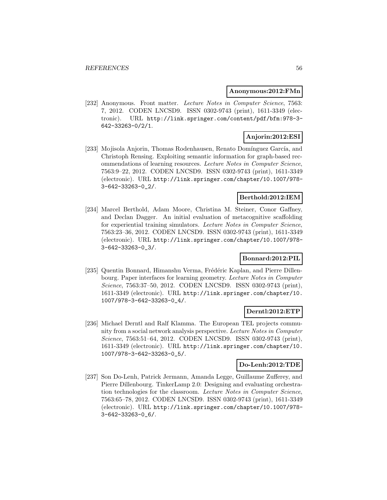#### **Anonymous:2012:FMn**

[232] Anonymous. Front matter. Lecture Notes in Computer Science, 7563: 7, 2012. CODEN LNCSD9. ISSN 0302-9743 (print), 1611-3349 (electronic). URL http://link.springer.com/content/pdf/bfm:978-3- 642-33263-0/2/1.

### **Anjorin:2012:ESI**

[233] Mojisola Anjorin, Thomas Rodenhausen, Renato Domínguez García, and Christoph Rensing. Exploiting semantic information for graph-based recommendations of learning resources. Lecture Notes in Computer Science, 7563:9–22, 2012. CODEN LNCSD9. ISSN 0302-9743 (print), 1611-3349 (electronic). URL http://link.springer.com/chapter/10.1007/978- 3-642-33263-0\_2/.

### **Berthold:2012:IEM**

[234] Marcel Berthold, Adam Moore, Christina M. Steiner, Conor Gaffney, and Declan Dagger. An initial evaluation of metacognitive scaffolding for experiential training simulators. Lecture Notes in Computer Science, 7563:23–36, 2012. CODEN LNCSD9. ISSN 0302-9743 (print), 1611-3349 (electronic). URL http://link.springer.com/chapter/10.1007/978- 3-642-33263-0\_3/.

#### **Bonnard:2012:PIL**

[235] Quentin Bonnard, Himanshu Verma, Frédéric Kaplan, and Pierre Dillenbourg. Paper interfaces for learning geometry. Lecture Notes in Computer Science, 7563:37–50, 2012. CODEN LNCSD9. ISSN 0302-9743 (print), 1611-3349 (electronic). URL http://link.springer.com/chapter/10. 1007/978-3-642-33263-0\_4/.

#### **Derntl:2012:ETP**

[236] Michael Derntl and Ralf Klamma. The European TEL projects community from a social network analysis perspective. Lecture Notes in Computer Science, 7563:51–64, 2012. CODEN LNCSD9. ISSN 0302-9743 (print), 1611-3349 (electronic). URL http://link.springer.com/chapter/10. 1007/978-3-642-33263-0\_5/.

### **Do-Lenh:2012:TDE**

[237] Son Do-Lenh, Patrick Jermann, Amanda Legge, Guillaume Zufferey, and Pierre Dillenbourg. TinkerLamp 2.0: Designing and evaluating orchestration technologies for the classroom. Lecture Notes in Computer Science, 7563:65–78, 2012. CODEN LNCSD9. ISSN 0302-9743 (print), 1611-3349 (electronic). URL http://link.springer.com/chapter/10.1007/978- 3-642-33263-0\_6/.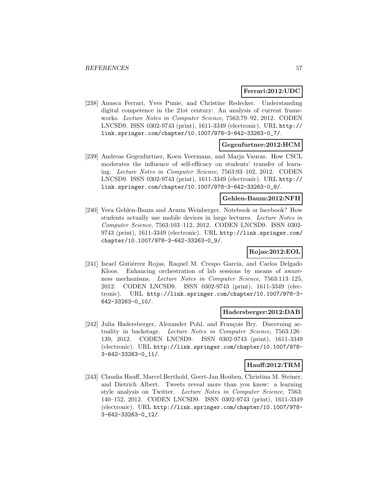### **Ferrari:2012:UDC**

[238] Anusca Ferrari, Yves Punie, and Christine Redecker. Understanding digital competence in the 21st century: An analysis of current frameworks. Lecture Notes in Computer Science, 7563:79–92, 2012. CODEN LNCSD9. ISSN 0302-9743 (print), 1611-3349 (electronic). URL http:// link.springer.com/chapter/10.1007/978-3-642-33263-0\_7/.

# **Gegenfurtner:2012:HCM**

[239] Andreas Gegenfurtner, Koen Veermans, and Marja Vauras. How CSCL moderates the influence of self-efficacy on students' transfer of learning. Lecture Notes in Computer Science, 7563:93–102, 2012. CODEN LNCSD9. ISSN 0302-9743 (print), 1611-3349 (electronic). URL http:// link.springer.com/chapter/10.1007/978-3-642-33263-0\_8/.

## **Gehlen-Baum:2012:NFH**

[240] Vera Gehlen-Baum and Armin Weinberger. Notebook or facebook? How students actually use mobile devices in large lectures. Lecture Notes in Computer Science, 7563:103–112, 2012. CODEN LNCSD9. ISSN 0302- 9743 (print), 1611-3349 (electronic). URL http://link.springer.com/ chapter/10.1007/978-3-642-33263-0\_9/.

### **Rojas:2012:EOL**

[241] Israel Gutiérrez Rojas, Raquel M. Crespo García, and Carlos Delgado Kloos. Enhancing orchestration of lab sessions by means of awareness mechanisms. Lecture Notes in Computer Science, 7563:113–125, 2012. CODEN LNCSD9. ISSN 0302-9743 (print), 1611-3349 (electronic). URL http://link.springer.com/chapter/10.1007/978-3- 642-33263-0\_10/.

### **Hadersberger:2012:DAB**

[242] Julia Hadersberger, Alexander Pohl, and François Bry. Discerning actuality in backstage. Lecture Notes in Computer Science, 7563:126– 139, 2012. CODEN LNCSD9. ISSN 0302-9743 (print), 1611-3349 (electronic). URL http://link.springer.com/chapter/10.1007/978- 3-642-33263-0\_11/.

# **Hauff:2012:TRM**

[243] Claudia Hauff, Marcel Berthold, Geert-Jan Houben, Christina M. Steiner, and Dietrich Albert. Tweets reveal more than you know: a learning style analysis on Twitter. Lecture Notes in Computer Science, 7563: 140–152, 2012. CODEN LNCSD9. ISSN 0302-9743 (print), 1611-3349 (electronic). URL http://link.springer.com/chapter/10.1007/978- 3-642-33263-0\_12/.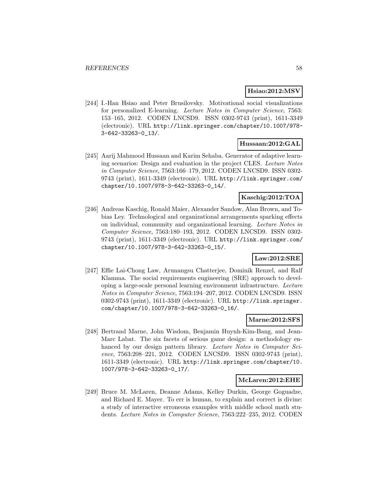### **Hsiao:2012:MSV**

[244] I.-Han Hsiao and Peter Brusilovsky. Motivational social visualizations for personalized E-learning. Lecture Notes in Computer Science, 7563: 153–165, 2012. CODEN LNCSD9. ISSN 0302-9743 (print), 1611-3349 (electronic). URL http://link.springer.com/chapter/10.1007/978- 3-642-33263-0\_13/.

### **Hussaan:2012:GAL**

[245] Aarij Mahmood Hussaan and Karim Sehaba. Generator of adaptive learning scenarios: Design and evaluation in the project CLES. Lecture Notes in Computer Science, 7563:166–179, 2012. CODEN LNCSD9. ISSN 0302- 9743 (print), 1611-3349 (electronic). URL http://link.springer.com/ chapter/10.1007/978-3-642-33263-0\_14/.

### **Kaschig:2012:TOA**

[246] Andreas Kaschig, Ronald Maier, Alexander Sandow, Alan Brown, and Tobias Ley. Technological and organizational arrangements sparking effects on individual, community and organizational learning. Lecture Notes in Computer Science, 7563:180–193, 2012. CODEN LNCSD9. ISSN 0302- 9743 (print), 1611-3349 (electronic). URL http://link.springer.com/ chapter/10.1007/978-3-642-33263-0\_15/.

### **Law:2012:SRE**

[247] Effie Lai-Chong Law, Arunangsu Chatterjee, Dominik Renzel, and Ralf Klamma. The social requirements engineering (SRE) approach to developing a large-scale personal learning environment infrastructure. Lecture Notes in Computer Science, 7563:194–207, 2012. CODEN LNCSD9. ISSN 0302-9743 (print), 1611-3349 (electronic). URL http://link.springer. com/chapter/10.1007/978-3-642-33263-0\_16/.

#### **Marne:2012:SFS**

[248] Bertrand Marne, John Wisdom, Benjamin Huynh-Kim-Bang, and Jean-Marc Labat. The six facets of serious game design: a methodology enhanced by our design pattern library. Lecture Notes in Computer Science, 7563:208–221, 2012. CODEN LNCSD9. ISSN 0302-9743 (print), 1611-3349 (electronic). URL http://link.springer.com/chapter/10. 1007/978-3-642-33263-0\_17/.

#### **McLaren:2012:EHE**

[249] Bruce M. McLaren, Deanne Adams, Kelley Durkin, George Goguadze, and Richard E. Mayer. To err is human, to explain and correct is divine: a study of interactive erroneous examples with middle school math students. Lecture Notes in Computer Science, 7563:222–235, 2012. CODEN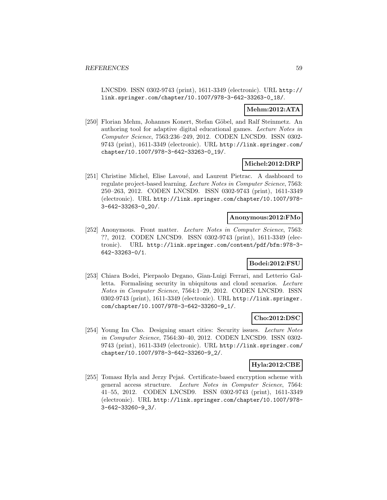LNCSD9. ISSN 0302-9743 (print), 1611-3349 (electronic). URL http:// link.springer.com/chapter/10.1007/978-3-642-33263-0\_18/.

### **Mehm:2012:ATA**

[250] Florian Mehm, Johannes Konert, Stefan Göbel, and Ralf Steinmetz. An authoring tool for adaptive digital educational games. Lecture Notes in Computer Science, 7563:236–249, 2012. CODEN LNCSD9. ISSN 0302- 9743 (print), 1611-3349 (electronic). URL http://link.springer.com/ chapter/10.1007/978-3-642-33263-0\_19/.

### **Michel:2012:DRP**

[251] Christine Michel, Elise Lavoué, and Laurent Pietrac. A dashboard to regulate project-based learning. Lecture Notes in Computer Science, 7563: 250–263, 2012. CODEN LNCSD9. ISSN 0302-9743 (print), 1611-3349 (electronic). URL http://link.springer.com/chapter/10.1007/978- 3-642-33263-0\_20/.

#### **Anonymous:2012:FMo**

[252] Anonymous. Front matter. Lecture Notes in Computer Science, 7563: ??, 2012. CODEN LNCSD9. ISSN 0302-9743 (print), 1611-3349 (electronic). URL http://link.springer.com/content/pdf/bfm:978-3- 642-33263-0/1.

### **Bodei:2012:FSU**

[253] Chiara Bodei, Pierpaolo Degano, Gian-Luigi Ferrari, and Letterio Galletta. Formalising security in ubiquitous and cloud scenarios. Lecture Notes in Computer Science, 7564:1–29, 2012. CODEN LNCSD9. ISSN 0302-9743 (print), 1611-3349 (electronic). URL http://link.springer. com/chapter/10.1007/978-3-642-33260-9\_1/.

#### **Cho:2012:DSC**

[254] Young Im Cho. Designing smart cities: Security issues. Lecture Notes in Computer Science, 7564:30–40, 2012. CODEN LNCSD9. ISSN 0302- 9743 (print), 1611-3349 (electronic). URL http://link.springer.com/ chapter/10.1007/978-3-642-33260-9\_2/.

# **Hyla:2012:CBE**

[255] Tomasz Hyla and Jerzy Peja´s. Certificate-based encryption scheme with general access structure. Lecture Notes in Computer Science, 7564: 41–55, 2012. CODEN LNCSD9. ISSN 0302-9743 (print), 1611-3349 (electronic). URL http://link.springer.com/chapter/10.1007/978- 3-642-33260-9\_3/.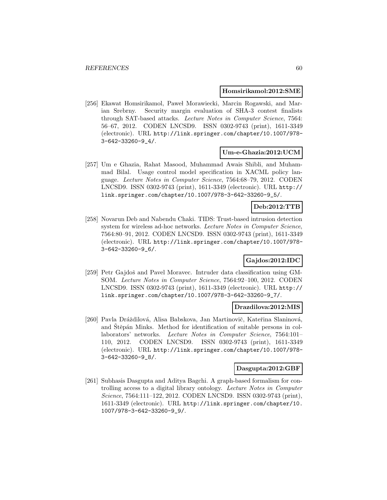#### **Homsirikamol:2012:SME**

[256] Ekawat Homsirikamol, Paweł Morawiecki, Marcin Rogawski, and Marian Srebrny. Security margin evaluation of SHA-3 contest finalists through SAT-based attacks. Lecture Notes in Computer Science, 7564: 56–67, 2012. CODEN LNCSD9. ISSN 0302-9743 (print), 1611-3349 (electronic). URL http://link.springer.com/chapter/10.1007/978- 3-642-33260-9\_4/.

#### **Um-e-Ghazia:2012:UCM**

[257] Um e Ghazia, Rahat Masood, Muhammad Awais Shibli, and Muhammad Bilal. Usage control model specification in XACML policy language. Lecture Notes in Computer Science, 7564:68–79, 2012. CODEN LNCSD9. ISSN 0302-9743 (print), 1611-3349 (electronic). URL http:// link.springer.com/chapter/10.1007/978-3-642-33260-9\_5/.

## **Deb:2012:TTB**

[258] Novarun Deb and Nabendu Chaki. TIDS: Trust-based intrusion detection system for wireless ad-hoc networks. Lecture Notes in Computer Science, 7564:80–91, 2012. CODEN LNCSD9. ISSN 0302-9743 (print), 1611-3349 (electronic). URL http://link.springer.com/chapter/10.1007/978- 3-642-33260-9\_6/.

### **Gajdos:2012:IDC**

[259] Petr Gajdoš and Pavel Moravec. Intruder data classification using GM-SOM. Lecture Notes in Computer Science, 7564:92–100, 2012. CODEN LNCSD9. ISSN 0302-9743 (print), 1611-3349 (electronic). URL http:// link.springer.com/chapter/10.1007/978-3-642-33260-9\_7/.

#### **Drazdilova:2012:MIS**

[260] Pavla Dráždilová, Alisa Babskova, Jan Martinovič, Kateřina Slaninová, and Stěpán Minks. Method for identification of suitable persons in collaborators' networks. Lecture Notes in Computer Science, 7564:101– 110, 2012. CODEN LNCSD9. ISSN 0302-9743 (print), 1611-3349 (electronic). URL http://link.springer.com/chapter/10.1007/978- 3-642-33260-9\_8/.

#### **Dasgupta:2012:GBF**

[261] Subhasis Dasgupta and Aditya Bagchi. A graph-based formalism for controlling access to a digital library ontology. Lecture Notes in Computer Science, 7564:111–122, 2012. CODEN LNCSD9. ISSN 0302-9743 (print), 1611-3349 (electronic). URL http://link.springer.com/chapter/10. 1007/978-3-642-33260-9\_9/.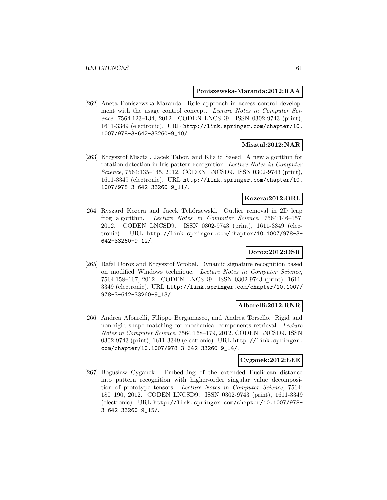#### **Poniszewska-Maranda:2012:RAA**

[262] Aneta Poniszewska-Maranda. Role approach in access control development with the usage control concept. Lecture Notes in Computer Science, 7564:123–134, 2012. CODEN LNCSD9. ISSN 0302-9743 (print), 1611-3349 (electronic). URL http://link.springer.com/chapter/10. 1007/978-3-642-33260-9\_10/.

### **Misztal:2012:NAR**

[263] Krzysztof Misztal, Jacek Tabor, and Khalid Saeed. A new algorithm for rotation detection in Iris pattern recognition. Lecture Notes in Computer Science, 7564:135–145, 2012. CODEN LNCSD9. ISSN 0302-9743 (print), 1611-3349 (electronic). URL http://link.springer.com/chapter/10. 1007/978-3-642-33260-9\_11/.

### **Kozera:2012:ORL**

[264] Ryszard Kozera and Jacek Tchórzewski. Outlier removal in 2D leap frog algorithm. Lecture Notes in Computer Science, 7564:146–157, 2012. CODEN LNCSD9. ISSN 0302-9743 (print), 1611-3349 (electronic). URL http://link.springer.com/chapter/10.1007/978-3- 642-33260-9\_12/.

### **Doroz:2012:DSR**

[265] Rafal Doroz and Krzysztof Wrobel. Dynamic signature recognition based on modified Windows technique. Lecture Notes in Computer Science, 7564:158–167, 2012. CODEN LNCSD9. ISSN 0302-9743 (print), 1611- 3349 (electronic). URL http://link.springer.com/chapter/10.1007/ 978-3-642-33260-9\_13/.

#### **Albarelli:2012:RNR**

[266] Andrea Albarelli, Filippo Bergamasco, and Andrea Torsello. Rigid and non-rigid shape matching for mechanical components retrieval. Lecture Notes in Computer Science, 7564:168–179, 2012. CODEN LNCSD9. ISSN 0302-9743 (print), 1611-3349 (electronic). URL http://link.springer. com/chapter/10.1007/978-3-642-33260-9\_14/.

#### **Cyganek:2012:EEE**

[267] Bogusław Cyganek. Embedding of the extended Euclidean distance into pattern recognition with higher-order singular value decomposition of prototype tensors. Lecture Notes in Computer Science, 7564: 180–190, 2012. CODEN LNCSD9. ISSN 0302-9743 (print), 1611-3349 (electronic). URL http://link.springer.com/chapter/10.1007/978- 3-642-33260-9\_15/.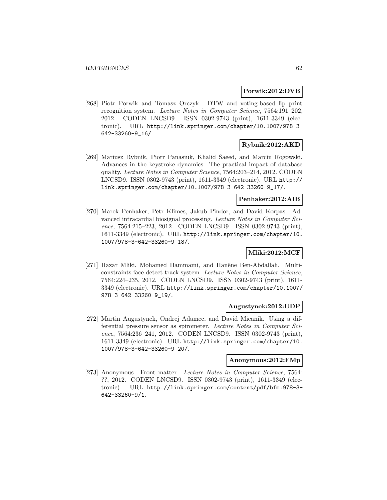#### **Porwik:2012:DVB**

[268] Piotr Porwik and Tomasz Orczyk. DTW and voting-based lip print recognition system. Lecture Notes in Computer Science, 7564:191–202, 2012. CODEN LNCSD9. ISSN 0302-9743 (print), 1611-3349 (electronic). URL http://link.springer.com/chapter/10.1007/978-3- 642-33260-9\_16/.

### **Rybnik:2012:AKD**

[269] Mariusz Rybnik, Piotr Panasiuk, Khalid Saeed, and Marcin Rogowski. Advances in the keystroke dynamics: The practical impact of database quality. Lecture Notes in Computer Science, 7564:203–214, 2012. CODEN LNCSD9. ISSN 0302-9743 (print), 1611-3349 (electronic). URL http:// link.springer.com/chapter/10.1007/978-3-642-33260-9\_17/.

#### **Penhaker:2012:AIB**

[270] Marek Penhaker, Petr Klimes, Jakub Pindor, and David Korpas. Advanced intracardial biosignal processing. Lecture Notes in Computer Science, 7564:215–223, 2012. CODEN LNCSD9. ISSN 0302-9743 (print), 1611-3349 (electronic). URL http://link.springer.com/chapter/10. 1007/978-3-642-33260-9\_18/.

### **Mliki:2012:MCF**

[271] Hazar Mliki, Mohamed Hammami, and Hanêne Ben-Abdallah. Multiconstraints face detect-track system. Lecture Notes in Computer Science, 7564:224–235, 2012. CODEN LNCSD9. ISSN 0302-9743 (print), 1611- 3349 (electronic). URL http://link.springer.com/chapter/10.1007/ 978-3-642-33260-9\_19/.

#### **Augustynek:2012:UDP**

[272] Martin Augustynek, Ondrej Adamec, and David Micanik. Using a differential pressure sensor as spirometer. Lecture Notes in Computer Science, 7564:236–241, 2012. CODEN LNCSD9. ISSN 0302-9743 (print), 1611-3349 (electronic). URL http://link.springer.com/chapter/10. 1007/978-3-642-33260-9\_20/.

#### **Anonymous:2012:FMp**

[273] Anonymous. Front matter. Lecture Notes in Computer Science, 7564: ??, 2012. CODEN LNCSD9. ISSN 0302-9743 (print), 1611-3349 (electronic). URL http://link.springer.com/content/pdf/bfm:978-3- 642-33260-9/1.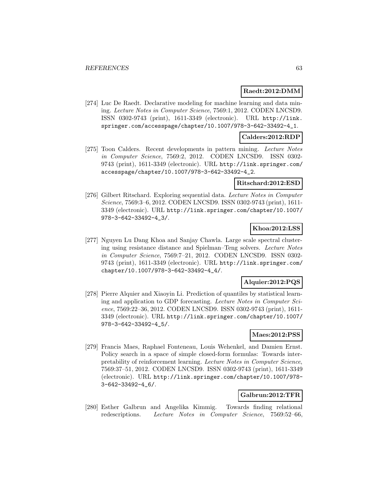#### **Raedt:2012:DMM**

[274] Luc De Raedt. Declarative modeling for machine learning and data mining. Lecture Notes in Computer Science, 7569:1, 2012. CODEN LNCSD9. ISSN 0302-9743 (print), 1611-3349 (electronic). URL http://link. springer.com/accesspage/chapter/10.1007/978-3-642-33492-4\_1.

### **Calders:2012:RDP**

[275] Toon Calders. Recent developments in pattern mining. Lecture Notes in Computer Science, 7569:2, 2012. CODEN LNCSD9. ISSN 0302- 9743 (print), 1611-3349 (electronic). URL http://link.springer.com/ accesspage/chapter/10.1007/978-3-642-33492-4\_2.

#### **Ritschard:2012:ESD**

[276] Gilbert Ritschard. Exploring sequential data. Lecture Notes in Computer Science, 7569:3–6, 2012. CODEN LNCSD9. ISSN 0302-9743 (print), 1611- 3349 (electronic). URL http://link.springer.com/chapter/10.1007/ 978-3-642-33492-4\_3/.

### **Khoa:2012:LSS**

[277] Nguyen Lu Dang Khoa and Sanjay Chawla. Large scale spectral clustering using resistance distance and Spielman–Teng solvers. Lecture Notes in Computer Science, 7569:7–21, 2012. CODEN LNCSD9. ISSN 0302- 9743 (print), 1611-3349 (electronic). URL http://link.springer.com/ chapter/10.1007/978-3-642-33492-4\_4/.

### **Alquier:2012:PQS**

[278] Pierre Alquier and Xiaoyin Li. Prediction of quantiles by statistical learning and application to GDP forecasting. Lecture Notes in Computer Science, 7569:22–36, 2012. CODEN LNCSD9. ISSN 0302-9743 (print), 1611- 3349 (electronic). URL http://link.springer.com/chapter/10.1007/ 978-3-642-33492-4\_5/.

### **Maes:2012:PSS**

[279] Francis Maes, Raphael Fonteneau, Louis Wehenkel, and Damien Ernst. Policy search in a space of simple closed-form formulas: Towards interpretability of reinforcement learning. Lecture Notes in Computer Science, 7569:37–51, 2012. CODEN LNCSD9. ISSN 0302-9743 (print), 1611-3349 (electronic). URL http://link.springer.com/chapter/10.1007/978- 3-642-33492-4\_6/.

### **Galbrun:2012:TFR**

[280] Esther Galbrun and Angelika Kimmig. Towards finding relational redescriptions. Lecture Notes in Computer Science, 7569:52–66,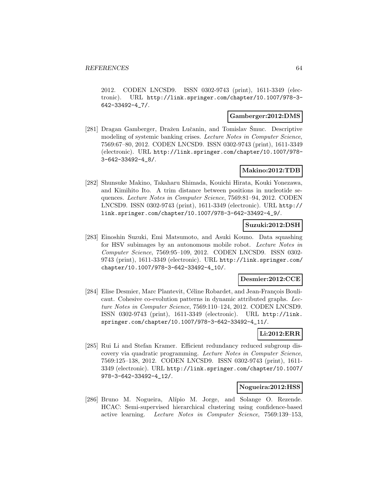2012. CODEN LNCSD9. ISSN 0302-9743 (print), 1611-3349 (electronic). URL http://link.springer.com/chapter/10.1007/978-3- 642-33492-4\_7/.

#### **Gamberger:2012:DMS**

[281] Dragan Gamberger, Dražen Lučanin, and Tomislav Šmuc. Descriptive modeling of systemic banking crises. Lecture Notes in Computer Science, 7569:67–80, 2012. CODEN LNCSD9. ISSN 0302-9743 (print), 1611-3349 (electronic). URL http://link.springer.com/chapter/10.1007/978- 3-642-33492-4\_8/.

### **Makino:2012:TDB**

[282] Shunsuke Makino, Takaharu Shimada, Kouichi Hirata, Kouki Yonezawa, and Kimihito Ito. A trim distance between positions in nucleotide sequences. Lecture Notes in Computer Science, 7569:81–94, 2012. CODEN LNCSD9. ISSN 0302-9743 (print), 1611-3349 (electronic). URL http:// link.springer.com/chapter/10.1007/978-3-642-33492-4\_9/.

### **Suzuki:2012:DSH**

[283] Einoshin Suzuki, Emi Matsumoto, and Asuki Kouno. Data squashing for HSV subimages by an autonomous mobile robot. Lecture Notes in Computer Science, 7569:95–109, 2012. CODEN LNCSD9. ISSN 0302- 9743 (print), 1611-3349 (electronic). URL http://link.springer.com/ chapter/10.1007/978-3-642-33492-4\_10/.

#### **Desmier:2012:CCE**

[284] Elise Desmier, Marc Plantevit, Céline Robardet, and Jean-François Boulicaut. Cohesive co-evolution patterns in dynamic attributed graphs. Lecture Notes in Computer Science, 7569:110–124, 2012. CODEN LNCSD9. ISSN 0302-9743 (print), 1611-3349 (electronic). URL http://link. springer.com/chapter/10.1007/978-3-642-33492-4\_11/.

# **Li:2012:ERR**

[285] Rui Li and Stefan Kramer. Efficient redundancy reduced subgroup discovery via quadratic programming. Lecture Notes in Computer Science, 7569:125–138, 2012. CODEN LNCSD9. ISSN 0302-9743 (print), 1611- 3349 (electronic). URL http://link.springer.com/chapter/10.1007/ 978-3-642-33492-4\_12/.

#### **Nogueira:2012:HSS**

[286] Bruno M. Nogueira, Alípio M. Jorge, and Solange O. Rezende. HCAC: Semi-supervised hierarchical clustering using confidence-based active learning. Lecture Notes in Computer Science, 7569:139–153,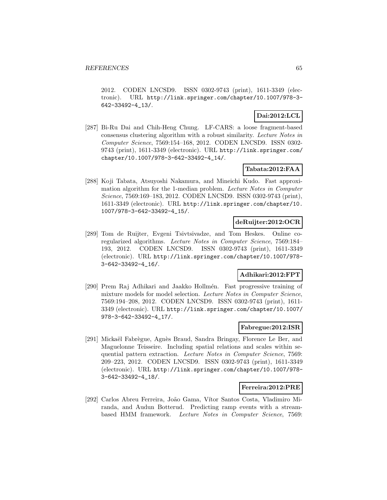2012. CODEN LNCSD9. ISSN 0302-9743 (print), 1611-3349 (electronic). URL http://link.springer.com/chapter/10.1007/978-3- 642-33492-4\_13/.

# **Dai:2012:LCL**

[287] Bi-Ru Dai and Chih-Heng Chung. LF-CARS: a loose fragment-based consensus clustering algorithm with a robust similarity. Lecture Notes in Computer Science, 7569:154–168, 2012. CODEN LNCSD9. ISSN 0302- 9743 (print), 1611-3349 (electronic). URL http://link.springer.com/ chapter/10.1007/978-3-642-33492-4\_14/.

### **Tabata:2012:FAA**

[288] Koji Tabata, Atsuyoshi Nakamura, and Mineichi Kudo. Fast approximation algorithm for the 1-median problem. Lecture Notes in Computer Science, 7569:169–183, 2012. CODEN LNCSD9. ISSN 0302-9743 (print), 1611-3349 (electronic). URL http://link.springer.com/chapter/10. 1007/978-3-642-33492-4\_15/.

### **deRuijter:2012:OCR**

[289] Tom de Ruijter, Evgeni Tsivtsivadze, and Tom Heskes. Online coregularized algorithms. Lecture Notes in Computer Science, 7569:184– 193, 2012. CODEN LNCSD9. ISSN 0302-9743 (print), 1611-3349 (electronic). URL http://link.springer.com/chapter/10.1007/978- 3-642-33492-4\_16/.

# **Adhikari:2012:FPT**

[290] Prem Raj Adhikari and Jaakko Hollmén. Fast progressive training of mixture models for model selection. Lecture Notes in Computer Science, 7569:194–208, 2012. CODEN LNCSD9. ISSN 0302-9743 (print), 1611- 3349 (electronic). URL http://link.springer.com/chapter/10.1007/ 978-3-642-33492-4\_17/.

#### **Fabregue:2012:ISR**

[291] Mickaël Fabrègue, Agnès Braud, Sandra Bringay, Florence Le Ber, and Maguelonne Teisseire. Including spatial relations and scales within sequential pattern extraction. Lecture Notes in Computer Science, 7569: 209–223, 2012. CODEN LNCSD9. ISSN 0302-9743 (print), 1611-3349 (electronic). URL http://link.springer.com/chapter/10.1007/978- 3-642-33492-4\_18/.

### **Ferreira:2012:PRE**

[292] Carlos Abreu Ferreira, João Gama, Vítor Santos Costa, Vladimiro Miranda, and Audun Botterud. Predicting ramp events with a streambased HMM framework. Lecture Notes in Computer Science, 7569: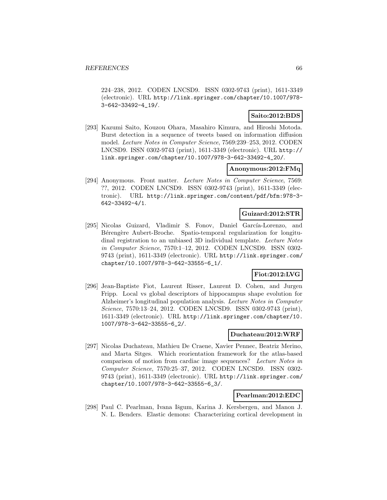224–238, 2012. CODEN LNCSD9. ISSN 0302-9743 (print), 1611-3349 (electronic). URL http://link.springer.com/chapter/10.1007/978- 3-642-33492-4\_19/.

## **Saito:2012:BDS**

[293] Kazumi Saito, Kouzou Ohara, Masahiro Kimura, and Hiroshi Motoda. Burst detection in a sequence of tweets based on information diffusion model. Lecture Notes in Computer Science, 7569:239–253, 2012. CODEN LNCSD9. ISSN 0302-9743 (print), 1611-3349 (electronic). URL http:// link.springer.com/chapter/10.1007/978-3-642-33492-4\_20/.

# **Anonymous:2012:FMq**

[294] Anonymous. Front matter. Lecture Notes in Computer Science, 7569: ??, 2012. CODEN LNCSD9. ISSN 0302-9743 (print), 1611-3349 (electronic). URL http://link.springer.com/content/pdf/bfm:978-3- 642-33492-4/1.

### **Guizard:2012:STR**

[295] Nicolas Guizard, Vladimir S. Fonov, Daniel García-Lorenzo, and Bérengère Aubert-Broche. Spatio-temporal regularization for longitudinal registration to an unbiased 3D individual template. Lecture Notes in Computer Science, 7570:1–12, 2012. CODEN LNCSD9. ISSN 0302- 9743 (print), 1611-3349 (electronic). URL http://link.springer.com/ chapter/10.1007/978-3-642-33555-6\_1/.

## **Fiot:2012:LVG**

[296] Jean-Baptiste Fiot, Laurent Risser, Laurent D. Cohen, and Jurgen Fripp. Local vs global descriptors of hippocampus shape evolution for Alzheimer's longitudinal population analysis. Lecture Notes in Computer Science, 7570:13–24, 2012. CODEN LNCSD9. ISSN 0302-9743 (print), 1611-3349 (electronic). URL http://link.springer.com/chapter/10. 1007/978-3-642-33555-6\_2/.

### **Duchateau:2012:WRF**

[297] Nicolas Duchateau, Mathieu De Craene, Xavier Pennec, Beatriz Merino, and Marta Sitges. Which reorientation framework for the atlas-based comparison of motion from cardiac image sequences? Lecture Notes in Computer Science, 7570:25–37, 2012. CODEN LNCSD9. ISSN 0302- 9743 (print), 1611-3349 (electronic). URL http://link.springer.com/ chapter/10.1007/978-3-642-33555-6\_3/.

### **Pearlman:2012:EDC**

[298] Paul C. Pearlman, Ivana Išgum, Karina J. Kersbergen, and Manon J. N. L. Benders. Elastic demons: Characterizing cortical development in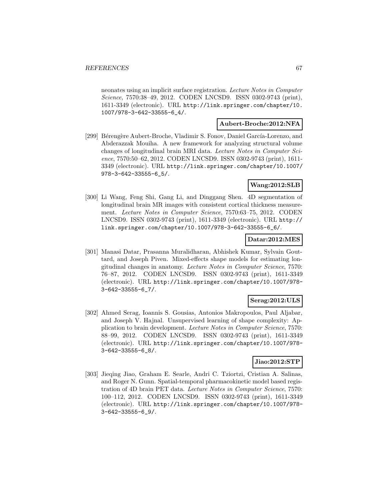neonates using an implicit surface registration. Lecture Notes in Computer Science, 7570:38–49, 2012. CODEN LNCSD9. ISSN 0302-9743 (print), 1611-3349 (electronic). URL http://link.springer.com/chapter/10. 1007/978-3-642-33555-6\_4/.

#### **Aubert-Broche:2012:NFA**

[299] Bérengère Aubert-Broche, Vladimir S. Fonov, Daniel García-Lorenzo, and Abderazzak Mouiha. A new framework for analyzing structural volume changes of longitudinal brain MRI data. Lecture Notes in Computer Science, 7570:50–62, 2012. CODEN LNCSD9. ISSN 0302-9743 (print), 1611- 3349 (electronic). URL http://link.springer.com/chapter/10.1007/ 978-3-642-33555-6\_5/.

#### **Wang:2012:SLB**

[300] Li Wang, Feng Shi, Gang Li, and Dinggang Shen. 4D segmentation of longitudinal brain MR images with consistent cortical thickness measurement. Lecture Notes in Computer Science, 7570:63–75, 2012. CODEN LNCSD9. ISSN 0302-9743 (print), 1611-3349 (electronic). URL http:// link.springer.com/chapter/10.1007/978-3-642-33555-6\_6/.

#### **Datar:2012:MES**

[301] Manasi Datar, Prasanna Muralidharan, Abhishek Kumar, Sylvain Gouttard, and Joseph Piven. Mixed-effects shape models for estimating longitudinal changes in anatomy. Lecture Notes in Computer Science, 7570: 76–87, 2012. CODEN LNCSD9. ISSN 0302-9743 (print), 1611-3349 (electronic). URL http://link.springer.com/chapter/10.1007/978- 3-642-33555-6\_7/.

### **Serag:2012:ULS**

[302] Ahmed Serag, Ioannis S. Gousias, Antonios Makropoulos, Paul Aljabar, and Joseph V. Hajnal. Unsupervised learning of shape complexity: Application to brain development. Lecture Notes in Computer Science, 7570: 88–99, 2012. CODEN LNCSD9. ISSN 0302-9743 (print), 1611-3349 (electronic). URL http://link.springer.com/chapter/10.1007/978- 3-642-33555-6\_8/.

### **Jiao:2012:STP**

[303] Jieqing Jiao, Graham E. Searle, Andri C. Tziortzi, Cristian A. Salinas, and Roger N. Gunn. Spatial-temporal pharmacokinetic model based registration of 4D brain PET data. Lecture Notes in Computer Science, 7570: 100–112, 2012. CODEN LNCSD9. ISSN 0302-9743 (print), 1611-3349 (electronic). URL http://link.springer.com/chapter/10.1007/978- 3-642-33555-6\_9/.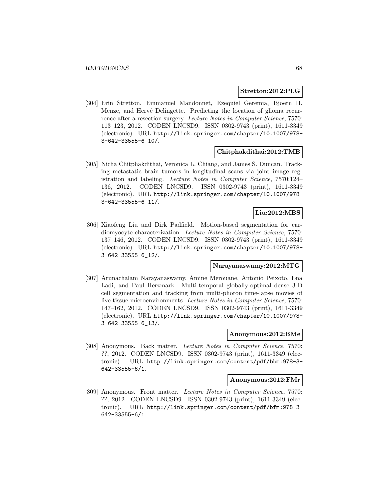#### **Stretton:2012:PLG**

[304] Erin Stretton, Emmanuel Mandonnet, Ezequiel Geremia, Bjoern H. Menze, and Hervé Delingette. Predicting the location of glioma recurrence after a resection surgery. Lecture Notes in Computer Science, 7570: 113–123, 2012. CODEN LNCSD9. ISSN 0302-9743 (print), 1611-3349 (electronic). URL http://link.springer.com/chapter/10.1007/978- 3-642-33555-6\_10/.

#### **Chitphakdithai:2012:TMB**

[305] Nicha Chitphakdithai, Veronica L. Chiang, and James S. Duncan. Tracking metastatic brain tumors in longitudinal scans via joint image registration and labeling. Lecture Notes in Computer Science, 7570:124– 136, 2012. CODEN LNCSD9. ISSN 0302-9743 (print), 1611-3349 (electronic). URL http://link.springer.com/chapter/10.1007/978- 3-642-33555-6\_11/.

#### **Liu:2012:MBS**

[306] Xiaofeng Liu and Dirk Padfield. Motion-based segmentation for cardiomyocyte characterization. Lecture Notes in Computer Science, 7570: 137–146, 2012. CODEN LNCSD9. ISSN 0302-9743 (print), 1611-3349 (electronic). URL http://link.springer.com/chapter/10.1007/978- 3-642-33555-6\_12/.

#### **Narayanaswamy:2012:MTG**

[307] Arunachalam Narayanaswamy, Amine Merouane, Antonio Peixoto, Ena Ladi, and Paul Herzmark. Multi-temporal globally-optimal dense 3-D cell segmentation and tracking from multi-photon time-lapse movies of live tissue microenvironments. Lecture Notes in Computer Science, 7570: 147–162, 2012. CODEN LNCSD9. ISSN 0302-9743 (print), 1611-3349 (electronic). URL http://link.springer.com/chapter/10.1007/978- 3-642-33555-6\_13/.

#### **Anonymous:2012:BMe**

[308] Anonymous. Back matter. Lecture Notes in Computer Science, 7570: ??, 2012. CODEN LNCSD9. ISSN 0302-9743 (print), 1611-3349 (electronic). URL http://link.springer.com/content/pdf/bbm:978-3- 642-33555-6/1.

#### **Anonymous:2012:FMr**

[309] Anonymous. Front matter. Lecture Notes in Computer Science, 7570: ??, 2012. CODEN LNCSD9. ISSN 0302-9743 (print), 1611-3349 (electronic). URL http://link.springer.com/content/pdf/bfm:978-3- 642-33555-6/1.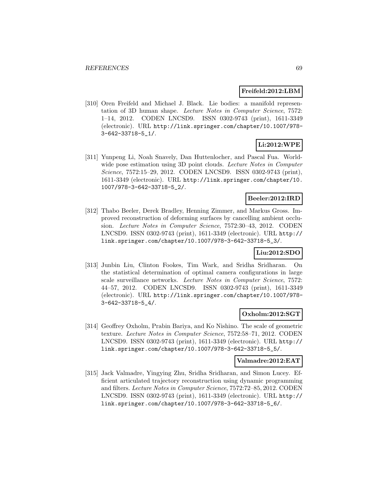#### **Freifeld:2012:LBM**

[310] Oren Freifeld and Michael J. Black. Lie bodies: a manifold representation of 3D human shape. Lecture Notes in Computer Science, 7572: 1–14, 2012. CODEN LNCSD9. ISSN 0302-9743 (print), 1611-3349 (electronic). URL http://link.springer.com/chapter/10.1007/978- 3-642-33718-5\_1/.

# **Li:2012:WPE**

[311] Yunpeng Li, Noah Snavely, Dan Huttenlocher, and Pascal Fua. Worldwide pose estimation using 3D point clouds. Lecture Notes in Computer Science, 7572:15–29, 2012. CODEN LNCSD9. ISSN 0302-9743 (print), 1611-3349 (electronic). URL http://link.springer.com/chapter/10. 1007/978-3-642-33718-5\_2/.

### **Beeler:2012:IRD**

[312] Thabo Beeler, Derek Bradley, Henning Zimmer, and Markus Gross. Improved reconstruction of deforming surfaces by cancelling ambient occlusion. Lecture Notes in Computer Science, 7572:30–43, 2012. CODEN LNCSD9. ISSN 0302-9743 (print), 1611-3349 (electronic). URL http:// link.springer.com/chapter/10.1007/978-3-642-33718-5\_3/.

### **Liu:2012:SDO**

[313] Junbin Liu, Clinton Fookes, Tim Wark, and Sridha Sridharan. On the statistical determination of optimal camera configurations in large scale surveillance networks. Lecture Notes in Computer Science, 7572: 44–57, 2012. CODEN LNCSD9. ISSN 0302-9743 (print), 1611-3349 (electronic). URL http://link.springer.com/chapter/10.1007/978- 3-642-33718-5\_4/.

### **Oxholm:2012:SGT**

[314] Geoffrey Oxholm, Prabin Bariya, and Ko Nishino. The scale of geometric texture. Lecture Notes in Computer Science, 7572:58–71, 2012. CODEN LNCSD9. ISSN 0302-9743 (print), 1611-3349 (electronic). URL http:// link.springer.com/chapter/10.1007/978-3-642-33718-5\_5/.

#### **Valmadre:2012:EAT**

[315] Jack Valmadre, Yingying Zhu, Sridha Sridharan, and Simon Lucey. Efficient articulated trajectory reconstruction using dynamic programming and filters. Lecture Notes in Computer Science, 7572:72–85, 2012. CODEN LNCSD9. ISSN 0302-9743 (print), 1611-3349 (electronic). URL http:// link.springer.com/chapter/10.1007/978-3-642-33718-5\_6/.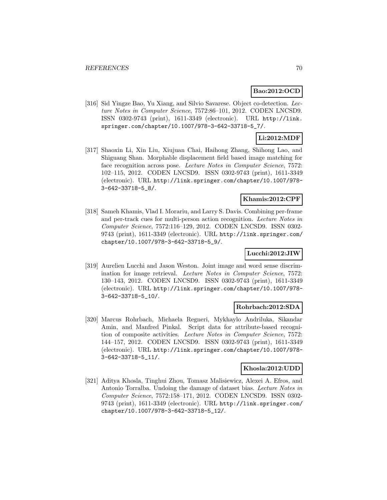### **Bao:2012:OCD**

[316] Sid Yingze Bao, Yu Xiang, and Silvio Savarese. Object co-detection. Lecture Notes in Computer Science, 7572:86–101, 2012. CODEN LNCSD9. ISSN 0302-9743 (print), 1611-3349 (electronic). URL http://link. springer.com/chapter/10.1007/978-3-642-33718-5\_7/.

# **Li:2012:MDF**

[317] Shaoxin Li, Xin Liu, Xiujuan Chai, Haihong Zhang, Shihong Lao, and Shiguang Shan. Morphable displacement field based image matching for face recognition across pose. Lecture Notes in Computer Science, 7572: 102–115, 2012. CODEN LNCSD9. ISSN 0302-9743 (print), 1611-3349 (electronic). URL http://link.springer.com/chapter/10.1007/978- 3-642-33718-5\_8/.

### **Khamis:2012:CPF**

[318] Sameh Khamis, Vlad I. Morariu, and Larry S. Davis. Combining per-frame and per-track cues for multi-person action recognition. Lecture Notes in Computer Science, 7572:116–129, 2012. CODEN LNCSD9. ISSN 0302- 9743 (print), 1611-3349 (electronic). URL http://link.springer.com/ chapter/10.1007/978-3-642-33718-5\_9/.

### **Lucchi:2012:JIW**

[319] Aurelien Lucchi and Jason Weston. Joint image and word sense discrimination for image retrieval. Lecture Notes in Computer Science, 7572: 130–143, 2012. CODEN LNCSD9. ISSN 0302-9743 (print), 1611-3349 (electronic). URL http://link.springer.com/chapter/10.1007/978- 3-642-33718-5\_10/.

#### **Rohrbach:2012:SDA**

[320] Marcus Rohrbach, Michaela Regneri, Mykhaylo Andriluka, Sikandar Amin, and Manfred Pinkal. Script data for attribute-based recognition of composite activities. Lecture Notes in Computer Science, 7572: 144–157, 2012. CODEN LNCSD9. ISSN 0302-9743 (print), 1611-3349 (electronic). URL http://link.springer.com/chapter/10.1007/978- 3-642-33718-5\_11/.

#### **Khosla:2012:UDD**

[321] Aditya Khosla, Tinghui Zhou, Tomasz Malisiewicz, Alexei A. Efros, and Antonio Torralba. Undoing the damage of dataset bias. Lecture Notes in Computer Science, 7572:158–171, 2012. CODEN LNCSD9. ISSN 0302- 9743 (print), 1611-3349 (electronic). URL http://link.springer.com/ chapter/10.1007/978-3-642-33718-5\_12/.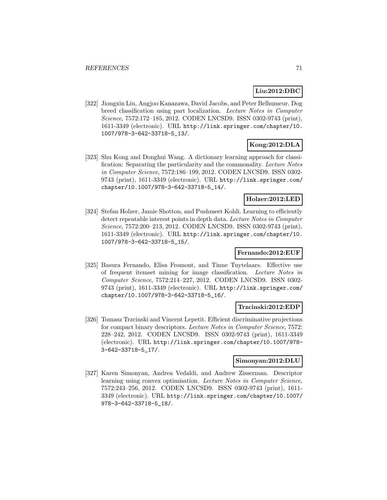# **Liu:2012:DBC**

[322] Jiongxin Liu, Angjoo Kanazawa, David Jacobs, and Peter Belhumeur. Dog breed classification using part localization. Lecture Notes in Computer Science, 7572:172–185, 2012. CODEN LNCSD9. ISSN 0302-9743 (print), 1611-3349 (electronic). URL http://link.springer.com/chapter/10. 1007/978-3-642-33718-5\_13/.

# **Kong:2012:DLA**

[323] Shu Kong and Donghui Wang. A dictionary learning approach for classification: Separating the particularity and the commonality. Lecture Notes in Computer Science, 7572:186–199, 2012. CODEN LNCSD9. ISSN 0302- 9743 (print), 1611-3349 (electronic). URL http://link.springer.com/ chapter/10.1007/978-3-642-33718-5\_14/.

#### **Holzer:2012:LED**

[324] Stefan Holzer, Jamie Shotton, and Pushmeet Kohli. Learning to efficiently detect repeatable interest points in depth data. Lecture Notes in Computer Science, 7572:200–213, 2012. CODEN LNCSD9. ISSN 0302-9743 (print), 1611-3349 (electronic). URL http://link.springer.com/chapter/10. 1007/978-3-642-33718-5\_15/.

### **Fernando:2012:EUF**

[325] Basura Fernando, Elisa Fromont, and Tinne Tuytelaars. Effective use of frequent itemset mining for image classification. Lecture Notes in Computer Science, 7572:214–227, 2012. CODEN LNCSD9. ISSN 0302- 9743 (print), 1611-3349 (electronic). URL http://link.springer.com/ chapter/10.1007/978-3-642-33718-5\_16/.

#### **Trzcinski:2012:EDP**

[326] Tomasz Trzcinski and Vincent Lepetit. Efficient discriminative projections for compact binary descriptors. Lecture Notes in Computer Science, 7572: 228–242, 2012. CODEN LNCSD9. ISSN 0302-9743 (print), 1611-3349 (electronic). URL http://link.springer.com/chapter/10.1007/978- 3-642-33718-5\_17/.

### **Simonyan:2012:DLU**

[327] Karen Simonyan, Andrea Vedaldi, and Andrew Zisserman. Descriptor learning using convex optimisation. Lecture Notes in Computer Science, 7572:243–256, 2012. CODEN LNCSD9. ISSN 0302-9743 (print), 1611- 3349 (electronic). URL http://link.springer.com/chapter/10.1007/ 978-3-642-33718-5\_18/.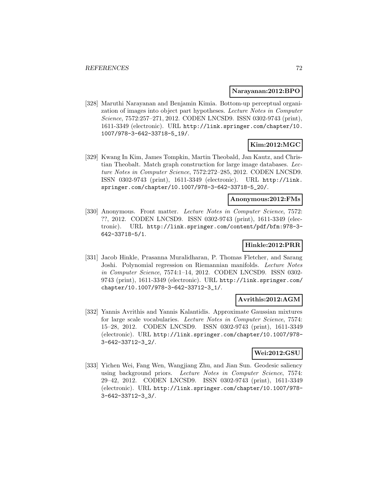#### **Narayanan:2012:BPO**

[328] Maruthi Narayanan and Benjamin Kimia. Bottom-up perceptual organization of images into object part hypotheses. Lecture Notes in Computer Science, 7572:257–271, 2012. CODEN LNCSD9. ISSN 0302-9743 (print), 1611-3349 (electronic). URL http://link.springer.com/chapter/10. 1007/978-3-642-33718-5\_19/.

### **Kim:2012:MGC**

[329] Kwang In Kim, James Tompkin, Martin Theobald, Jan Kautz, and Christian Theobalt. Match graph construction for large image databases. Lecture Notes in Computer Science, 7572:272–285, 2012. CODEN LNCSD9. ISSN 0302-9743 (print), 1611-3349 (electronic). URL http://link. springer.com/chapter/10.1007/978-3-642-33718-5\_20/.

#### **Anonymous:2012:FMs**

[330] Anonymous. Front matter. Lecture Notes in Computer Science, 7572: ??, 2012. CODEN LNCSD9. ISSN 0302-9743 (print), 1611-3349 (electronic). URL http://link.springer.com/content/pdf/bfm:978-3- 642-33718-5/1.

### **Hinkle:2012:PRR**

[331] Jacob Hinkle, Prasanna Muralidharan, P. Thomas Fletcher, and Sarang Joshi. Polynomial regression on Riemannian manifolds. Lecture Notes in Computer Science, 7574:1–14, 2012. CODEN LNCSD9. ISSN 0302- 9743 (print), 1611-3349 (electronic). URL http://link.springer.com/ chapter/10.1007/978-3-642-33712-3\_1/.

### **Avrithis:2012:AGM**

[332] Yannis Avrithis and Yannis Kalantidis. Approximate Gaussian mixtures for large scale vocabularies. Lecture Notes in Computer Science, 7574: 15–28, 2012. CODEN LNCSD9. ISSN 0302-9743 (print), 1611-3349 (electronic). URL http://link.springer.com/chapter/10.1007/978- 3-642-33712-3\_2/.

# **Wei:2012:GSU**

[333] Yichen Wei, Fang Wen, Wangjiang Zhu, and Jian Sun. Geodesic saliency using background priors. Lecture Notes in Computer Science, 7574: 29–42, 2012. CODEN LNCSD9. ISSN 0302-9743 (print), 1611-3349 (electronic). URL http://link.springer.com/chapter/10.1007/978- 3-642-33712-3\_3/.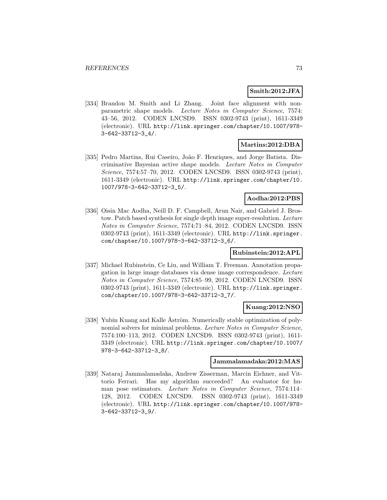### **Smith:2012:JFA**

[334] Brandon M. Smith and Li Zhang. Joint face alignment with nonparametric shape models. Lecture Notes in Computer Science, 7574: 43–56, 2012. CODEN LNCSD9. ISSN 0302-9743 (print), 1611-3349 (electronic). URL http://link.springer.com/chapter/10.1007/978- 3-642-33712-3\_4/.

# **Martins:2012:DBA**

[335] Pedro Martins, Rui Caseiro, João F. Henriques, and Jorge Batista. Discriminative Bayesian active shape models. Lecture Notes in Computer Science, 7574:57–70, 2012. CODEN LNCSD9. ISSN 0302-9743 (print), 1611-3349 (electronic). URL http://link.springer.com/chapter/10. 1007/978-3-642-33712-3\_5/.

# **Aodha:2012:PBS**

[336] Oisin Mac Aodha, Neill D. F. Campbell, Arun Nair, and Gabriel J. Brostow. Patch based synthesis for single depth image super-resolution. Lecture Notes in Computer Science, 7574:71–84, 2012. CODEN LNCSD9. ISSN 0302-9743 (print), 1611-3349 (electronic). URL http://link.springer. com/chapter/10.1007/978-3-642-33712-3\_6/.

# **Rubinstein:2012:APL**

[337] Michael Rubinstein, Ce Liu, and William T. Freeman. Annotation propagation in large image databases via dense image correspondence. Lecture Notes in Computer Science, 7574:85–99, 2012. CODEN LNCSD9. ISSN 0302-9743 (print), 1611-3349 (electronic). URL http://link.springer. com/chapter/10.1007/978-3-642-33712-3\_7/.

### **Kuang:2012:NSO**

[338] Yubin Kuang and Kalle Åström. Numerically stable optimization of polynomial solvers for minimal problems. Lecture Notes in Computer Science, 7574:100–113, 2012. CODEN LNCSD9. ISSN 0302-9743 (print), 1611- 3349 (electronic). URL http://link.springer.com/chapter/10.1007/ 978-3-642-33712-3\_8/.

#### **Jammalamadaka:2012:MAS**

[339] Nataraj Jammalamadaka, Andrew Zisserman, Marcin Eichner, and Vittorio Ferrari. Has my algorithm succeeded? An evaluator for human pose estimators. Lecture Notes in Computer Science, 7574:114– 128, 2012. CODEN LNCSD9. ISSN 0302-9743 (print), 1611-3349 (electronic). URL http://link.springer.com/chapter/10.1007/978- 3-642-33712-3\_9/.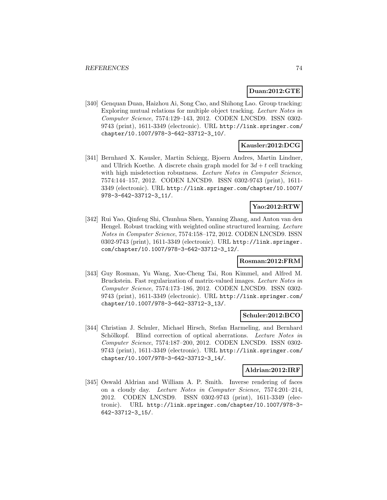### **Duan:2012:GTE**

[340] Genquan Duan, Haizhou Ai, Song Cao, and Shihong Lao. Group tracking: Exploring mutual relations for multiple object tracking. Lecture Notes in Computer Science, 7574:129–143, 2012. CODEN LNCSD9. ISSN 0302- 9743 (print), 1611-3349 (electronic). URL http://link.springer.com/ chapter/10.1007/978-3-642-33712-3\_10/.

# **Kausler:2012:DCG**

[341] Bernhard X. Kausler, Martin Schiegg, Bjoern Andres, Martin Lindner, and Ullrich Koethe. A discrete chain graph model for  $3d + t$  cell tracking with high misdetection robustness. Lecture Notes in Computer Science, 7574:144–157, 2012. CODEN LNCSD9. ISSN 0302-9743 (print), 1611- 3349 (electronic). URL http://link.springer.com/chapter/10.1007/ 978-3-642-33712-3\_11/.

# **Yao:2012:RTW**

[342] Rui Yao, Qinfeng Shi, Chunhua Shen, Yanning Zhang, and Anton van den Hengel. Robust tracking with weighted online structured learning. Lecture Notes in Computer Science, 7574:158–172, 2012. CODEN LNCSD9. ISSN 0302-9743 (print), 1611-3349 (electronic). URL http://link.springer. com/chapter/10.1007/978-3-642-33712-3\_12/.

### **Rosman:2012:FRM**

[343] Guy Rosman, Yu Wang, Xue-Cheng Tai, Ron Kimmel, and Alfred M. Bruckstein. Fast regularization of matrix-valued images. Lecture Notes in Computer Science, 7574:173–186, 2012. CODEN LNCSD9. ISSN 0302- 9743 (print), 1611-3349 (electronic). URL http://link.springer.com/ chapter/10.1007/978-3-642-33712-3\_13/.

### **Schuler:2012:BCO**

[344] Christian J. Schuler, Michael Hirsch, Stefan Harmeling, and Bernhard Schölkopf. Blind correction of optical aberrations. Lecture Notes in Computer Science, 7574:187–200, 2012. CODEN LNCSD9. ISSN 0302- 9743 (print), 1611-3349 (electronic). URL http://link.springer.com/ chapter/10.1007/978-3-642-33712-3\_14/.

### **Aldrian:2012:IRF**

[345] Oswald Aldrian and William A. P. Smith. Inverse rendering of faces on a cloudy day. Lecture Notes in Computer Science, 7574:201–214, 2012. CODEN LNCSD9. ISSN 0302-9743 (print), 1611-3349 (electronic). URL http://link.springer.com/chapter/10.1007/978-3- 642-33712-3\_15/.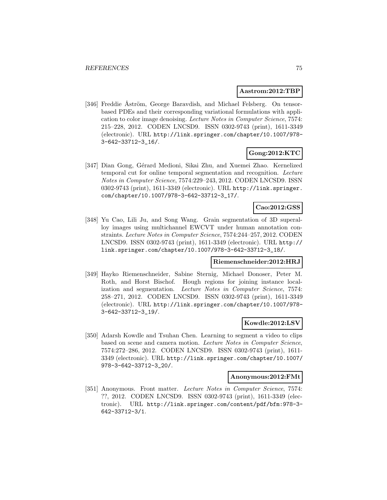#### **Aastrom:2012:TBP**

[346] Freddie Åström, George Baravdish, and Michael Felsberg. On tensorbased PDEs and their corresponding variational formulations with application to color image denoising. Lecture Notes in Computer Science, 7574: 215–228, 2012. CODEN LNCSD9. ISSN 0302-9743 (print), 1611-3349 (electronic). URL http://link.springer.com/chapter/10.1007/978- 3-642-33712-3\_16/.

# **Gong:2012:KTC**

[347] Dian Gong, Gérard Medioni, Sikai Zhu, and Xuemei Zhao. Kernelized temporal cut for online temporal segmentation and recognition. Lecture Notes in Computer Science, 7574:229–243, 2012. CODEN LNCSD9. ISSN 0302-9743 (print), 1611-3349 (electronic). URL http://link.springer. com/chapter/10.1007/978-3-642-33712-3\_17/.

# **Cao:2012:GSS**

[348] Yu Cao, Lili Ju, and Song Wang. Grain segmentation of 3D superalloy images using multichannel EWCVT under human annotation constraints. Lecture Notes in Computer Science, 7574:244–257, 2012. CODEN LNCSD9. ISSN 0302-9743 (print), 1611-3349 (electronic). URL http:// link.springer.com/chapter/10.1007/978-3-642-33712-3\_18/.

### **Riemenschneider:2012:HRJ**

[349] Hayko Riemenschneider, Sabine Sternig, Michael Donoser, Peter M. Roth, and Horst Bischof. Hough regions for joining instance localization and segmentation. Lecture Notes in Computer Science, 7574: 258–271, 2012. CODEN LNCSD9. ISSN 0302-9743 (print), 1611-3349 (electronic). URL http://link.springer.com/chapter/10.1007/978- 3-642-33712-3\_19/.

# **Kowdle:2012:LSV**

[350] Adarsh Kowdle and Tsuhan Chen. Learning to segment a video to clips based on scene and camera motion. Lecture Notes in Computer Science, 7574:272–286, 2012. CODEN LNCSD9. ISSN 0302-9743 (print), 1611- 3349 (electronic). URL http://link.springer.com/chapter/10.1007/ 978-3-642-33712-3\_20/.

### **Anonymous:2012:FMt**

[351] Anonymous. Front matter. Lecture Notes in Computer Science, 7574: ??, 2012. CODEN LNCSD9. ISSN 0302-9743 (print), 1611-3349 (electronic). URL http://link.springer.com/content/pdf/bfm:978-3- 642-33712-3/1.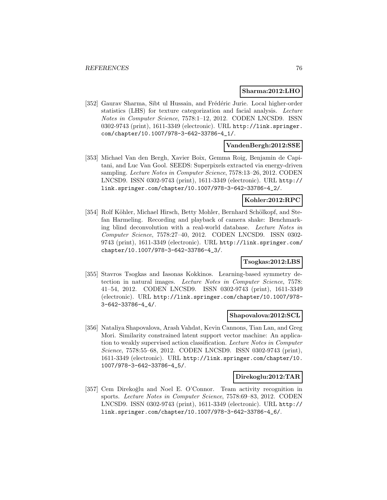#### **Sharma:2012:LHO**

[352] Gaurav Sharma, Sibt ul Hussain, and Frédéric Jurie. Local higher-order statistics (LHS) for texture categorization and facial analysis. Lecture Notes in Computer Science, 7578:1–12, 2012. CODEN LNCSD9. ISSN 0302-9743 (print), 1611-3349 (electronic). URL http://link.springer. com/chapter/10.1007/978-3-642-33786-4\_1/.

### **VandenBergh:2012:SSE**

[353] Michael Van den Bergh, Xavier Boix, Gemma Roig, Benjamin de Capitani, and Luc Van Gool. SEEDS: Superpixels extracted via energy-driven sampling. Lecture Notes in Computer Science, 7578:13–26, 2012. CODEN LNCSD9. ISSN 0302-9743 (print), 1611-3349 (electronic). URL http:// link.springer.com/chapter/10.1007/978-3-642-33786-4\_2/.

### **Kohler:2012:RPC**

[354] Rolf Köhler, Michael Hirsch, Betty Mohler, Bernhard Schölkopf, and Stefan Harmeling. Recording and playback of camera shake: Benchmarking blind deconvolution with a real-world database. Lecture Notes in Computer Science, 7578:27–40, 2012. CODEN LNCSD9. ISSN 0302- 9743 (print), 1611-3349 (electronic). URL http://link.springer.com/ chapter/10.1007/978-3-642-33786-4\_3/.

### **Tsogkas:2012:LBS**

[355] Stavros Tsogkas and Iasonas Kokkinos. Learning-based symmetry detection in natural images. Lecture Notes in Computer Science, 7578: 41–54, 2012. CODEN LNCSD9. ISSN 0302-9743 (print), 1611-3349 (electronic). URL http://link.springer.com/chapter/10.1007/978- 3-642-33786-4\_4/.

### **Shapovalova:2012:SCL**

[356] Nataliya Shapovalova, Arash Vahdat, Kevin Cannons, Tian Lan, and Greg Mori. Similarity constrained latent support vector machine: An application to weakly supervised action classification. Lecture Notes in Computer Science, 7578:55–68, 2012. CODEN LNCSD9. ISSN 0302-9743 (print), 1611-3349 (electronic). URL http://link.springer.com/chapter/10. 1007/978-3-642-33786-4\_5/.

### **Direkoglu:2012:TAR**

[357] Cem Direkoğlu and Noel E. O'Connor. Team activity recognition in sports. Lecture Notes in Computer Science, 7578:69–83, 2012. CODEN LNCSD9. ISSN 0302-9743 (print), 1611-3349 (electronic). URL http:// link.springer.com/chapter/10.1007/978-3-642-33786-4\_6/.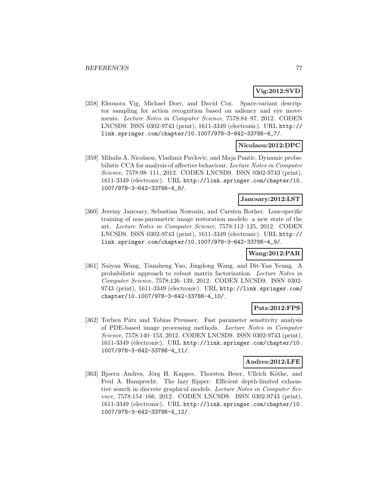# **Vig:2012:SVD**

[358] Eleonora Vig, Michael Dorr, and David Cox. Space-variant descriptor sampling for action recognition based on saliency and eye movements. Lecture Notes in Computer Science, 7578:84–97, 2012. CODEN LNCSD9. ISSN 0302-9743 (print), 1611-3349 (electronic). URL http:// link.springer.com/chapter/10.1007/978-3-642-33786-4\_7/.

# **Nicolaou:2012:DPC**

[359] Mihalis A. Nicolaou, Vladimir Pavlovic, and Maja Pantic. Dynamic probabilistic CCA for analysis of affective behaviour. Lecture Notes in Computer Science, 7578:98–111, 2012. CODEN LNCSD9. ISSN 0302-9743 (print), 1611-3349 (electronic). URL http://link.springer.com/chapter/10. 1007/978-3-642-33786-4\_8/.

#### **Jancsary:2012:LST**

[360] Jeremy Jancsary, Sebastian Nowozin, and Carsten Rother. Loss-specific training of non-parametric image restoration models: a new state of the art. Lecture Notes in Computer Science, 7578:112–125, 2012. CODEN LNCSD9. ISSN 0302-9743 (print), 1611-3349 (electronic). URL http:// link.springer.com/chapter/10.1007/978-3-642-33786-4\_9/.

### **Wang:2012:PAR**

[361] Naiyan Wang, Tiansheng Yao, Jingdong Wang, and Dit-Yan Yeung. A probabilistic approach to robust matrix factorization. Lecture Notes in Computer Science, 7578:126–139, 2012. CODEN LNCSD9. ISSN 0302- 9743 (print), 1611-3349 (electronic). URL http://link.springer.com/ chapter/10.1007/978-3-642-33786-4\_10/.

# **Patz:2012:FPS**

[362] Torben Pätz and Tobias Preusser. Fast parameter sensitivity analysis of PDE-based image processing methods. Lecture Notes in Computer Science, 7578:140–153, 2012. CODEN LNCSD9. ISSN 0302-9743 (print), 1611-3349 (electronic). URL http://link.springer.com/chapter/10. 1007/978-3-642-33786-4\_11/.

### **Andres:2012:LFE**

[363] Bjoern Andres, Jörg H. Kappes, Thorsten Beier, Ullrich Köthe, and Fred A. Hamprecht. The lazy flipper: Efficient depth-limited exhaustive search in discrete graphical models. Lecture Notes in Computer Science, 7578:154–166, 2012. CODEN LNCSD9. ISSN 0302-9743 (print), 1611-3349 (electronic). URL http://link.springer.com/chapter/10. 1007/978-3-642-33786-4\_12/.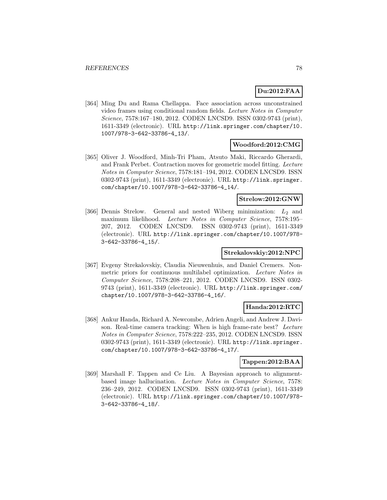# **Du:2012:FAA**

[364] Ming Du and Rama Chellappa. Face association across unconstrained video frames using conditional random fields. Lecture Notes in Computer Science, 7578:167–180, 2012. CODEN LNCSD9. ISSN 0302-9743 (print), 1611-3349 (electronic). URL http://link.springer.com/chapter/10. 1007/978-3-642-33786-4\_13/.

### **Woodford:2012:CMG**

[365] Oliver J. Woodford, Minh-Tri Pham, Atsuto Maki, Riccardo Gherardi, and Frank Perbet. Contraction moves for geometric model fitting. Lecture Notes in Computer Science, 7578:181–194, 2012. CODEN LNCSD9. ISSN 0302-9743 (print), 1611-3349 (electronic). URL http://link.springer. com/chapter/10.1007/978-3-642-33786-4\_14/.

### **Strelow:2012:GNW**

[366] Dennis Strelow. General and nested Wiberg minimization:  $L_2$  and maximum likelihood. Lecture Notes in Computer Science, 7578:195– 207, 2012. CODEN LNCSD9. ISSN 0302-9743 (print), 1611-3349 (electronic). URL http://link.springer.com/chapter/10.1007/978- 3-642-33786-4\_15/.

### **Strekalovskiy:2012:NPC**

[367] Evgeny Strekalovskiy, Claudia Nieuwenhuis, and Daniel Cremers. Nonmetric priors for continuous multilabel optimization. Lecture Notes in Computer Science, 7578:208–221, 2012. CODEN LNCSD9. ISSN 0302- 9743 (print), 1611-3349 (electronic). URL http://link.springer.com/ chapter/10.1007/978-3-642-33786-4\_16/.

### **Handa:2012:RTC**

[368] Ankur Handa, Richard A. Newcombe, Adrien Angeli, and Andrew J. Davison. Real-time camera tracking: When is high frame-rate best? Lecture Notes in Computer Science, 7578:222–235, 2012. CODEN LNCSD9. ISSN 0302-9743 (print), 1611-3349 (electronic). URL http://link.springer. com/chapter/10.1007/978-3-642-33786-4\_17/.

### **Tappen:2012:BAA**

[369] Marshall F. Tappen and Ce Liu. A Bayesian approach to alignmentbased image hallucination. Lecture Notes in Computer Science, 7578: 236–249, 2012. CODEN LNCSD9. ISSN 0302-9743 (print), 1611-3349 (electronic). URL http://link.springer.com/chapter/10.1007/978- 3-642-33786-4\_18/.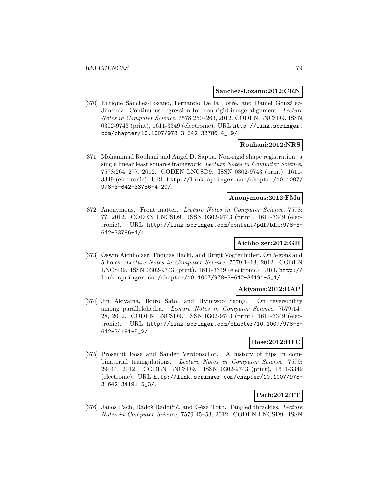#### **Sanchez-Lozano:2012:CRN**

[370] Enrique Sánchez-Lozano, Fernando De la Torre, and Daniel González-Jiménez. Continuous regression for non-rigid image alignment. Lecture Notes in Computer Science, 7578:250–263, 2012. CODEN LNCSD9. ISSN 0302-9743 (print), 1611-3349 (electronic). URL http://link.springer. com/chapter/10.1007/978-3-642-33786-4\_19/.

# **Rouhani:2012:NRS**

[371] Mohammad Rouhani and Angel D. Sappa. Non-rigid shape registration: a single linear least squares framework. Lecture Notes in Computer Science, 7578:264–277, 2012. CODEN LNCSD9. ISSN 0302-9743 (print), 1611- 3349 (electronic). URL http://link.springer.com/chapter/10.1007/ 978-3-642-33786-4\_20/.

### **Anonymous:2012:FMu**

[372] Anonymous. Front matter. Lecture Notes in Computer Science, 7578: ??, 2012. CODEN LNCSD9. ISSN 0302-9743 (print), 1611-3349 (electronic). URL http://link.springer.com/content/pdf/bfm:978-3- 642-33786-4/1.

### **Aichholzer:2012:GH**

[373] Oswin Aichholzer, Thomas Hackl, and Birgit Vogtenhuber. On 5-gons and 5-holes. Lecture Notes in Computer Science, 7579:1–13, 2012. CODEN LNCSD9. ISSN 0302-9743 (print), 1611-3349 (electronic). URL http:// link.springer.com/chapter/10.1007/978-3-642-34191-5\_1/.

### **Akiyama:2012:RAP**

[374] Jin Akiyama, Ikuro Sato, and Hyunwoo Seong. On reversibility among parallelohedra. Lecture Notes in Computer Science, 7579:14– 28, 2012. CODEN LNCSD9. ISSN 0302-9743 (print), 1611-3349 (electronic). URL http://link.springer.com/chapter/10.1007/978-3- 642-34191-5\_2/.

### **Bose:2012:HFC**

[375] Prosenjit Bose and Sander Verdonschot. A history of flips in combinatorial triangulations. Lecture Notes in Computer Science, 7579: 29–44, 2012. CODEN LNCSD9. ISSN 0302-9743 (print), 1611-3349 (electronic). URL http://link.springer.com/chapter/10.1007/978- 3-642-34191-5\_3/.

# **Pach:2012:TT**

[376] János Pach, Radoš Radoičić, and Géza Tóth. Tangled thrackles. Lecture Notes in Computer Science, 7579:45–53, 2012. CODEN LNCSD9. ISSN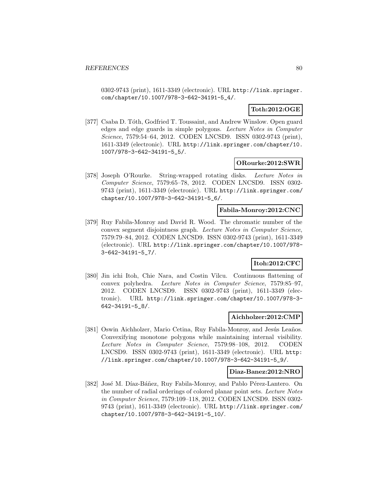0302-9743 (print), 1611-3349 (electronic). URL http://link.springer. com/chapter/10.1007/978-3-642-34191-5\_4/.

# **Toth:2012:OGE**

[377] Csaba D. Tóth, Godfried T. Toussaint, and Andrew Winslow. Open guard edges and edge guards in simple polygons. Lecture Notes in Computer Science, 7579:54–64, 2012. CODEN LNCSD9. ISSN 0302-9743 (print), 1611-3349 (electronic). URL http://link.springer.com/chapter/10. 1007/978-3-642-34191-5\_5/.

### **ORourke:2012:SWR**

[378] Joseph O'Rourke. String-wrapped rotating disks. Lecture Notes in Computer Science, 7579:65–78, 2012. CODEN LNCSD9. ISSN 0302- 9743 (print), 1611-3349 (electronic). URL http://link.springer.com/ chapter/10.1007/978-3-642-34191-5\_6/.

# **Fabila-Monroy:2012:CNC**

[379] Ruy Fabila-Monroy and David R. Wood. The chromatic number of the convex segment disjointness graph. Lecture Notes in Computer Science, 7579:79–84, 2012. CODEN LNCSD9. ISSN 0302-9743 (print), 1611-3349 (electronic). URL http://link.springer.com/chapter/10.1007/978- 3-642-34191-5\_7/.

# **Itoh:2012:CFC**

[380] Jin ichi Itoh, Chie Nara, and Costin Vîlcu. Continuous flattening of convex polyhedra. Lecture Notes in Computer Science, 7579:85–97, 2012. CODEN LNCSD9. ISSN 0302-9743 (print), 1611-3349 (electronic). URL http://link.springer.com/chapter/10.1007/978-3- 642-34191-5\_8/.

### **Aichholzer:2012:CMP**

[381] Oswin Aichholzer, Mario Cetina, Ruy Fabila-Monroy, and Jesús Leaños. Convexifying monotone polygons while maintaining internal visibility. Lecture Notes in Computer Science, 7579:98–108, 2012. CODEN LNCSD9. ISSN 0302-9743 (print), 1611-3349 (electronic). URL http: //link.springer.com/chapter/10.1007/978-3-642-34191-5\_9/.

### **Diaz-Banez:2012:NRO**

[382] José M. Díaz-Báñez, Ruy Fabila-Monroy, and Pablo Pérez-Lantero. On the number of radial orderings of colored planar point sets. Lecture Notes in Computer Science, 7579:109–118, 2012. CODEN LNCSD9. ISSN 0302- 9743 (print), 1611-3349 (electronic). URL http://link.springer.com/ chapter/10.1007/978-3-642-34191-5\_10/.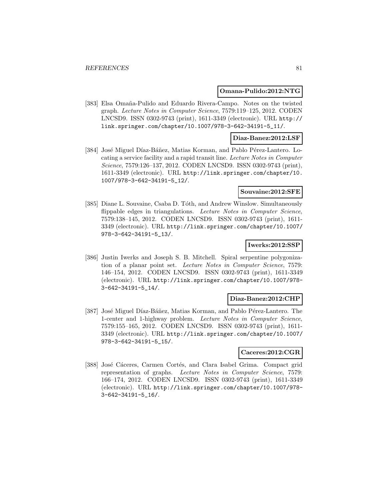#### **Omana-Pulido:2012:NTG**

[383] Elsa Omaña-Pulido and Eduardo Rivera-Campo. Notes on the twisted graph. Lecture Notes in Computer Science, 7579:119–125, 2012. CODEN LNCSD9. ISSN 0302-9743 (print), 1611-3349 (electronic). URL http:// link.springer.com/chapter/10.1007/978-3-642-34191-5\_11/.

#### **Diaz-Banez:2012:LSF**

[384] José Miguel Díaz-Báñez, Matias Korman, and Pablo Pérez-Lantero. Locating a service facility and a rapid transit line. Lecture Notes in Computer Science, 7579:126–137, 2012. CODEN LNCSD9. ISSN 0302-9743 (print), 1611-3349 (electronic). URL http://link.springer.com/chapter/10. 1007/978-3-642-34191-5\_12/.

### **Souvaine:2012:SFE**

[385] Diane L. Souvaine, Csaba D. Tóth, and Andrew Winslow. Simultaneously flippable edges in triangulations. Lecture Notes in Computer Science, 7579:138–145, 2012. CODEN LNCSD9. ISSN 0302-9743 (print), 1611- 3349 (electronic). URL http://link.springer.com/chapter/10.1007/ 978-3-642-34191-5\_13/.

### **Iwerks:2012:SSP**

[386] Justin Iwerks and Joseph S. B. Mitchell. Spiral serpentine polygonization of a planar point set. Lecture Notes in Computer Science, 7579: 146–154, 2012. CODEN LNCSD9. ISSN 0302-9743 (print), 1611-3349 (electronic). URL http://link.springer.com/chapter/10.1007/978- 3-642-34191-5\_14/.

#### **Diaz-Banez:2012:CHP**

[387] José Miguel Díaz-Báñez, Matias Korman, and Pablo Pérez-Lantero. The 1-center and 1-highway problem. Lecture Notes in Computer Science, 7579:155–165, 2012. CODEN LNCSD9. ISSN 0302-9743 (print), 1611- 3349 (electronic). URL http://link.springer.com/chapter/10.1007/ 978-3-642-34191-5\_15/.

### **Caceres:2012:CGR**

[388] José Cáceres, Carmen Cortés, and Clara Isabel Grima. Compact grid representation of graphs. Lecture Notes in Computer Science, 7579: 166–174, 2012. CODEN LNCSD9. ISSN 0302-9743 (print), 1611-3349 (electronic). URL http://link.springer.com/chapter/10.1007/978- 3-642-34191-5\_16/.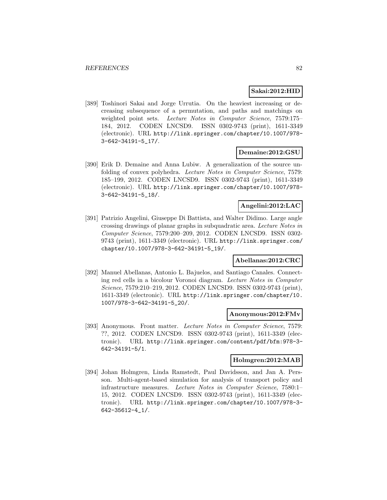### **Sakai:2012:HID**

[389] Toshinori Sakai and Jorge Urrutia. On the heaviest increasing or decreasing subsequence of a permutation, and paths and matchings on weighted point sets. Lecture Notes in Computer Science, 7579:175– 184, 2012. CODEN LNCSD9. ISSN 0302-9743 (print), 1611-3349 (electronic). URL http://link.springer.com/chapter/10.1007/978- 3-642-34191-5\_17/.

### **Demaine:2012:GSU**

[390] Erik D. Demaine and Anna Lubiw. A generalization of the source unfolding of convex polyhedra. Lecture Notes in Computer Science, 7579: 185–199, 2012. CODEN LNCSD9. ISSN 0302-9743 (print), 1611-3349 (electronic). URL http://link.springer.com/chapter/10.1007/978- 3-642-34191-5\_18/.

### **Angelini:2012:LAC**

[391] Patrizio Angelini, Giuseppe Di Battista, and Walter Didimo. Large angle crossing drawings of planar graphs in subquadratic area. Lecture Notes in Computer Science, 7579:200–209, 2012. CODEN LNCSD9. ISSN 0302- 9743 (print), 1611-3349 (electronic). URL http://link.springer.com/ chapter/10.1007/978-3-642-34191-5\_19/.

# **Abellanas:2012:CRC**

[392] Manuel Abellanas, Antonio L. Bajuelos, and Santiago Canales. Connecting red cells in a bicolour Voronoi diagram. Lecture Notes in Computer Science, 7579:210–219, 2012. CODEN LNCSD9. ISSN 0302-9743 (print), 1611-3349 (electronic). URL http://link.springer.com/chapter/10. 1007/978-3-642-34191-5\_20/.

### **Anonymous:2012:FMv**

[393] Anonymous. Front matter. Lecture Notes in Computer Science, 7579: ??, 2012. CODEN LNCSD9. ISSN 0302-9743 (print), 1611-3349 (electronic). URL http://link.springer.com/content/pdf/bfm:978-3- 642-34191-5/1.

#### **Holmgren:2012:MAB**

[394] Johan Holmgren, Linda Ramstedt, Paul Davidsson, and Jan A. Persson. Multi-agent-based simulation for analysis of transport policy and infrastructure measures. Lecture Notes in Computer Science, 7580:1– 15, 2012. CODEN LNCSD9. ISSN 0302-9743 (print), 1611-3349 (electronic). URL http://link.springer.com/chapter/10.1007/978-3- 642-35612-4\_1/.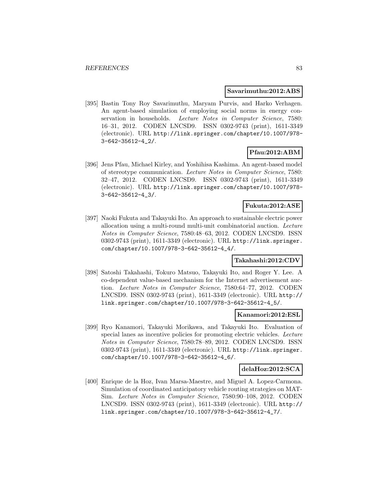#### **Savarimuthu:2012:ABS**

[395] Bastin Tony Roy Savarimuthu, Maryam Purvis, and Harko Verhagen. An agent-based simulation of employing social norms in energy conservation in households. Lecture Notes in Computer Science, 7580: 16–31, 2012. CODEN LNCSD9. ISSN 0302-9743 (print), 1611-3349 (electronic). URL http://link.springer.com/chapter/10.1007/978- 3-642-35612-4\_2/.

# **Pfau:2012:ABM**

[396] Jens Pfau, Michael Kirley, and Yoshihisa Kashima. An agent-based model of stereotype communication. Lecture Notes in Computer Science, 7580: 32–47, 2012. CODEN LNCSD9. ISSN 0302-9743 (print), 1611-3349 (electronic). URL http://link.springer.com/chapter/10.1007/978- 3-642-35612-4\_3/.

# **Fukuta:2012:ASE**

[397] Naoki Fukuta and Takayuki Ito. An approach to sustainable electric power allocation using a multi-round multi-unit combinatorial auction. Lecture Notes in Computer Science, 7580:48–63, 2012. CODEN LNCSD9. ISSN 0302-9743 (print), 1611-3349 (electronic). URL http://link.springer. com/chapter/10.1007/978-3-642-35612-4\_4/.

# **Takahashi:2012:CDV**

[398] Satoshi Takahashi, Tokuro Matsuo, Takayuki Ito, and Roger Y. Lee. A co-dependent value-based mechanism for the Internet advertisement auction. Lecture Notes in Computer Science, 7580:64–77, 2012. CODEN LNCSD9. ISSN 0302-9743 (print), 1611-3349 (electronic). URL http:// link.springer.com/chapter/10.1007/978-3-642-35612-4\_5/.

#### **Kanamori:2012:ESL**

[399] Ryo Kanamori, Takayuki Morikawa, and Takayuki Ito. Evaluation of special lanes as incentive policies for promoting electric vehicles. Lecture Notes in Computer Science, 7580:78–89, 2012. CODEN LNCSD9. ISSN 0302-9743 (print), 1611-3349 (electronic). URL http://link.springer. com/chapter/10.1007/978-3-642-35612-4\_6/.

#### **delaHoz:2012:SCA**

[400] Enrique de la Hoz, Ivan Marsa-Maestre, and Miguel A. Lopez-Carmona. Simulation of coordinated anticipatory vehicle routing strategies on MAT-Sim. Lecture Notes in Computer Science, 7580:90–108, 2012. CODEN LNCSD9. ISSN 0302-9743 (print), 1611-3349 (electronic). URL http:// link.springer.com/chapter/10.1007/978-3-642-35612-4\_7/.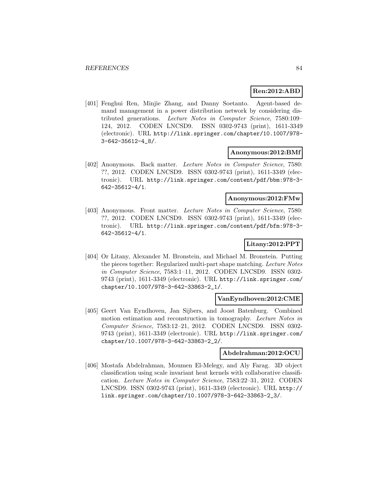# **Ren:2012:ABD**

[401] Fenghui Ren, Minjie Zhang, and Danny Soetanto. Agent-based demand management in a power distribution network by considering distributed generations. Lecture Notes in Computer Science, 7580:109– 124, 2012. CODEN LNCSD9. ISSN 0302-9743 (print), 1611-3349 (electronic). URL http://link.springer.com/chapter/10.1007/978- 3-642-35612-4\_8/.

#### **Anonymous:2012:BMf**

[402] Anonymous. Back matter. Lecture Notes in Computer Science, 7580: ??, 2012. CODEN LNCSD9. ISSN 0302-9743 (print), 1611-3349 (electronic). URL http://link.springer.com/content/pdf/bbm:978-3- 642-35612-4/1.

### **Anonymous:2012:FMw**

[403] Anonymous. Front matter. Lecture Notes in Computer Science, 7580: ??, 2012. CODEN LNCSD9. ISSN 0302-9743 (print), 1611-3349 (electronic). URL http://link.springer.com/content/pdf/bfm:978-3- 642-35612-4/1.

# **Litany:2012:PPT**

[404] Or Litany, Alexander M. Bronstein, and Michael M. Bronstein. Putting the pieces together: Regularized multi-part shape matching. Lecture Notes in Computer Science, 7583:1–11, 2012. CODEN LNCSD9. ISSN 0302- 9743 (print), 1611-3349 (electronic). URL http://link.springer.com/ chapter/10.1007/978-3-642-33863-2\_1/.

### **VanEyndhoven:2012:CME**

[405] Geert Van Eyndhoven, Jan Sijbers, and Joost Batenburg. Combined motion estimation and reconstruction in tomography. Lecture Notes in Computer Science, 7583:12–21, 2012. CODEN LNCSD9. ISSN 0302- 9743 (print), 1611-3349 (electronic). URL http://link.springer.com/ chapter/10.1007/978-3-642-33863-2\_2/.

### **Abdelrahman:2012:OCU**

[406] Mostafa Abdelrahman, Moumen El-Melegy, and Aly Farag. 3D object classification using scale invariant heat kernels with collaborative classification. Lecture Notes in Computer Science, 7583:22–31, 2012. CODEN LNCSD9. ISSN 0302-9743 (print), 1611-3349 (electronic). URL http:// link.springer.com/chapter/10.1007/978-3-642-33863-2\_3/.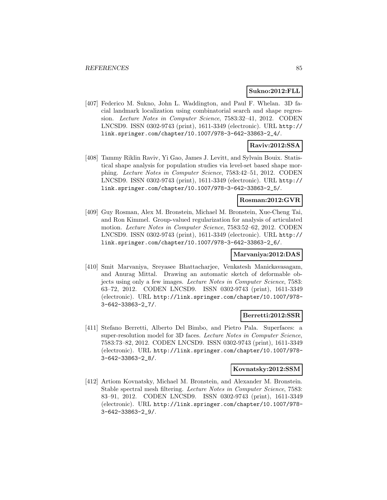### **Sukno:2012:FLL**

[407] Federico M. Sukno, John L. Waddington, and Paul F. Whelan. 3D facial landmark localization using combinatorial search and shape regression. Lecture Notes in Computer Science, 7583:32–41, 2012. CODEN LNCSD9. ISSN 0302-9743 (print), 1611-3349 (electronic). URL http:// link.springer.com/chapter/10.1007/978-3-642-33863-2\_4/.

# **Raviv:2012:SSA**

[408] Tammy Riklin Raviv, Yi Gao, James J. Levitt, and Sylvain Bouix. Statistical shape analysis for population studies via level-set based shape morphing. Lecture Notes in Computer Science, 7583:42–51, 2012. CODEN LNCSD9. ISSN 0302-9743 (print), 1611-3349 (electronic). URL http:// link.springer.com/chapter/10.1007/978-3-642-33863-2\_5/.

# **Rosman:2012:GVR**

[409] Guy Rosman, Alex M. Bronstein, Michael M. Bronstein, Xue-Cheng Tai, and Ron Kimmel. Group-valued regularization for analysis of articulated motion. Lecture Notes in Computer Science, 7583:52–62, 2012. CODEN LNCSD9. ISSN 0302-9743 (print), 1611-3349 (electronic). URL http:// link.springer.com/chapter/10.1007/978-3-642-33863-2\_6/.

### **Marvaniya:2012:DAS**

[410] Smit Marvaniya, Sreyasee Bhattacharjee, Venkatesh Manickavasagam, and Anurag Mittal. Drawing an automatic sketch of deformable objects using only a few images. Lecture Notes in Computer Science, 7583: 63–72, 2012. CODEN LNCSD9. ISSN 0302-9743 (print), 1611-3349 (electronic). URL http://link.springer.com/chapter/10.1007/978- 3-642-33863-2\_7/.

# **Berretti:2012:SSR**

[411] Stefano Berretti, Alberto Del Bimbo, and Pietro Pala. Superfaces: a super-resolution model for 3D faces. Lecture Notes in Computer Science, 7583:73–82, 2012. CODEN LNCSD9. ISSN 0302-9743 (print), 1611-3349 (electronic). URL http://link.springer.com/chapter/10.1007/978- 3-642-33863-2\_8/.

#### **Kovnatsky:2012:SSM**

[412] Artiom Kovnatsky, Michael M. Bronstein, and Alexander M. Bronstein. Stable spectral mesh filtering. Lecture Notes in Computer Science, 7583: 83–91, 2012. CODEN LNCSD9. ISSN 0302-9743 (print), 1611-3349 (electronic). URL http://link.springer.com/chapter/10.1007/978- 3-642-33863-2\_9/.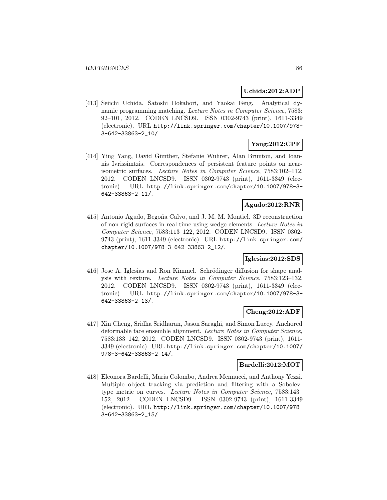### **Uchida:2012:ADP**

[413] Seiichi Uchida, Satoshi Hokahori, and Yaokai Feng. Analytical dynamic programming matching. Lecture Notes in Computer Science, 7583: 92–101, 2012. CODEN LNCSD9. ISSN 0302-9743 (print), 1611-3349 (electronic). URL http://link.springer.com/chapter/10.1007/978- 3-642-33863-2\_10/.

# **Yang:2012:CPF**

[414] Ying Yang, David Günther, Stefanie Wuhrer, Alan Brunton, and Ioannis Ivrissimtzis. Correspondences of persistent feature points on nearisometric surfaces. Lecture Notes in Computer Science, 7583:102–112, 2012. CODEN LNCSD9. ISSN 0302-9743 (print), 1611-3349 (electronic). URL http://link.springer.com/chapter/10.1007/978-3- 642-33863-2\_11/.

### **Agudo:2012:RNR**

[415] Antonio Agudo, Begoña Calvo, and J. M. M. Montiel. 3D reconstruction of non-rigid surfaces in real-time using wedge elements. Lecture Notes in Computer Science, 7583:113–122, 2012. CODEN LNCSD9. ISSN 0302- 9743 (print), 1611-3349 (electronic). URL http://link.springer.com/ chapter/10.1007/978-3-642-33863-2\_12/.

### **Iglesias:2012:SDS**

[416] Jose A. Iglesias and Ron Kimmel. Schrödinger diffusion for shape analysis with texture. Lecture Notes in Computer Science, 7583:123–132, 2012. CODEN LNCSD9. ISSN 0302-9743 (print), 1611-3349 (electronic). URL http://link.springer.com/chapter/10.1007/978-3- 642-33863-2\_13/.

# **Cheng:2012:ADF**

[417] Xin Cheng, Sridha Sridharan, Jason Saraghi, and Simon Lucey. Anchored deformable face ensemble alignment. Lecture Notes in Computer Science, 7583:133–142, 2012. CODEN LNCSD9. ISSN 0302-9743 (print), 1611- 3349 (electronic). URL http://link.springer.com/chapter/10.1007/ 978-3-642-33863-2\_14/.

# **Bardelli:2012:MOT**

[418] Eleonora Bardelli, Maria Colombo, Andrea Mennucci, and Anthony Yezzi. Multiple object tracking via prediction and filtering with a Sobolevtype metric on curves. Lecture Notes in Computer Science, 7583:143– 152, 2012. CODEN LNCSD9. ISSN 0302-9743 (print), 1611-3349 (electronic). URL http://link.springer.com/chapter/10.1007/978- 3-642-33863-2\_15/.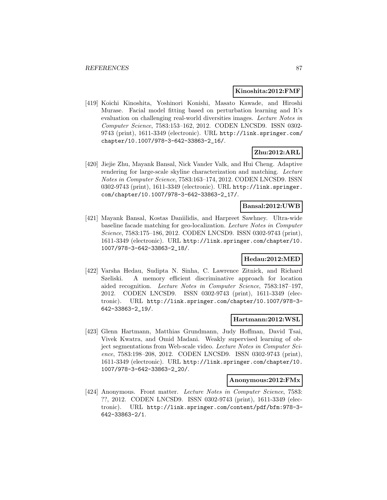#### **Kinoshita:2012:FMF**

[419] Koichi Kinoshita, Yoshinori Konishi, Masato Kawade, and Hiroshi Murase. Facial model fitting based on perturbation learning and It's evaluation on challenging real-world diversities images. Lecture Notes in Computer Science, 7583:153–162, 2012. CODEN LNCSD9. ISSN 0302- 9743 (print), 1611-3349 (electronic). URL http://link.springer.com/ chapter/10.1007/978-3-642-33863-2\_16/.

# **Zhu:2012:ARL**

[420] Jiejie Zhu, Mayank Bansal, Nick Vander Valk, and Hui Cheng. Adaptive rendering for large-scale skyline characterization and matching. Lecture Notes in Computer Science, 7583:163–174, 2012. CODEN LNCSD9. ISSN 0302-9743 (print), 1611-3349 (electronic). URL http://link.springer. com/chapter/10.1007/978-3-642-33863-2\_17/.

#### **Bansal:2012:UWB**

[421] Mayank Bansal, Kostas Daniilidis, and Harpreet Sawhney. Ultra-wide baseline facade matching for geo-localization. Lecture Notes in Computer Science, 7583:175–186, 2012. CODEN LNCSD9. ISSN 0302-9743 (print), 1611-3349 (electronic). URL http://link.springer.com/chapter/10. 1007/978-3-642-33863-2\_18/.

### **Hedau:2012:MED**

[422] Varsha Hedau, Sudipta N. Sinha, C. Lawrence Zitnick, and Richard Szeliski. A memory efficient discriminative approach for location aided recognition. Lecture Notes in Computer Science, 7583:187–197, 2012. CODEN LNCSD9. ISSN 0302-9743 (print), 1611-3349 (electronic). URL http://link.springer.com/chapter/10.1007/978-3- 642-33863-2\_19/.

### **Hartmann:2012:WSL**

[423] Glenn Hartmann, Matthias Grundmann, Judy Hoffman, David Tsai, Vivek Kwatra, and Omid Madani. Weakly supervised learning of object segmentations from Web-scale video. Lecture Notes in Computer Science, 7583:198–208, 2012. CODEN LNCSD9. ISSN 0302-9743 (print), 1611-3349 (electronic). URL http://link.springer.com/chapter/10. 1007/978-3-642-33863-2\_20/.

#### **Anonymous:2012:FMx**

[424] Anonymous. Front matter. Lecture Notes in Computer Science, 7583: ??, 2012. CODEN LNCSD9. ISSN 0302-9743 (print), 1611-3349 (electronic). URL http://link.springer.com/content/pdf/bfm:978-3- 642-33863-2/1.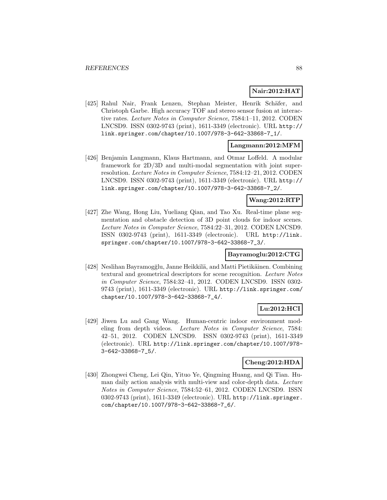# **Nair:2012:HAT**

[425] Rahul Nair, Frank Lenzen, Stephan Meister, Henrik Schäfer, and Christoph Garbe. High accuracy TOF and stereo sensor fusion at interactive rates. Lecture Notes in Computer Science, 7584:1–11, 2012. CODEN LNCSD9. ISSN 0302-9743 (print), 1611-3349 (electronic). URL http:// link.springer.com/chapter/10.1007/978-3-642-33868-7\_1/.

# **Langmann:2012:MFM**

[426] Benjamin Langmann, Klaus Hartmann, and Otmar Loffeld. A modular framework for 2D/3D and multi-modal segmentation with joint superresolution. Lecture Notes in Computer Science, 7584:12–21, 2012. CODEN LNCSD9. ISSN 0302-9743 (print), 1611-3349 (electronic). URL http:// link.springer.com/chapter/10.1007/978-3-642-33868-7\_2/.

# **Wang:2012:RTP**

[427] Zhe Wang, Hong Liu, Yueliang Qian, and Tao Xu. Real-time plane segmentation and obstacle detection of 3D point clouds for indoor scenes. Lecture Notes in Computer Science, 7584:22–31, 2012. CODEN LNCSD9. ISSN 0302-9743 (print), 1611-3349 (electronic). URL http://link. springer.com/chapter/10.1007/978-3-642-33868-7\_3/.

# **Bayramoglu:2012:CTG**

[428] Neslihan Bayramogğlu, Janne Heikkilä, and Matti Pietikäinen. Combining textural and geometrical descriptors for scene recognition. Lecture Notes in Computer Science, 7584:32–41, 2012. CODEN LNCSD9. ISSN 0302- 9743 (print), 1611-3349 (electronic). URL http://link.springer.com/ chapter/10.1007/978-3-642-33868-7\_4/.

# **Lu:2012:HCI**

[429] Jiwen Lu and Gang Wang. Human-centric indoor environment modeling from depth videos. Lecture Notes in Computer Science, 7584: 42–51, 2012. CODEN LNCSD9. ISSN 0302-9743 (print), 1611-3349 (electronic). URL http://link.springer.com/chapter/10.1007/978- 3-642-33868-7\_5/.

### **Cheng:2012:HDA**

[430] Zhongwei Cheng, Lei Qin, Yituo Ye, Qingming Huang, and Qi Tian. Human daily action analysis with multi-view and color-depth data. Lecture Notes in Computer Science, 7584:52–61, 2012. CODEN LNCSD9. ISSN 0302-9743 (print), 1611-3349 (electronic). URL http://link.springer. com/chapter/10.1007/978-3-642-33868-7\_6/.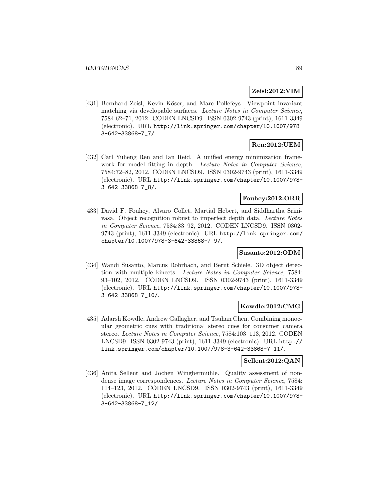# **Zeisl:2012:VIM**

[431] Bernhard Zeisl, Kevin Köser, and Marc Pollefeys. Viewpoint invariant matching via developable surfaces. Lecture Notes in Computer Science, 7584:62–71, 2012. CODEN LNCSD9. ISSN 0302-9743 (print), 1611-3349 (electronic). URL http://link.springer.com/chapter/10.1007/978- 3-642-33868-7\_7/.

# **Ren:2012:UEM**

[432] Carl Yuheng Ren and Ian Reid. A unified energy minimization framework for model fitting in depth. Lecture Notes in Computer Science, 7584:72–82, 2012. CODEN LNCSD9. ISSN 0302-9743 (print), 1611-3349 (electronic). URL http://link.springer.com/chapter/10.1007/978- 3-642-33868-7\_8/.

# **Fouhey:2012:ORR**

[433] David F. Fouhey, Alvaro Collet, Martial Hebert, and Siddhartha Srinivasa. Object recognition robust to imperfect depth data. Lecture Notes in Computer Science, 7584:83–92, 2012. CODEN LNCSD9. ISSN 0302- 9743 (print), 1611-3349 (electronic). URL http://link.springer.com/ chapter/10.1007/978-3-642-33868-7\_9/.

### **Susanto:2012:ODM**

[434] Wandi Susanto, Marcus Rohrbach, and Bernt Schiele. 3D object detection with multiple kinects. Lecture Notes in Computer Science, 7584: 93–102, 2012. CODEN LNCSD9. ISSN 0302-9743 (print), 1611-3349 (electronic). URL http://link.springer.com/chapter/10.1007/978- 3-642-33868-7\_10/.

### **Kowdle:2012:CMG**

[435] Adarsh Kowdle, Andrew Gallagher, and Tsuhan Chen. Combining monocular geometric cues with traditional stereo cues for consumer camera stereo. Lecture Notes in Computer Science, 7584:103–113, 2012. CODEN LNCSD9. ISSN 0302-9743 (print), 1611-3349 (electronic). URL http:// link.springer.com/chapter/10.1007/978-3-642-33868-7\_11/.

## **Sellent:2012:QAN**

[436] Anita Sellent and Jochen Wingbermühle. Quality assessment of nondense image correspondences. Lecture Notes in Computer Science, 7584: 114–123, 2012. CODEN LNCSD9. ISSN 0302-9743 (print), 1611-3349 (electronic). URL http://link.springer.com/chapter/10.1007/978- 3-642-33868-7\_12/.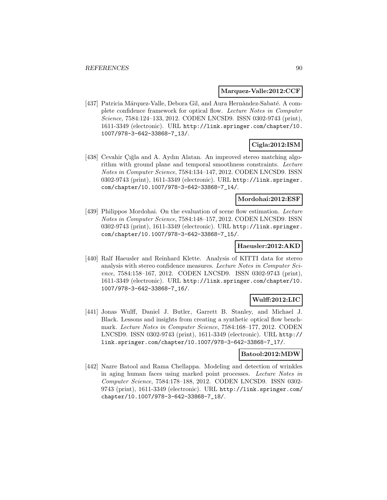#### **Marquez-Valle:2012:CCF**

[437] Patricia Márquez-Valle, Debora Gil, and Aura Hernàndez-Sabaté. A complete confidence framework for optical flow. Lecture Notes in Computer Science, 7584:124–133, 2012. CODEN LNCSD9. ISSN 0302-9743 (print), 1611-3349 (electronic). URL http://link.springer.com/chapter/10. 1007/978-3-642-33868-7\_13/.

# **Cigla:2012:ISM**

[438] Cevahir Çığla and A. Aydın Alatan. An improved stereo matching algorithm with ground plane and temporal smoothness constraints. Lecture Notes in Computer Science, 7584:134–147, 2012. CODEN LNCSD9. ISSN 0302-9743 (print), 1611-3349 (electronic). URL http://link.springer. com/chapter/10.1007/978-3-642-33868-7\_14/.

#### **Mordohai:2012:ESF**

[439] Philippos Mordohai. On the evaluation of scene flow estimation. Lecture Notes in Computer Science, 7584:148–157, 2012. CODEN LNCSD9. ISSN 0302-9743 (print), 1611-3349 (electronic). URL http://link.springer. com/chapter/10.1007/978-3-642-33868-7\_15/.

#### **Haeusler:2012:AKD**

[440] Ralf Haeusler and Reinhard Klette. Analysis of KITTI data for stereo analysis with stereo confidence measures. Lecture Notes in Computer Science, 7584:158–167, 2012. CODEN LNCSD9. ISSN 0302-9743 (print), 1611-3349 (electronic). URL http://link.springer.com/chapter/10. 1007/978-3-642-33868-7\_16/.

# **Wulff:2012:LIC**

[441] Jonas Wulff, Daniel J. Butler, Garrett B. Stanley, and Michael J. Black. Lessons and insights from creating a synthetic optical flow benchmark. Lecture Notes in Computer Science, 7584:168–177, 2012. CODEN LNCSD9. ISSN 0302-9743 (print), 1611-3349 (electronic). URL http:// link.springer.com/chapter/10.1007/978-3-642-33868-7\_17/.

# **Batool:2012:MDW**

[442] Nazre Batool and Rama Chellappa. Modeling and detection of wrinkles in aging human faces using marked point processes. Lecture Notes in Computer Science, 7584:178–188, 2012. CODEN LNCSD9. ISSN 0302- 9743 (print), 1611-3349 (electronic). URL http://link.springer.com/ chapter/10.1007/978-3-642-33868-7\_18/.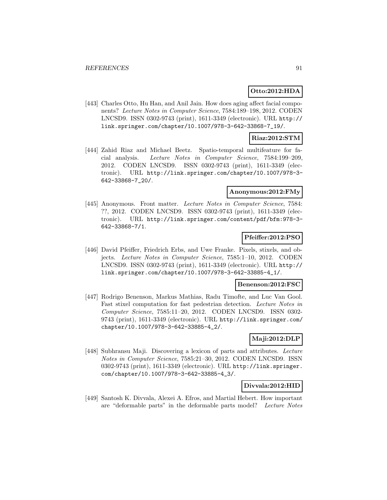### **Otto:2012:HDA**

[443] Charles Otto, Hu Han, and Anil Jain. How does aging affect facial components? Lecture Notes in Computer Science, 7584:189–198, 2012. CODEN LNCSD9. ISSN 0302-9743 (print), 1611-3349 (electronic). URL http:// link.springer.com/chapter/10.1007/978-3-642-33868-7\_19/.

#### **Riaz:2012:STM**

[444] Zahid Riaz and Michael Beetz. Spatio-temporal multifeature for facial analysis. Lecture Notes in Computer Science, 7584:199–209, 2012. CODEN LNCSD9. ISSN 0302-9743 (print), 1611-3349 (electronic). URL http://link.springer.com/chapter/10.1007/978-3- 642-33868-7\_20/.

### **Anonymous:2012:FMy**

[445] Anonymous. Front matter. Lecture Notes in Computer Science, 7584: ??, 2012. CODEN LNCSD9. ISSN 0302-9743 (print), 1611-3349 (electronic). URL http://link.springer.com/content/pdf/bfm:978-3- 642-33868-7/1.

#### **Pfeiffer:2012:PSO**

[446] David Pfeiffer, Friedrich Erbs, and Uwe Franke. Pixels, stixels, and objects. Lecture Notes in Computer Science, 7585:1–10, 2012. CODEN LNCSD9. ISSN 0302-9743 (print), 1611-3349 (electronic). URL http:// link.springer.com/chapter/10.1007/978-3-642-33885-4\_1/.

#### **Benenson:2012:FSC**

[447] Rodrigo Benenson, Markus Mathias, Radu Timofte, and Luc Van Gool. Fast stixel computation for fast pedestrian detection. Lecture Notes in Computer Science, 7585:11–20, 2012. CODEN LNCSD9. ISSN 0302- 9743 (print), 1611-3349 (electronic). URL http://link.springer.com/ chapter/10.1007/978-3-642-33885-4\_2/.

# **Maji:2012:DLP**

[448] Subhransu Maji. Discovering a lexicon of parts and attributes. Lecture Notes in Computer Science, 7585:21–30, 2012. CODEN LNCSD9. ISSN 0302-9743 (print), 1611-3349 (electronic). URL http://link.springer. com/chapter/10.1007/978-3-642-33885-4\_3/.

#### **Divvala:2012:HID**

[449] Santosh K. Divvala, Alexei A. Efros, and Martial Hebert. How important are "deformable parts" in the deformable parts model? Lecture Notes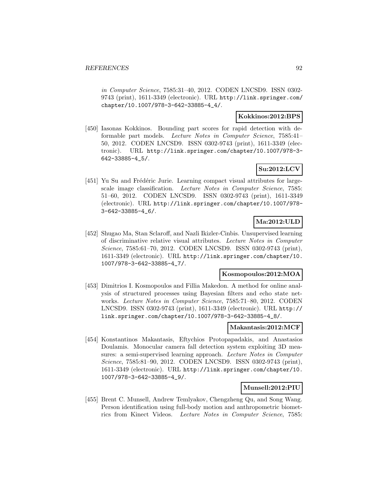in Computer Science, 7585:31–40, 2012. CODEN LNCSD9. ISSN 0302- 9743 (print), 1611-3349 (electronic). URL http://link.springer.com/ chapter/10.1007/978-3-642-33885-4\_4/.

# **Kokkinos:2012:BPS**

[450] Iasonas Kokkinos. Bounding part scores for rapid detection with deformable part models. Lecture Notes in Computer Science, 7585:41– 50, 2012. CODEN LNCSD9. ISSN 0302-9743 (print), 1611-3349 (electronic). URL http://link.springer.com/chapter/10.1007/978-3- 642-33885-4\_5/.

# **Su:2012:LCV**

[451] Yu Su and Frédéric Jurie. Learning compact visual attributes for largescale image classification. Lecture Notes in Computer Science, 7585: 51–60, 2012. CODEN LNCSD9. ISSN 0302-9743 (print), 1611-3349 (electronic). URL http://link.springer.com/chapter/10.1007/978- 3-642-33885-4\_6/.

# **Ma:2012:ULD**

[452] Shugao Ma, Stan Sclaroff, and Nazli Ikizler-Cinbis. Unsupervised learning of discriminative relative visual attributes. Lecture Notes in Computer Science, 7585:61–70, 2012. CODEN LNCSD9. ISSN 0302-9743 (print), 1611-3349 (electronic). URL http://link.springer.com/chapter/10. 1007/978-3-642-33885-4\_7/.

# **Kosmopoulos:2012:MOA**

[453] Dimitrios I. Kosmopoulos and Fillia Makedon. A method for online analysis of structured processes using Bayesian filters and echo state networks. Lecture Notes in Computer Science, 7585:71–80, 2012. CODEN LNCSD9. ISSN 0302-9743 (print), 1611-3349 (electronic). URL http:// link.springer.com/chapter/10.1007/978-3-642-33885-4\_8/.

### **Makantasis:2012:MCF**

[454] Konstantinos Makantasis, Eftychios Protopapadakis, and Anastasios Doulamis. Monocular camera fall detection system exploiting 3D measures: a semi-supervised learning approach. Lecture Notes in Computer Science, 7585:81–90, 2012. CODEN LNCSD9. ISSN 0302-9743 (print), 1611-3349 (electronic). URL http://link.springer.com/chapter/10. 1007/978-3-642-33885-4\_9/.

# **Munsell:2012:PIU**

[455] Brent C. Munsell, Andrew Temlyakov, Chengzheng Qu, and Song Wang. Person identification using full-body motion and anthropometric biometrics from Kinect Videos. Lecture Notes in Computer Science, 7585: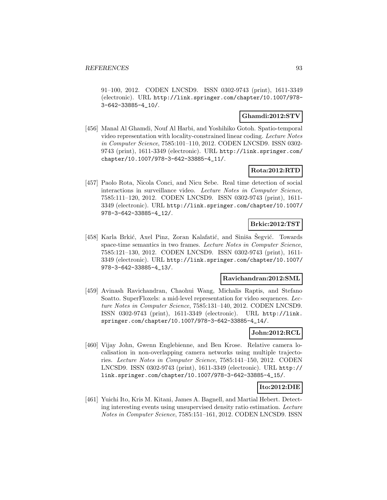91–100, 2012. CODEN LNCSD9. ISSN 0302-9743 (print), 1611-3349 (electronic). URL http://link.springer.com/chapter/10.1007/978- 3-642-33885-4\_10/.

# **Ghamdi:2012:STV**

[456] Manal Al Ghamdi, Nouf Al Harbi, and Yoshihiko Gotoh. Spatio-temporal video representation with locality-constrained linear coding. Lecture Notes in Computer Science, 7585:101–110, 2012. CODEN LNCSD9. ISSN 0302- 9743 (print), 1611-3349 (electronic). URL http://link.springer.com/ chapter/10.1007/978-3-642-33885-4\_11/.

# **Rota:2012:RTD**

[457] Paolo Rota, Nicola Conci, and Nicu Sebe. Real time detection of social interactions in surveillance video. Lecture Notes in Computer Science, 7585:111–120, 2012. CODEN LNCSD9. ISSN 0302-9743 (print), 1611- 3349 (electronic). URL http://link.springer.com/chapter/10.1007/ 978-3-642-33885-4\_12/.

# **Brkic:2012:TST**

[458] Karla Brkić, Axel Pinz, Zoran Kalafatić, and Siniša Šegvić. Towards space-time semantics in two frames. Lecture Notes in Computer Science, 7585:121–130, 2012. CODEN LNCSD9. ISSN 0302-9743 (print), 1611- 3349 (electronic). URL http://link.springer.com/chapter/10.1007/ 978-3-642-33885-4\_13/.

### **Ravichandran:2012:SML**

[459] Avinash Ravichandran, Chaohui Wang, Michalis Raptis, and Stefano Soatto. SuperFloxels: a mid-level representation for video sequences. Lecture Notes in Computer Science, 7585:131–140, 2012. CODEN LNCSD9. ISSN 0302-9743 (print), 1611-3349 (electronic). URL http://link. springer.com/chapter/10.1007/978-3-642-33885-4\_14/.

### **John:2012:RCL**

[460] Vijay John, Gwenn Englebienne, and Ben Krose. Relative camera localisation in non-overlapping camera networks using multiple trajectories. Lecture Notes in Computer Science, 7585:141–150, 2012. CODEN LNCSD9. ISSN 0302-9743 (print), 1611-3349 (electronic). URL http:// link.springer.com/chapter/10.1007/978-3-642-33885-4\_15/.

### **Ito:2012:DIE**

[461] Yuichi Ito, Kris M. Kitani, James A. Bagnell, and Martial Hebert. Detecting interesting events using unsupervised density ratio estimation. Lecture Notes in Computer Science, 7585:151–161, 2012. CODEN LNCSD9. ISSN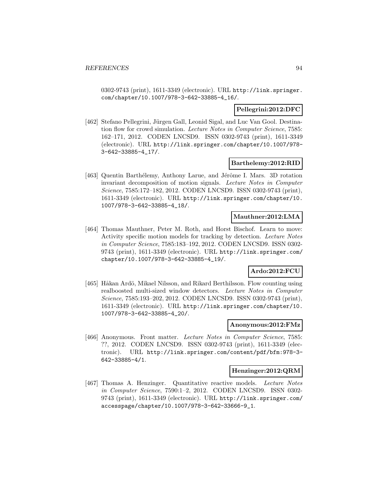0302-9743 (print), 1611-3349 (electronic). URL http://link.springer. com/chapter/10.1007/978-3-642-33885-4\_16/.

### **Pellegrini:2012:DFC**

[462] Stefano Pellegrini, Jürgen Gall, Leonid Sigal, and Luc Van Gool. Destination flow for crowd simulation. Lecture Notes in Computer Science, 7585: 162–171, 2012. CODEN LNCSD9. ISSN 0302-9743 (print), 1611-3349 (electronic). URL http://link.springer.com/chapter/10.1007/978- 3-642-33885-4\_17/.

#### **Barthelemy:2012:RID**

[463] Quentin Barthélemy, Anthony Larue, and Jérôme I. Mars. 3D rotation invariant decomposition of motion signals. Lecture Notes in Computer Science, 7585:172–182, 2012. CODEN LNCSD9. ISSN 0302-9743 (print), 1611-3349 (electronic). URL http://link.springer.com/chapter/10. 1007/978-3-642-33885-4\_18/.

### **Mauthner:2012:LMA**

[464] Thomas Mauthner, Peter M. Roth, and Horst Bischof. Learn to move: Activity specific motion models for tracking by detection. Lecture Notes in Computer Science, 7585:183–192, 2012. CODEN LNCSD9. ISSN 0302- 9743 (print), 1611-3349 (electronic). URL http://link.springer.com/ chapter/10.1007/978-3-642-33885-4\_19/.

# **Ardo:2012:FCU**

[465] Håkan Ardö, Mikael Nilsson, and Rikard Berthilsson. Flow counting using realboosted multi-sized window detectors. Lecture Notes in Computer Science, 7585:193–202, 2012. CODEN LNCSD9. ISSN 0302-9743 (print), 1611-3349 (electronic). URL http://link.springer.com/chapter/10. 1007/978-3-642-33885-4\_20/.

#### **Anonymous:2012:FMz**

[466] Anonymous. Front matter. Lecture Notes in Computer Science, 7585: ??, 2012. CODEN LNCSD9. ISSN 0302-9743 (print), 1611-3349 (electronic). URL http://link.springer.com/content/pdf/bfm:978-3- 642-33885-4/1.

#### **Henzinger:2012:QRM**

[467] Thomas A. Henzinger. Quantitative reactive models. Lecture Notes in Computer Science, 7590:1–2, 2012. CODEN LNCSD9. ISSN 0302- 9743 (print), 1611-3349 (electronic). URL http://link.springer.com/ accesspage/chapter/10.1007/978-3-642-33666-9\_1.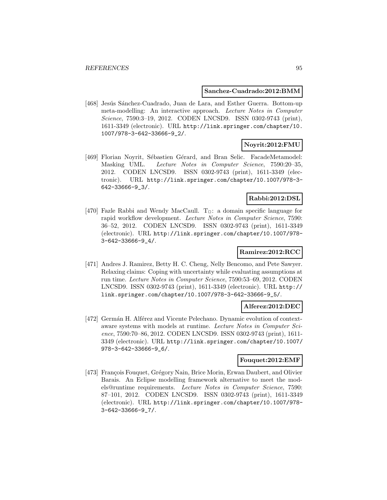### **Sanchez-Cuadrado:2012:BMM**

[468] Jesús Sánchez-Cuadrado, Juan de Lara, and Esther Guerra. Bottom-up meta-modelling: An interactive approach. Lecture Notes in Computer Science, 7590:3-19, 2012. CODEN LNCSD9. ISSN 0302-9743 (print), 1611-3349 (electronic). URL http://link.springer.com/chapter/10. 1007/978-3-642-33666-9\_2/.

# **Noyrit:2012:FMU**

[469] Florian Noyrit, Sébastien Gérard, and Bran Selic. FacadeMetamodel: Masking UML. Lecture Notes in Computer Science, 7590:20–35, 2012. CODEN LNCSD9. ISSN 0302-9743 (print), 1611-3349 (electronic). URL http://link.springer.com/chapter/10.1007/978-3- 642-33666-9\_3/.

# **Rabbi:2012:DSL**

[470] Fazle Rabbi and Wendy MacCaull.  $T_{\Box}$ : a domain specific language for rapid workflow development. Lecture Notes in Computer Science, 7590: 36–52, 2012. CODEN LNCSD9. ISSN 0302-9743 (print), 1611-3349 (electronic). URL http://link.springer.com/chapter/10.1007/978- 3-642-33666-9\_4/.

# **Ramirez:2012:RCC**

[471] Andres J. Ramirez, Betty H. C. Cheng, Nelly Bencomo, and Pete Sawyer. Relaxing claims: Coping with uncertainty while evaluating assumptions at run time. Lecture Notes in Computer Science, 7590:53–69, 2012. CODEN LNCSD9. ISSN 0302-9743 (print), 1611-3349 (electronic). URL http:// link.springer.com/chapter/10.1007/978-3-642-33666-9\_5/.

### **Alferez:2012:DEC**

[472] Germán H. Alférez and Vicente Pelechano. Dynamic evolution of contextaware systems with models at runtime. Lecture Notes in Computer Science, 7590:70–86, 2012. CODEN LNCSD9. ISSN 0302-9743 (print), 1611- 3349 (electronic). URL http://link.springer.com/chapter/10.1007/ 978-3-642-33666-9\_6/.

### **Fouquet:2012:EMF**

[473] François Fouquet, Grégory Nain, Brice Morin, Erwan Daubert, and Olivier Barais. An Eclipse modelling framework alternative to meet the models@runtime requirements. Lecture Notes in Computer Science, 7590: 87–101, 2012. CODEN LNCSD9. ISSN 0302-9743 (print), 1611-3349 (electronic). URL http://link.springer.com/chapter/10.1007/978- 3-642-33666-9\_7/.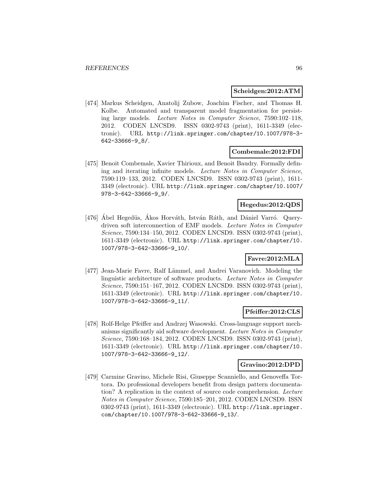#### **Scheidgen:2012:ATM**

[474] Markus Scheidgen, Anatolij Zubow, Joachim Fischer, and Thomas H. Kolbe. Automated and transparent model fragmentation for persisting large models. Lecture Notes in Computer Science, 7590:102–118, 2012. CODEN LNCSD9. ISSN 0302-9743 (print), 1611-3349 (electronic). URL http://link.springer.com/chapter/10.1007/978-3- 642-33666-9\_8/.

# **Combemale:2012:FDI**

[475] Benoit Combemale, Xavier Thirioux, and Benoit Baudry. Formally defining and iterating infinite models. Lecture Notes in Computer Science, 7590:119–133, 2012. CODEN LNCSD9. ISSN 0302-9743 (print), 1611- 3349 (electronic). URL http://link.springer.com/chapter/10.1007/ 978-3-642-33666-9\_9/.

# **Hegedus:2012:QDS**

[476] Ábel Hegedüs, Ákos Horváth, István Ráth, and Dániel Varró. Querydriven soft interconnection of EMF models. Lecture Notes in Computer Science, 7590:134–150, 2012. CODEN LNCSD9. ISSN 0302-9743 (print), 1611-3349 (electronic). URL http://link.springer.com/chapter/10. 1007/978-3-642-33666-9\_10/.

# **Favre:2012:MLA**

[477] Jean-Marie Favre, Ralf Lämmel, and Andrei Varanovich. Modeling the linguistic architecture of software products. Lecture Notes in Computer Science, 7590:151–167, 2012. CODEN LNCSD9. ISSN 0302-9743 (print), 1611-3349 (electronic). URL http://link.springer.com/chapter/10. 1007/978-3-642-33666-9\_11/.

# **Pfeiffer:2012:CLS**

[478] Rolf-Helge Pfeiffer and Andrzej Wasowski. Cross-language support mechanisms significantly aid software development. Lecture Notes in Computer Science, 7590:168–184, 2012. CODEN LNCSD9. ISSN 0302-9743 (print), 1611-3349 (electronic). URL http://link.springer.com/chapter/10. 1007/978-3-642-33666-9\_12/.

# **Gravino:2012:DPD**

[479] Carmine Gravino, Michele Risi, Giuseppe Scanniello, and Genoveffa Tortora. Do professional developers benefit from design pattern documentation? A replication in the context of source code comprehension. Lecture Notes in Computer Science, 7590:185–201, 2012. CODEN LNCSD9. ISSN 0302-9743 (print), 1611-3349 (electronic). URL http://link.springer. com/chapter/10.1007/978-3-642-33666-9\_13/.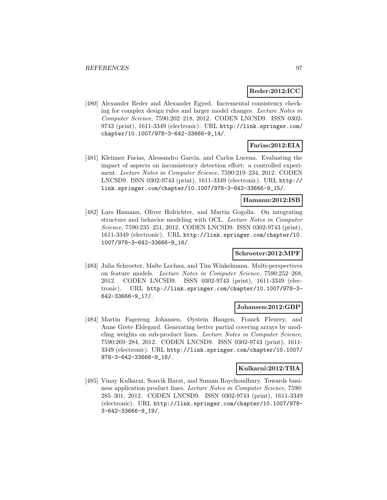# **Reder:2012:ICC**

[480] Alexander Reder and Alexander Egyed. Incremental consistency checking for complex design rules and larger model changes. Lecture Notes in Computer Science, 7590:202–218, 2012. CODEN LNCSD9. ISSN 0302- 9743 (print), 1611-3349 (electronic). URL http://link.springer.com/ chapter/10.1007/978-3-642-33666-9\_14/.

# **Farias:2012:EIA**

[481] Kleinner Farias, Alessandro Garcia, and Carlos Lucena. Evaluating the impact of aspects on inconsistency detection effort: a controlled experiment. Lecture Notes in Computer Science, 7590:219–234, 2012. CODEN LNCSD9. ISSN 0302-9743 (print), 1611-3349 (electronic). URL http:// link.springer.com/chapter/10.1007/978-3-642-33666-9\_15/.

#### **Hamann:2012:ISB**

[482] Lars Hamann, Oliver Hofrichter, and Martin Gogolla. On integrating structure and behavior modeling with OCL. Lecture Notes in Computer Science, 7590:235–251, 2012. CODEN LNCSD9. ISSN 0302-9743 (print), 1611-3349 (electronic). URL http://link.springer.com/chapter/10. 1007/978-3-642-33666-9\_16/.

### **Schroeter:2012:MPF**

[483] Julia Schroeter, Malte Lochau, and Tim Winkelmann. Multi-perspectives on feature models. Lecture Notes in Computer Science, 7590:252–268, 2012. CODEN LNCSD9. ISSN 0302-9743 (print), 1611-3349 (electronic). URL http://link.springer.com/chapter/10.1007/978-3- 642-33666-9\_17/.

#### **Johansen:2012:GBP**

[484] Martin Fagereng Johansen, Øystein Haugen, Franck Fleurey, and Anne Grete Eldegard. Generating better partial covering arrays by modeling weights on sub-product lines. Lecture Notes in Computer Science, 7590:269–284, 2012. CODEN LNCSD9. ISSN 0302-9743 (print), 1611- 3349 (electronic). URL http://link.springer.com/chapter/10.1007/ 978-3-642-33666-9\_18/.

### **Kulkarni:2012:TBA**

[485] Vinay Kulkarni, Souvik Barat, and Suman Roychoudhury. Towards business application product lines. Lecture Notes in Computer Science, 7590: 285–301, 2012. CODEN LNCSD9. ISSN 0302-9743 (print), 1611-3349 (electronic). URL http://link.springer.com/chapter/10.1007/978- 3-642-33666-9\_19/.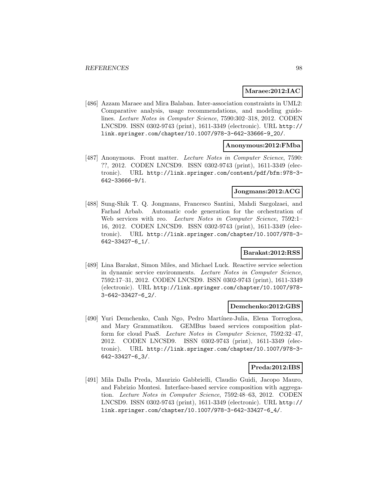### **Maraee:2012:IAC**

[486] Azzam Maraee and Mira Balaban. Inter-association constraints in UML2: Comparative analysis, usage recommendations, and modeling guidelines. Lecture Notes in Computer Science, 7590:302–318, 2012. CODEN LNCSD9. ISSN 0302-9743 (print), 1611-3349 (electronic). URL http:// link.springer.com/chapter/10.1007/978-3-642-33666-9\_20/.

### **Anonymous:2012:FMba**

[487] Anonymous. Front matter. Lecture Notes in Computer Science, 7590: ??, 2012. CODEN LNCSD9. ISSN 0302-9743 (print), 1611-3349 (electronic). URL http://link.springer.com/content/pdf/bfm:978-3- 642-33666-9/1.

### **Jongmans:2012:ACG**

[488] Sung-Shik T. Q. Jongmans, Francesco Santini, Mahdi Sargolzaei, and Farhad Arbab. Automatic code generation for the orchestration of Web services with reo. Lecture Notes in Computer Science, 7592:1– 16, 2012. CODEN LNCSD9. ISSN 0302-9743 (print), 1611-3349 (electronic). URL http://link.springer.com/chapter/10.1007/978-3- 642-33427-6\_1/.

### **Barakat:2012:RSS**

[489] Lina Barakat, Simon Miles, and Michael Luck. Reactive service selection in dynamic service environments. Lecture Notes in Computer Science, 7592:17–31, 2012. CODEN LNCSD9. ISSN 0302-9743 (print), 1611-3349 (electronic). URL http://link.springer.com/chapter/10.1007/978- 3-642-33427-6\_2/.

#### **Demchenko:2012:GBS**

[490] Yuri Demchenko, Canh Ngo, Pedro Martínez-Julia, Elena Torroglosa, and Mary Grammatikou. GEMBus based services composition platform for cloud PaaS. Lecture Notes in Computer Science, 7592:32–47, 2012. CODEN LNCSD9. ISSN 0302-9743 (print), 1611-3349 (electronic). URL http://link.springer.com/chapter/10.1007/978-3- 642-33427-6\_3/.

### **Preda:2012:IBS**

[491] Mila Dalla Preda, Maurizio Gabbrielli, Claudio Guidi, Jacopo Mauro, and Fabrizio Montesi. Interface-based service composition with aggregation. Lecture Notes in Computer Science, 7592:48–63, 2012. CODEN LNCSD9. ISSN 0302-9743 (print), 1611-3349 (electronic). URL http:// link.springer.com/chapter/10.1007/978-3-642-33427-6\_4/.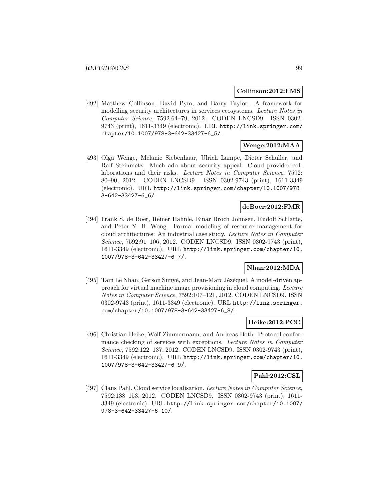#### **Collinson:2012:FMS**

[492] Matthew Collinson, David Pym, and Barry Taylor. A framework for modelling security architectures in services ecosystems. Lecture Notes in Computer Science, 7592:64–79, 2012. CODEN LNCSD9. ISSN 0302- 9743 (print), 1611-3349 (electronic). URL http://link.springer.com/ chapter/10.1007/978-3-642-33427-6\_5/.

# **Wenge:2012:MAA**

[493] Olga Wenge, Melanie Siebenhaar, Ulrich Lampe, Dieter Schuller, and Ralf Steinmetz. Much ado about security appeal: Cloud provider collaborations and their risks. *Lecture Notes in Computer Science*, 7592: 80–90, 2012. CODEN LNCSD9. ISSN 0302-9743 (print), 1611-3349 (electronic). URL http://link.springer.com/chapter/10.1007/978- 3-642-33427-6\_6/.

### **deBoer:2012:FMR**

[494] Frank S. de Boer, Reiner Hähnle, Einar Broch Johnsen, Rudolf Schlatte, and Peter Y. H. Wong. Formal modeling of resource management for cloud architectures: An industrial case study. Lecture Notes in Computer Science, 7592:91–106, 2012. CODEN LNCSD9. ISSN 0302-9743 (print), 1611-3349 (electronic). URL http://link.springer.com/chapter/10. 1007/978-3-642-33427-6\_7/.

### **Nhan:2012:MDA**

[495] Tam Le Nhan, Gerson Sunyé, and Jean-Marc Jézéquel. A model-driven approach for virtual machine image provisioning in cloud computing. Lecture Notes in Computer Science, 7592:107–121, 2012. CODEN LNCSD9. ISSN 0302-9743 (print), 1611-3349 (electronic). URL http://link.springer. com/chapter/10.1007/978-3-642-33427-6\_8/.

# **Heike:2012:PCC**

[496] Christian Heike, Wolf Zimmermann, and Andreas Both. Protocol conformance checking of services with exceptions. Lecture Notes in Computer Science, 7592:122–137, 2012. CODEN LNCSD9. ISSN 0302-9743 (print), 1611-3349 (electronic). URL http://link.springer.com/chapter/10. 1007/978-3-642-33427-6\_9/.

## **Pahl:2012:CSL**

[497] Claus Pahl. Cloud service localisation. Lecture Notes in Computer Science, 7592:138–153, 2012. CODEN LNCSD9. ISSN 0302-9743 (print), 1611- 3349 (electronic). URL http://link.springer.com/chapter/10.1007/ 978-3-642-33427-6\_10/.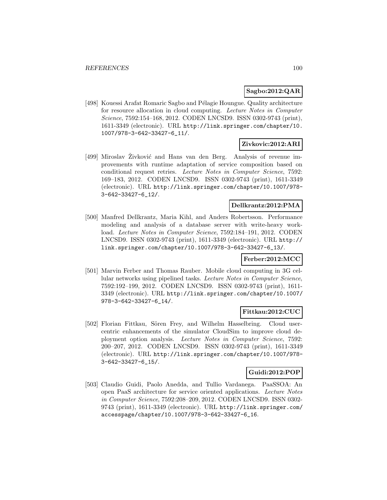### **Sagbo:2012:QAR**

[498] Kouessi Arafat Romaric Sagbo and Pélagie Houngue. Quality architecture for resource allocation in cloud computing. Lecture Notes in Computer Science, 7592:154–168, 2012. CODEN LNCSD9. ISSN 0302-9743 (print), 1611-3349 (electronic). URL http://link.springer.com/chapter/10. 1007/978-3-642-33427-6\_11/.

### **Zivkovic:2012:ARI**

[499] Miroslav Živković and Hans van den Berg. Analysis of revenue improvements with runtime adaptation of service composition based on conditional request retries. Lecture Notes in Computer Science, 7592: 169–183, 2012. CODEN LNCSD9. ISSN 0302-9743 (print), 1611-3349 (electronic). URL http://link.springer.com/chapter/10.1007/978- 3-642-33427-6\_12/.

### **Dellkrantz:2012:PMA**

[500] Manfred Dellkrantz, Maria Kihl, and Anders Robertsson. Performance modeling and analysis of a database server with write-heavy workload. Lecture Notes in Computer Science, 7592:184–191, 2012. CODEN LNCSD9. ISSN 0302-9743 (print), 1611-3349 (electronic). URL http:// link.springer.com/chapter/10.1007/978-3-642-33427-6\_13/.

# **Ferber:2012:MCC**

[501] Marvin Ferber and Thomas Rauber. Mobile cloud computing in 3G cellular networks using pipelined tasks. Lecture Notes in Computer Science, 7592:192–199, 2012. CODEN LNCSD9. ISSN 0302-9743 (print), 1611- 3349 (electronic). URL http://link.springer.com/chapter/10.1007/ 978-3-642-33427-6\_14/.

### **Fittkau:2012:CUC**

[502] Florian Fittkau, Sören Frey, and Wilhelm Hasselbring. Cloud usercentric enhancements of the simulator CloudSim to improve cloud deployment option analysis. Lecture Notes in Computer Science, 7592: 200–207, 2012. CODEN LNCSD9. ISSN 0302-9743 (print), 1611-3349 (electronic). URL http://link.springer.com/chapter/10.1007/978- 3-642-33427-6\_15/.

### **Guidi:2012:POP**

[503] Claudio Guidi, Paolo Anedda, and Tullio Vardanega. PaaSSOA: An open PaaS architecture for service oriented applications. Lecture Notes in Computer Science, 7592:208–209, 2012. CODEN LNCSD9. ISSN 0302- 9743 (print), 1611-3349 (electronic). URL http://link.springer.com/ accesspage/chapter/10.1007/978-3-642-33427-6\_16.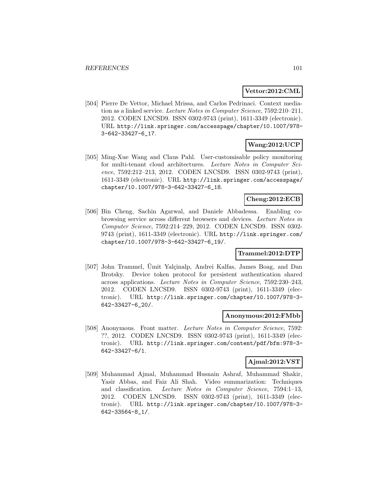#### **Vettor:2012:CML**

[504] Pierre De Vettor, Michael Mrissa, and Carlos Pedrinaci. Context mediation as a linked service. Lecture Notes in Computer Science, 7592:210–211, 2012. CODEN LNCSD9. ISSN 0302-9743 (print), 1611-3349 (electronic). URL http://link.springer.com/accesspage/chapter/10.1007/978- 3-642-33427-6\_17.

# **Wang:2012:UCP**

[505] Ming-Xue Wang and Claus Pahl. User-customisable policy monitoring for multi-tenant cloud architectures. Lecture Notes in Computer Science, 7592:212–213, 2012. CODEN LNCSD9. ISSN 0302-9743 (print), 1611-3349 (electronic). URL http://link.springer.com/accesspage/ chapter/10.1007/978-3-642-33427-6\_18.

# **Cheng:2012:ECB**

[506] Bin Cheng, Sachin Agarwal, and Daniele Abbadessa. Enabling cobrowsing service across different browsers and devices. Lecture Notes in Computer Science, 7592:214–229, 2012. CODEN LNCSD9. ISSN 0302- 9743 (print), 1611-3349 (electronic). URL http://link.springer.com/ chapter/10.1007/978-3-642-33427-6\_19/.

# **Trammel:2012:DTP**

[507] John Trammel, Umit Yalçinalp, Andrei Kalfas, James Boag, and Dan Brotsky. Device token protocol for persistent authentication shared across applications. Lecture Notes in Computer Science, 7592:230–243, 2012. CODEN LNCSD9. ISSN 0302-9743 (print), 1611-3349 (electronic). URL http://link.springer.com/chapter/10.1007/978-3- 642-33427-6\_20/.

#### **Anonymous:2012:FMbb**

[508] Anonymous. Front matter. Lecture Notes in Computer Science, 7592: ??, 2012. CODEN LNCSD9. ISSN 0302-9743 (print), 1611-3349 (electronic). URL http://link.springer.com/content/pdf/bfm:978-3- 642-33427-6/1.

# **Ajmal:2012:VST**

[509] Muhammad Ajmal, Muhammad Husnain Ashraf, Muhammad Shakir, Yasir Abbas, and Faiz Ali Shah. Video summarization: Techniques and classification. Lecture Notes in Computer Science, 7594:1–13, 2012. CODEN LNCSD9. ISSN 0302-9743 (print), 1611-3349 (electronic). URL http://link.springer.com/chapter/10.1007/978-3- 642-33564-8\_1/.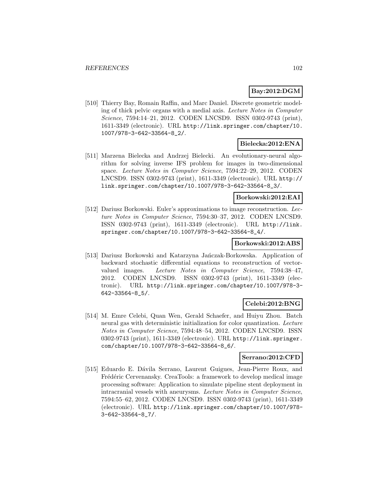# **Bay:2012:DGM**

[510] Thierry Bay, Romain Raffin, and Marc Daniel. Discrete geometric modeling of thick pelvic organs with a medial axis. Lecture Notes in Computer Science, 7594:14–21, 2012. CODEN LNCSD9. ISSN 0302-9743 (print), 1611-3349 (electronic). URL http://link.springer.com/chapter/10. 1007/978-3-642-33564-8\_2/.

# **Bielecka:2012:ENA**

[511] Marzena Bielecka and Andrzej Bielecki. An evolutionary-neural algorithm for solving inverse IFS problem for images in two-dimensional space. Lecture Notes in Computer Science, 7594:22–29, 2012. CODEN LNCSD9. ISSN 0302-9743 (print), 1611-3349 (electronic). URL http:// link.springer.com/chapter/10.1007/978-3-642-33564-8\_3/.

# **Borkowski:2012:EAI**

[512] Dariusz Borkowski. Euler's approximations to image reconstruction. Lecture Notes in Computer Science, 7594:30–37, 2012. CODEN LNCSD9. ISSN 0302-9743 (print), 1611-3349 (electronic). URL http://link. springer.com/chapter/10.1007/978-3-642-33564-8\_4/.

### **Borkowski:2012:ABS**

[513] Dariusz Borkowski and Katarzyna Jańczak-Borkowska. Application of backward stochastic differential equations to reconstruction of vectorvalued images. Lecture Notes in Computer Science, 7594:38–47, 2012. CODEN LNCSD9. ISSN 0302-9743 (print), 1611-3349 (electronic). URL http://link.springer.com/chapter/10.1007/978-3- 642-33564-8\_5/.

# **Celebi:2012:BNG**

[514] M. Emre Celebi, Quan Wen, Gerald Schaefer, and Huiyu Zhou. Batch neural gas with deterministic initialization for color quantization. Lecture Notes in Computer Science, 7594:48–54, 2012. CODEN LNCSD9. ISSN 0302-9743 (print), 1611-3349 (electronic). URL http://link.springer. com/chapter/10.1007/978-3-642-33564-8\_6/.

### **Serrano:2012:CFD**

[515] Eduardo E. Dávila Serrano, Laurent Guigues, Jean-Pierre Roux, and Frédéric Cervenansky. CreaTools: a framework to develop medical image processing software: Application to simulate pipeline stent deployment in intracranial vessels with aneurysms. Lecture Notes in Computer Science, 7594:55–62, 2012. CODEN LNCSD9. ISSN 0302-9743 (print), 1611-3349 (electronic). URL http://link.springer.com/chapter/10.1007/978- 3-642-33564-8\_7/.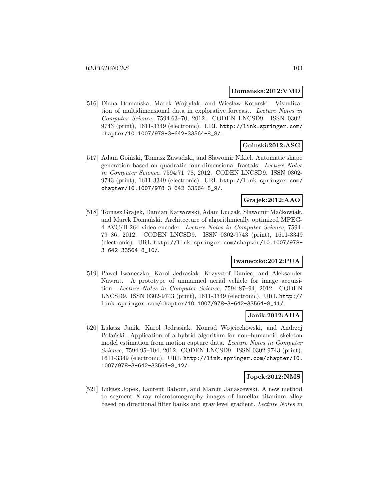#### **Domanska:2012:VMD**

[516] Diana Domańska, Marek Wojtylak, and Wiesław Kotarski. Visualization of multidimensional data in explorative forecast. Lecture Notes in Computer Science, 7594:63–70, 2012. CODEN LNCSD9. ISSN 0302- 9743 (print), 1611-3349 (electronic). URL http://link.springer.com/ chapter/10.1007/978-3-642-33564-8\_8/.

# **Goinski:2012:ASG**

[517] Adam Goinski, Tomasz Zawadzki, and Sławomir Nikiel. Automatic shape generation based on quadratic four-dimensional fractals. Lecture Notes in Computer Science, 7594:71–78, 2012. CODEN LNCSD9. ISSN 0302- 9743 (print), 1611-3349 (electronic). URL http://link.springer.com/ chapter/10.1007/978-3-642-33564-8\_9/.

# **Grajek:2012:AAO**

[518] Tomasz Grajek, Damian Karwowski, Adam Luczak, Sławomir Maćkowiak, and Marek Domański. Architecture of algorithmically optimized MPEG-4 AVC/H.264 video encoder. Lecture Notes in Computer Science, 7594: 79–86, 2012. CODEN LNCSD9. ISSN 0302-9743 (print), 1611-3349 (electronic). URL http://link.springer.com/chapter/10.1007/978- 3-642-33564-8\_10/.

# **Iwaneczko:2012:PUA**

[519] Paweł Iwaneczko, Karol Jedrasiak, Krzysztof Daniec, and Aleksander Nawrat. A prototype of unmanned aerial vehicle for image acquisition. Lecture Notes in Computer Science, 7594:87–94, 2012. CODEN LNCSD9. ISSN 0302-9743 (print), 1611-3349 (electronic). URL http:// link.springer.com/chapter/10.1007/978-3-642-33564-8\_11/.

# **Janik:2012:AHA**

[520] Lukasz Janik, Karol Jedrasiak, Konrad Wojciechowski, and Andrzej Polański. Application of a hybrid algorithm for non-humanoid skeleton model estimation from motion capture data. Lecture Notes in Computer Science, 7594:95–104, 2012. CODEN LNCSD9. ISSN 0302-9743 (print), 1611-3349 (electronic). URL http://link.springer.com/chapter/10. 1007/978-3-642-33564-8\_12/.

### **Jopek:2012:NMS**

[521] Lukasz Jopek, Laurent Babout, and Marcin Janaszewski. A new method to segment X-ray microtomography images of lamellar titanium alloy based on directional filter banks and gray level gradient. Lecture Notes in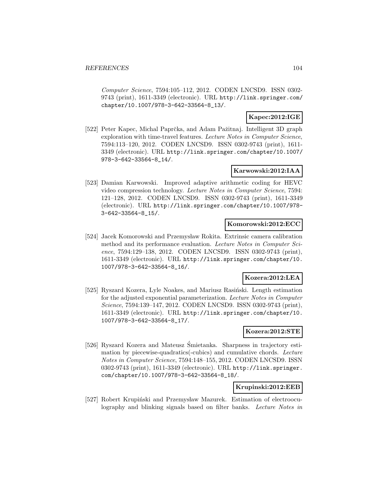Computer Science, 7594:105–112, 2012. CODEN LNCSD9. ISSN 0302- 9743 (print), 1611-3349 (electronic). URL http://link.springer.com/ chapter/10.1007/978-3-642-33564-8\_13/.

# **Kapec:2012:IGE**

[522] Peter Kapec, Michal Paprčka, and Adam Pažitnaj. Intelligent 3D graph exploration with time-travel features. Lecture Notes in Computer Science, 7594:113–120, 2012. CODEN LNCSD9. ISSN 0302-9743 (print), 1611- 3349 (electronic). URL http://link.springer.com/chapter/10.1007/ 978-3-642-33564-8\_14/.

# **Karwowski:2012:IAA**

[523] Damian Karwowski. Improved adaptive arithmetic coding for HEVC video compression technology. Lecture Notes in Computer Science, 7594: 121–128, 2012. CODEN LNCSD9. ISSN 0302-9743 (print), 1611-3349 (electronic). URL http://link.springer.com/chapter/10.1007/978- 3-642-33564-8\_15/.

### **Komorowski:2012:ECC**

[524] Jacek Komorowski and Przemysław Rokita. Extrinsic camera calibration method and its performance evaluation. Lecture Notes in Computer Science, 7594:129–138, 2012. CODEN LNCSD9. ISSN 0302-9743 (print), 1611-3349 (electronic). URL http://link.springer.com/chapter/10. 1007/978-3-642-33564-8\_16/.

# **Kozera:2012:LEA**

[525] Ryszard Kozera, Lyle Noakes, and Mariusz Rasiński. Length estimation for the adjusted exponential parameterization. Lecture Notes in Computer Science, 7594:139–147, 2012. CODEN LNCSD9. ISSN 0302-9743 (print), 1611-3349 (electronic). URL http://link.springer.com/chapter/10. 1007/978-3-642-33564-8\_17/.

### **Kozera:2012:STE**

[526] Ryszard Kozera and Mateusz Smietanka. Sharpness in trajectory esti- ´ mation by piecewise-quadratics(-cubics) and cumulative chords. Lecture Notes in Computer Science, 7594:148–155, 2012. CODEN LNCSD9. ISSN 0302-9743 (print), 1611-3349 (electronic). URL http://link.springer. com/chapter/10.1007/978-3-642-33564-8\_18/.

### **Krupinski:2012:EEB**

[527] Robert Krupiński and Przemysław Mazurek. Estimation of electrooculography and blinking signals based on filter banks. Lecture Notes in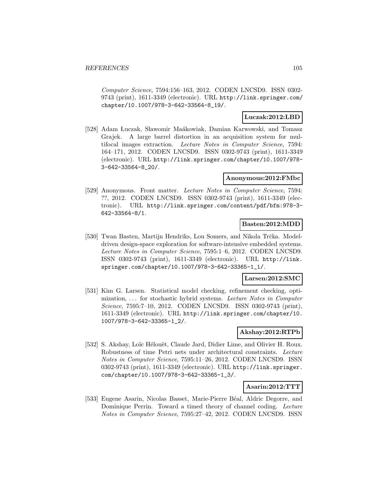Computer Science, 7594:156–163, 2012. CODEN LNCSD9. ISSN 0302- 9743 (print), 1611-3349 (electronic). URL http://link.springer.com/ chapter/10.1007/978-3-642-33564-8\_19/.

### **Luczak:2012:LBD**

[528] Adam Luczak, Sławomir Maákowiak, Damian Karwowski, and Tomasz Grajek. A large barrel distortion in an acquisition system for multifocal images extraction. Lecture Notes in Computer Science, 7594: 164–171, 2012. CODEN LNCSD9. ISSN 0302-9743 (print), 1611-3349 (electronic). URL http://link.springer.com/chapter/10.1007/978- 3-642-33564-8\_20/.

### **Anonymous:2012:FMbc**

[529] Anonymous. Front matter. Lecture Notes in Computer Science, 7594: ??, 2012. CODEN LNCSD9. ISSN 0302-9743 (print), 1611-3349 (electronic). URL http://link.springer.com/content/pdf/bfm:978-3- 642-33564-8/1.

### **Basten:2012:MDD**

[530] Twan Basten, Martijn Hendriks, Lou Somers, and Nikola Trčka. Modeldriven design-space exploration for software-intensive embedded systems. Lecture Notes in Computer Science, 7595:1–6, 2012. CODEN LNCSD9. ISSN 0302-9743 (print), 1611-3349 (electronic). URL http://link. springer.com/chapter/10.1007/978-3-642-33365-1\_1/.

# **Larsen:2012:SMC**

[531] Kim G. Larsen. Statistical model checking, refinement checking, optimization, ... for stochastic hybrid systems. Lecture Notes in Computer Science, 7595:7-10, 2012. CODEN LNCSD9. ISSN 0302-9743 (print), 1611-3349 (electronic). URL http://link.springer.com/chapter/10. 1007/978-3-642-33365-1\_2/.

### **Akshay:2012:RTPb**

[532] S. Akshay, Loïc Hélouët, Claude Jard, Didier Lime, and Olivier H. Roux. Robustness of time Petri nets under architectural constraints. Lecture Notes in Computer Science, 7595:11–26, 2012. CODEN LNCSD9. ISSN 0302-9743 (print), 1611-3349 (electronic). URL http://link.springer. com/chapter/10.1007/978-3-642-33365-1\_3/.

### **Asarin:2012:TTT**

[533] Eugene Asarin, Nicolas Basset, Marie-Pierre Béal, Aldric Degorre, and Dominique Perrin. Toward a timed theory of channel coding. Lecture Notes in Computer Science, 7595:27–42, 2012. CODEN LNCSD9. ISSN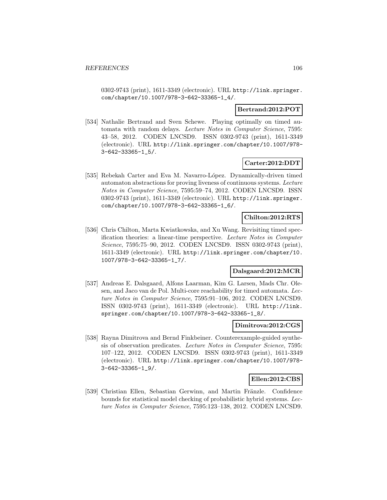0302-9743 (print), 1611-3349 (electronic). URL http://link.springer. com/chapter/10.1007/978-3-642-33365-1\_4/.

### **Bertrand:2012:POT**

[534] Nathalie Bertrand and Sven Schewe. Playing optimally on timed automata with random delays. Lecture Notes in Computer Science, 7595: 43–58, 2012. CODEN LNCSD9. ISSN 0302-9743 (print), 1611-3349 (electronic). URL http://link.springer.com/chapter/10.1007/978- 3-642-33365-1\_5/.

# **Carter:2012:DDT**

[535] Rebekah Carter and Eva M. Navarro-López. Dynamically-driven timed automaton abstractions for proving liveness of continuous systems. Lecture Notes in Computer Science, 7595:59–74, 2012. CODEN LNCSD9. ISSN 0302-9743 (print), 1611-3349 (electronic). URL http://link.springer. com/chapter/10.1007/978-3-642-33365-1\_6/.

# **Chilton:2012:RTS**

[536] Chris Chilton, Marta Kwiatkowska, and Xu Wang. Revisiting timed specification theories: a linear-time perspective. Lecture Notes in Computer Science, 7595:75–90, 2012. CODEN LNCSD9. ISSN 0302-9743 (print), 1611-3349 (electronic). URL http://link.springer.com/chapter/10. 1007/978-3-642-33365-1\_7/.

# **Dalsgaard:2012:MCR**

[537] Andreas E. Dalsgaard, Alfons Laarman, Kim G. Larsen, Mads Chr. Olesen, and Jaco van de Pol. Multi-core reachability for timed automata. Lecture Notes in Computer Science, 7595:91–106, 2012. CODEN LNCSD9. ISSN 0302-9743 (print), 1611-3349 (electronic). URL http://link. springer.com/chapter/10.1007/978-3-642-33365-1\_8/.

### **Dimitrova:2012:CGS**

[538] Rayna Dimitrova and Bernd Finkbeiner. Counterexample-guided synthesis of observation predicates. Lecture Notes in Computer Science, 7595: 107–122, 2012. CODEN LNCSD9. ISSN 0302-9743 (print), 1611-3349 (electronic). URL http://link.springer.com/chapter/10.1007/978- 3-642-33365-1\_9/.

### **Ellen:2012:CBS**

[539] Christian Ellen, Sebastian Gerwinn, and Martin Fränzle. Confidence bounds for statistical model checking of probabilistic hybrid systems. Lecture Notes in Computer Science, 7595:123–138, 2012. CODEN LNCSD9.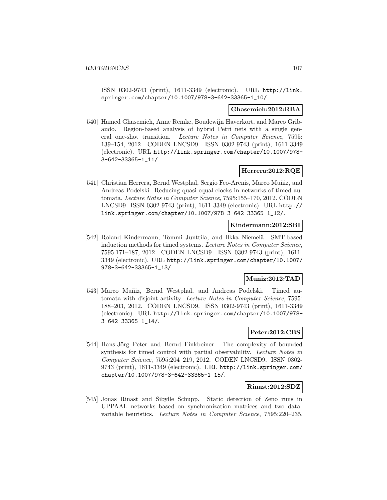ISSN 0302-9743 (print), 1611-3349 (electronic). URL http://link. springer.com/chapter/10.1007/978-3-642-33365-1\_10/.

### **Ghasemieh:2012:RBA**

[540] Hamed Ghasemieh, Anne Remke, Boudewijn Haverkort, and Marco Gribaudo. Region-based analysis of hybrid Petri nets with a single general one-shot transition. Lecture Notes in Computer Science, 7595: 139–154, 2012. CODEN LNCSD9. ISSN 0302-9743 (print), 1611-3349 (electronic). URL http://link.springer.com/chapter/10.1007/978- 3-642-33365-1\_11/.

### **Herrera:2012:RQE**

[541] Christian Herrera, Bernd Westphal, Sergio Feo-Arenis, Marco Muñiz, and Andreas Podelski. Reducing quasi-equal clocks in networks of timed automata. Lecture Notes in Computer Science, 7595:155–170, 2012. CODEN LNCSD9. ISSN 0302-9743 (print), 1611-3349 (electronic). URL http:// link.springer.com/chapter/10.1007/978-3-642-33365-1\_12/.

### **Kindermann:2012:SBI**

[542] Roland Kindermann, Tommi Junttila, and Ilkka Niemelä. SMT-based induction methods for timed systems. Lecture Notes in Computer Science, 7595:171–187, 2012. CODEN LNCSD9. ISSN 0302-9743 (print), 1611- 3349 (electronic). URL http://link.springer.com/chapter/10.1007/ 978-3-642-33365-1\_13/.

# **Muniz:2012:TAD**

[543] Marco Muñiz, Bernd Westphal, and Andreas Podelski. Timed automata with disjoint activity. Lecture Notes in Computer Science, 7595: 188–203, 2012. CODEN LNCSD9. ISSN 0302-9743 (print), 1611-3349 (electronic). URL http://link.springer.com/chapter/10.1007/978- 3-642-33365-1\_14/.

# **Peter:2012:CBS**

[544] Hans-Jörg Peter and Bernd Finkbeiner. The complexity of bounded synthesis for timed control with partial observability. Lecture Notes in Computer Science, 7595:204–219, 2012. CODEN LNCSD9. ISSN 0302- 9743 (print), 1611-3349 (electronic). URL http://link.springer.com/ chapter/10.1007/978-3-642-33365-1\_15/.

#### **Rinast:2012:SDZ**

[545] Jonas Rinast and Sibylle Schupp. Static detection of Zeno runs in UPPAAL networks based on synchronization matrices and two datavariable heuristics. Lecture Notes in Computer Science, 7595:220–235,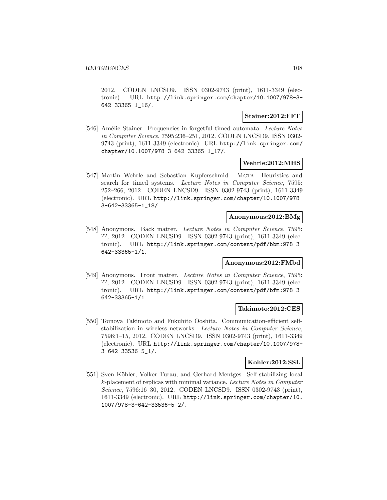2012. CODEN LNCSD9. ISSN 0302-9743 (print), 1611-3349 (electronic). URL http://link.springer.com/chapter/10.1007/978-3- 642-33365-1\_16/.

### **Stainer:2012:FFT**

[546] Amélie Stainer. Frequencies in forgetful timed automata. Lecture Notes in Computer Science, 7595:236–251, 2012. CODEN LNCSD9. ISSN 0302- 9743 (print), 1611-3349 (electronic). URL http://link.springer.com/ chapter/10.1007/978-3-642-33365-1\_17/.

#### **Wehrle:2012:MHS**

[547] Martin Wehrle and Sebastian Kupferschmid. MCTA: Heuristics and search for timed systems. Lecture Notes in Computer Science, 7595: 252–266, 2012. CODEN LNCSD9. ISSN 0302-9743 (print), 1611-3349 (electronic). URL http://link.springer.com/chapter/10.1007/978- 3-642-33365-1\_18/.

#### **Anonymous:2012:BMg**

[548] Anonymous. Back matter. Lecture Notes in Computer Science, 7595: ??, 2012. CODEN LNCSD9. ISSN 0302-9743 (print), 1611-3349 (electronic). URL http://link.springer.com/content/pdf/bbm:978-3- 642-33365-1/1.

### **Anonymous:2012:FMbd**

[549] Anonymous. Front matter. Lecture Notes in Computer Science, 7595: ??, 2012. CODEN LNCSD9. ISSN 0302-9743 (print), 1611-3349 (electronic). URL http://link.springer.com/content/pdf/bfm:978-3- 642-33365-1/1.

#### **Takimoto:2012:CES**

[550] Tomoya Takimoto and Fukuhito Ooshita. Communication-efficient selfstabilization in wireless networks. Lecture Notes in Computer Science, 7596:1–15, 2012. CODEN LNCSD9. ISSN 0302-9743 (print), 1611-3349 (electronic). URL http://link.springer.com/chapter/10.1007/978- 3-642-33536-5\_1/.

### **Kohler:2012:SSL**

[551] Sven Köhler, Volker Turau, and Gerhard Mentges. Self-stabilizing local k-placement of replicas with minimal variance. Lecture Notes in Computer Science, 7596:16–30, 2012. CODEN LNCSD9. ISSN 0302-9743 (print), 1611-3349 (electronic). URL http://link.springer.com/chapter/10. 1007/978-3-642-33536-5\_2/.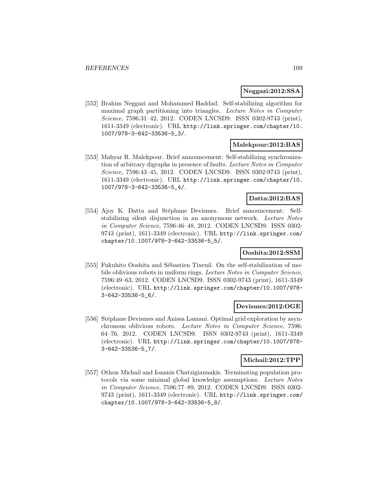#### **Neggazi:2012:SSA**

[552] Brahim Neggazi and Mohammed Haddad. Self-stabilizing algorithm for maximal graph partitioning into triangles. Lecture Notes in Computer Science, 7596:31–42, 2012. CODEN LNCSD9. ISSN 0302-9743 (print), 1611-3349 (electronic). URL http://link.springer.com/chapter/10. 1007/978-3-642-33536-5\_3/.

#### **Malekpour:2012:BAS**

[553] Mahyar R. Malekpour. Brief announcement: Self-stabilizing synchronization of arbitrary digraphs in presence of faults. Lecture Notes in Computer Science, 7596:43–45, 2012. CODEN LNCSD9. ISSN 0302-9743 (print), 1611-3349 (electronic). URL http://link.springer.com/chapter/10. 1007/978-3-642-33536-5\_4/.

# **Datta:2012:BAS**

[554] Ajoy K. Datta and Stéphane Devismes. Brief announcement: Selfstabilizing silent disjunction in an anonymous network. Lecture Notes in Computer Science, 7596:46–48, 2012. CODEN LNCSD9. ISSN 0302- 9743 (print), 1611-3349 (electronic). URL http://link.springer.com/ chapter/10.1007/978-3-642-33536-5\_5/.

### **Ooshita:2012:SSM**

[555] Fukuhito Ooshita and Sébastien Tixeuil. On the self-stabilization of mobile oblivious robots in uniform rings. Lecture Notes in Computer Science, 7596:49–63, 2012. CODEN LNCSD9. ISSN 0302-9743 (print), 1611-3349 (electronic). URL http://link.springer.com/chapter/10.1007/978- 3-642-33536-5\_6/.

#### **Devismes:2012:OGE**

[556] Stéphane Devismes and Anissa Lamani. Optimal grid exploration by asynchronous oblivious robots. Lecture Notes in Computer Science, 7596: 64–76, 2012. CODEN LNCSD9. ISSN 0302-9743 (print), 1611-3349 (electronic). URL http://link.springer.com/chapter/10.1007/978- 3-642-33536-5\_7/.

#### **Michail:2012:TPP**

[557] Othon Michail and Ioannis Chatzigiannakis. Terminating population protocols via some minimal global knowledge assumptions. Lecture Notes in Computer Science, 7596:77–89, 2012. CODEN LNCSD9. ISSN 0302- 9743 (print), 1611-3349 (electronic). URL http://link.springer.com/ chapter/10.1007/978-3-642-33536-5\_8/.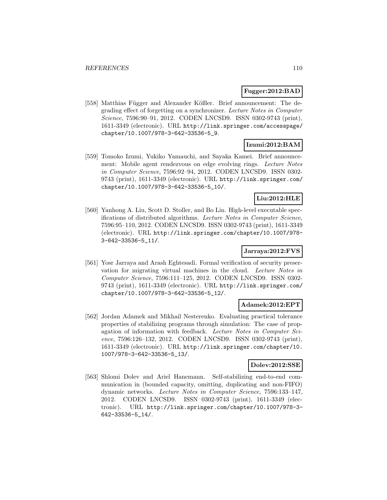# **Fugger:2012:BAD**

[558] Matthias Függer and Alexander Kößler. Brief announcement: The degrading effect of forgetting on a synchronizer. Lecture Notes in Computer Science, 7596:90–91, 2012. CODEN LNCSD9. ISSN 0302-9743 (print), 1611-3349 (electronic). URL http://link.springer.com/accesspage/ chapter/10.1007/978-3-642-33536-5\_9.

# **Izumi:2012:BAM**

[559] Tomoko Izumi, Yukiko Yamauchi, and Sayaka Kamei. Brief announcement: Mobile agent rendezvous on edge evolving rings. Lecture Notes in Computer Science, 7596:92–94, 2012. CODEN LNCSD9. ISSN 0302- 9743 (print), 1611-3349 (electronic). URL http://link.springer.com/ chapter/10.1007/978-3-642-33536-5\_10/.

# **Liu:2012:HLE**

[560] Yanhong A. Liu, Scott D. Stoller, and Bo Lin. High-level executable specifications of distributed algorithms. Lecture Notes in Computer Science, 7596:95–110, 2012. CODEN LNCSD9. ISSN 0302-9743 (print), 1611-3349 (electronic). URL http://link.springer.com/chapter/10.1007/978- 3-642-33536-5\_11/.

# **Jarraya:2012:FVS**

[561] Yosr Jarraya and Arash Eghtesadi. Formal verification of security preservation for migrating virtual machines in the cloud. Lecture Notes in Computer Science, 7596:111–125, 2012. CODEN LNCSD9. ISSN 0302- 9743 (print), 1611-3349 (electronic). URL http://link.springer.com/ chapter/10.1007/978-3-642-33536-5\_12/.

# **Adamek:2012:EPT**

[562] Jordan Adamek and Mikhail Nesterenko. Evaluating practical tolerance properties of stabilizing programs through simulation: The case of propagation of information with feedback. Lecture Notes in Computer Science, 7596:126–132, 2012. CODEN LNCSD9. ISSN 0302-9743 (print), 1611-3349 (electronic). URL http://link.springer.com/chapter/10. 1007/978-3-642-33536-5\_13/.

### **Dolev:2012:SSE**

[563] Shlomi Dolev and Ariel Hanemann. Self-stabilizing end-to-end communication in (bounded capacity, omitting, duplicating and non-FIFO) dynamic networks. Lecture Notes in Computer Science, 7596:133–147, 2012. CODEN LNCSD9. ISSN 0302-9743 (print), 1611-3349 (electronic). URL http://link.springer.com/chapter/10.1007/978-3- 642-33536-5\_14/.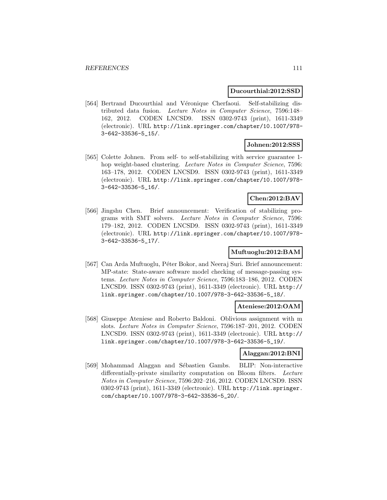#### **Ducourthial:2012:SSD**

[564] Bertrand Ducourthial and Véronique Cherfaoui. Self-stabilizing distributed data fusion. Lecture Notes in Computer Science, 7596:148– 162, 2012. CODEN LNCSD9. ISSN 0302-9743 (print), 1611-3349 (electronic). URL http://link.springer.com/chapter/10.1007/978- 3-642-33536-5\_15/.

# **Johnen:2012:SSS**

[565] Colette Johnen. From self- to self-stabilizing with service guarantee 1 hop weight-based clustering. *Lecture Notes in Computer Science*, 7596: 163–178, 2012. CODEN LNCSD9. ISSN 0302-9743 (print), 1611-3349 (electronic). URL http://link.springer.com/chapter/10.1007/978- 3-642-33536-5\_16/.

# **Chen:2012:BAV**

[566] Jingshu Chen. Brief announcement: Verification of stabilizing programs with SMT solvers. Lecture Notes in Computer Science, 7596: 179–182, 2012. CODEN LNCSD9. ISSN 0302-9743 (print), 1611-3349 (electronic). URL http://link.springer.com/chapter/10.1007/978- 3-642-33536-5\_17/.

# **Muftuoglu:2012:BAM**

[567] Can Arda Muftuoglu, Péter Bokor, and Neeraj Suri. Brief announcement: MP-state: State-aware software model checking of message-passing systems. Lecture Notes in Computer Science, 7596:183–186, 2012. CODEN LNCSD9. ISSN 0302-9743 (print), 1611-3349 (electronic). URL http:// link.springer.com/chapter/10.1007/978-3-642-33536-5\_18/.

#### **Ateniese:2012:OAM**

[568] Giuseppe Ateniese and Roberto Baldoni. Oblivious assignment with m slots. Lecture Notes in Computer Science, 7596:187–201, 2012. CODEN LNCSD9. ISSN 0302-9743 (print), 1611-3349 (electronic). URL http:// link.springer.com/chapter/10.1007/978-3-642-33536-5\_19/.

# **Alaggan:2012:BNI**

[569] Mohammad Alaggan and Sébastien Gambs. BLIP: Non-interactive differentially-private similarity computation on Bloom filters. Lecture Notes in Computer Science, 7596:202–216, 2012. CODEN LNCSD9. ISSN 0302-9743 (print), 1611-3349 (electronic). URL http://link.springer. com/chapter/10.1007/978-3-642-33536-5\_20/.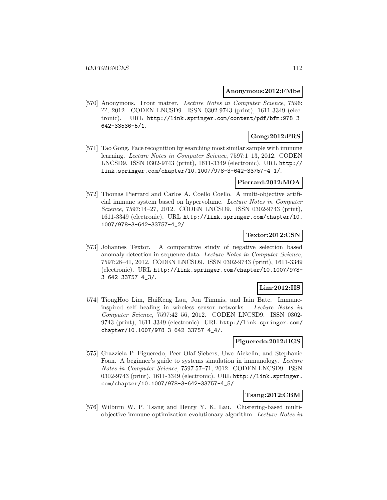#### **Anonymous:2012:FMbe**

[570] Anonymous. Front matter. Lecture Notes in Computer Science, 7596: ??, 2012. CODEN LNCSD9. ISSN 0302-9743 (print), 1611-3349 (electronic). URL http://link.springer.com/content/pdf/bfm:978-3- 642-33536-5/1.

# **Gong:2012:FRS**

[571] Tao Gong. Face recognition by searching most similar sample with immune learning. Lecture Notes in Computer Science, 7597:1–13, 2012. CODEN LNCSD9. ISSN 0302-9743 (print), 1611-3349 (electronic). URL http:// link.springer.com/chapter/10.1007/978-3-642-33757-4\_1/.

### **Pierrard:2012:MOA**

[572] Thomas Pierrard and Carlos A. Coello Coello. A multi-objective artificial immune system based on hypervolume. Lecture Notes in Computer Science, 7597:14–27, 2012. CODEN LNCSD9. ISSN 0302-9743 (print), 1611-3349 (electronic). URL http://link.springer.com/chapter/10. 1007/978-3-642-33757-4\_2/.

# **Textor:2012:CSN**

[573] Johannes Textor. A comparative study of negative selection based anomaly detection in sequence data. Lecture Notes in Computer Science, 7597:28–41, 2012. CODEN LNCSD9. ISSN 0302-9743 (print), 1611-3349 (electronic). URL http://link.springer.com/chapter/10.1007/978- 3-642-33757-4\_3/.

# **Lim:2012:IIS**

[574] TiongHoo Lim, HuiKeng Lau, Jon Timmis, and Iain Bate. Immuneinspired self healing in wireless sensor networks. Lecture Notes in Computer Science, 7597:42–56, 2012. CODEN LNCSD9. ISSN 0302- 9743 (print), 1611-3349 (electronic). URL http://link.springer.com/ chapter/10.1007/978-3-642-33757-4\_4/.

#### **Figueredo:2012:BGS**

[575] Grazziela P. Figueredo, Peer-Olaf Siebers, Uwe Aickelin, and Stephanie Foan. A beginner's guide to systems simulation in immunology. Lecture Notes in Computer Science, 7597:57–71, 2012. CODEN LNCSD9. ISSN 0302-9743 (print), 1611-3349 (electronic). URL http://link.springer. com/chapter/10.1007/978-3-642-33757-4\_5/.

# **Tsang:2012:CBM**

[576] Wilburn W. P. Tsang and Henry Y. K. Lau. Clustering-based multiobjective immune optimization evolutionary algorithm. Lecture Notes in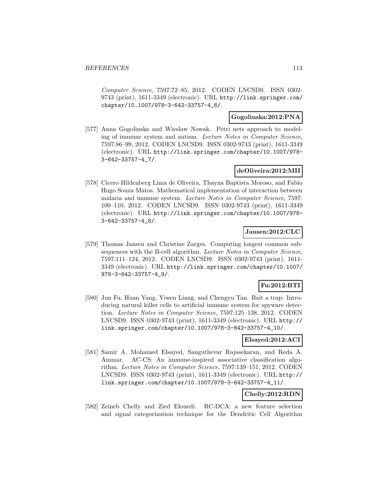Computer Science, 7597:72–85, 2012. CODEN LNCSD9. ISSN 0302- 9743 (print), 1611-3349 (electronic). URL http://link.springer.com/ chapter/10.1007/978-3-642-33757-4\_6/.

### **Gogolinska:2012:PNA**

[577] Anna Gogolinska and Wieslaw Nowak. Petri nets approach to modeling of immune system and autism. Lecture Notes in Computer Science, 7597:86–99, 2012. CODEN LNCSD9. ISSN 0302-9743 (print), 1611-3349 (electronic). URL http://link.springer.com/chapter/10.1007/978- 3-642-33757-4\_7/.

# **deOliveira:2012:MII**

[578] Cicero Hildenberg Lima de Oliveira, Thayna Baptista Moroso, and Fabio Hugo Souza Matos. Mathematical implementation of interaction between malaria and immune system. Lecture Notes in Computer Science, 7597: 100–110, 2012. CODEN LNCSD9. ISSN 0302-9743 (print), 1611-3349 (electronic). URL http://link.springer.com/chapter/10.1007/978- 3-642-33757-4\_8/.

### **Jansen:2012:CLC**

[579] Thomas Jansen and Christine Zarges. Computing longest common subsequences with the B-cell algorithm. Lecture Notes in Computer Science, 7597:111–124, 2012. CODEN LNCSD9. ISSN 0302-9743 (print), 1611- 3349 (electronic). URL http://link.springer.com/chapter/10.1007/ 978-3-642-33757-4\_9/.

# **Fu:2012:BTI**

[580] Jun Fu, Huan Yang, Yiwen Liang, and Chengyu Tan. Bait a trap: Introducing natural killer cells to artificial immune system for spyware detection. Lecture Notes in Computer Science, 7597:125–138, 2012. CODEN LNCSD9. ISSN 0302-9743 (print), 1611-3349 (electronic). URL http:// link.springer.com/chapter/10.1007/978-3-642-33757-4\_10/.

#### **Elsayed:2012:ACI**

[581] Samir A. Mohamed Elsayed, Sanguthevar Rajasekaran, and Reda A. Ammar. AC-CS: An immune-inspired associative classification algorithm. Lecture Notes in Computer Science, 7597:139–151, 2012. CODEN LNCSD9. ISSN 0302-9743 (print), 1611-3349 (electronic). URL http:// link.springer.com/chapter/10.1007/978-3-642-33757-4\_11/.

# **Chelly:2012:RDN**

[582] Zeineb Chelly and Zied Elouedi. RC-DCA: a new feature selection and signal categorization technique for the Dendritic Cell Algorithm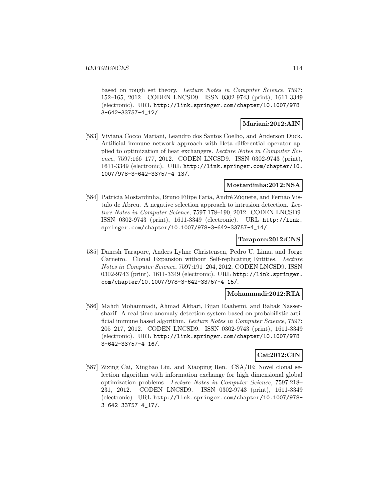based on rough set theory. Lecture Notes in Computer Science, 7597: 152–165, 2012. CODEN LNCSD9. ISSN 0302-9743 (print), 1611-3349 (electronic). URL http://link.springer.com/chapter/10.1007/978- 3-642-33757-4\_12/.

### **Mariani:2012:AIN**

[583] Viviana Cocco Mariani, Leandro dos Santos Coelho, and Anderson Duck. Artificial immune network approach with Beta differential operator applied to optimization of heat exchangers. Lecture Notes in Computer Science, 7597:166–177, 2012. CODEN LNCSD9. ISSN 0302-9743 (print), 1611-3349 (electronic). URL http://link.springer.com/chapter/10. 1007/978-3-642-33757-4\_13/.

#### **Mostardinha:2012:NSA**

[584] Patricia Mostardinha, Bruno Filipe Faria, André Zúquete, and Fernão Vistulo de Abreu. A negative selection approach to intrusion detection. Lecture Notes in Computer Science, 7597:178–190, 2012. CODEN LNCSD9. ISSN 0302-9743 (print), 1611-3349 (electronic). URL http://link. springer.com/chapter/10.1007/978-3-642-33757-4\_14/.

### **Tarapore:2012:CNS**

[585] Danesh Tarapore, Anders Lyhne Christensen, Pedro U. Lima, and Jorge Carneiro. Clonal Expansion without Self-replicating Entities. Lecture Notes in Computer Science, 7597:191–204, 2012. CODEN LNCSD9. ISSN 0302-9743 (print), 1611-3349 (electronic). URL http://link.springer. com/chapter/10.1007/978-3-642-33757-4\_15/.

### **Mohammadi:2012:RTA**

[586] Mahdi Mohammadi, Ahmad Akbari, Bijan Raahemi, and Babak Nassersharif. A real time anomaly detection system based on probabilistic artificial immune based algorithm. Lecture Notes in Computer Science, 7597: 205–217, 2012. CODEN LNCSD9. ISSN 0302-9743 (print), 1611-3349 (electronic). URL http://link.springer.com/chapter/10.1007/978- 3-642-33757-4\_16/.

# **Cai:2012:CIN**

[587] Zixing Cai, Xingbao Liu, and Xiaoping Ren. CSA/IE: Novel clonal selection algorithm with information exchange for high dimensional global optimization problems. Lecture Notes in Computer Science, 7597:218– 231, 2012. CODEN LNCSD9. ISSN 0302-9743 (print), 1611-3349 (electronic). URL http://link.springer.com/chapter/10.1007/978- 3-642-33757-4\_17/.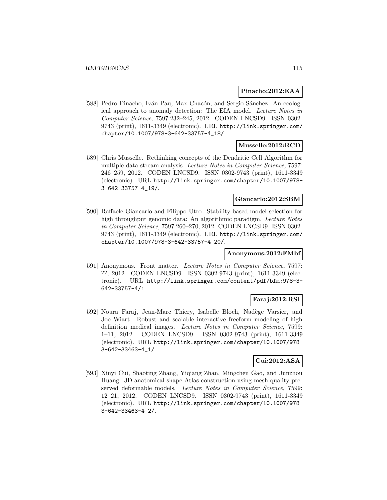#### **Pinacho:2012:EAA**

[588] Pedro Pinacho, Iván Pau, Max Chacón, and Sergio Sánchez. An ecological approach to anomaly detection: The EIA model. Lecture Notes in Computer Science, 7597:232–245, 2012. CODEN LNCSD9. ISSN 0302- 9743 (print), 1611-3349 (electronic). URL http://link.springer.com/ chapter/10.1007/978-3-642-33757-4\_18/.

# **Musselle:2012:RCD**

[589] Chris Musselle. Rethinking concepts of the Dendritic Cell Algorithm for multiple data stream analysis. Lecture Notes in Computer Science, 7597: 246–259, 2012. CODEN LNCSD9. ISSN 0302-9743 (print), 1611-3349 (electronic). URL http://link.springer.com/chapter/10.1007/978- 3-642-33757-4\_19/.

#### **Giancarlo:2012:SBM**

[590] Raffaele Giancarlo and Filippo Utro. Stability-based model selection for high throughput genomic data: An algorithmic paradigm. Lecture Notes in Computer Science, 7597:260–270, 2012. CODEN LNCSD9. ISSN 0302- 9743 (print), 1611-3349 (electronic). URL http://link.springer.com/ chapter/10.1007/978-3-642-33757-4\_20/.

# **Anonymous:2012:FMbf**

[591] Anonymous. Front matter. Lecture Notes in Computer Science, 7597: ??, 2012. CODEN LNCSD9. ISSN 0302-9743 (print), 1611-3349 (electronic). URL http://link.springer.com/content/pdf/bfm:978-3- 642-33757-4/1.

# **Faraj:2012:RSI**

[592] Noura Faraj, Jean-Marc Thiery, Isabelle Bloch, Nadège Varsier, and Joe Wiart. Robust and scalable interactive freeform modeling of high definition medical images. Lecture Notes in Computer Science, 7599: 1–11, 2012. CODEN LNCSD9. ISSN 0302-9743 (print), 1611-3349 (electronic). URL http://link.springer.com/chapter/10.1007/978- 3-642-33463-4\_1/.

# **Cui:2012:ASA**

[593] Xinyi Cui, Shaoting Zhang, Yiqiang Zhan, Mingchen Gao, and Junzhou Huang. 3D anatomical shape Atlas construction using mesh quality preserved deformable models. Lecture Notes in Computer Science, 7599: 12–21, 2012. CODEN LNCSD9. ISSN 0302-9743 (print), 1611-3349 (electronic). URL http://link.springer.com/chapter/10.1007/978- 3-642-33463-4\_2/.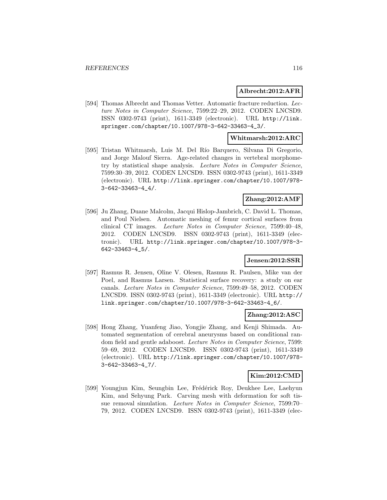#### **Albrecht:2012:AFR**

[594] Thomas Albrecht and Thomas Vetter. Automatic fracture reduction. Lecture Notes in Computer Science, 7599:22–29, 2012. CODEN LNCSD9. ISSN 0302-9743 (print), 1611-3349 (electronic). URL http://link. springer.com/chapter/10.1007/978-3-642-33463-4\_3/.

#### **Whitmarsh:2012:ARC**

[595] Tristan Whitmarsh, Luis M. Del Río Barquero, Silvana Di Gregorio, and Jorge Malouf Sierra. Age-related changes in vertebral morphometry by statistical shape analysis. Lecture Notes in Computer Science, 7599:30–39, 2012. CODEN LNCSD9. ISSN 0302-9743 (print), 1611-3349 (electronic). URL http://link.springer.com/chapter/10.1007/978- 3-642-33463-4\_4/.

#### **Zhang:2012:AMF**

[596] Ju Zhang, Duane Malcolm, Jacqui Hislop-Jambrich, C. David L. Thomas, and Poul Nielsen. Automatic meshing of femur cortical surfaces from clinical CT images. Lecture Notes in Computer Science, 7599:40–48, 2012. CODEN LNCSD9. ISSN 0302-9743 (print), 1611-3349 (electronic). URL http://link.springer.com/chapter/10.1007/978-3- 642-33463-4\_5/.

# **Jensen:2012:SSR**

[597] Rasmus R. Jensen, Oline V. Olesen, Rasmus R. Paulsen, Mike van der Poel, and Rasmus Larsen. Statistical surface recovery: a study on ear canals. Lecture Notes in Computer Science, 7599:49–58, 2012. CODEN LNCSD9. ISSN 0302-9743 (print), 1611-3349 (electronic). URL http:// link.springer.com/chapter/10.1007/978-3-642-33463-4\_6/.

### **Zhang:2012:ASC**

[598] Hong Zhang, Yuanfeng Jiao, Yongjie Zhang, and Kenji Shimada. Automated segmentation of cerebral aneurysms based on conditional random field and gentle adaboost. Lecture Notes in Computer Science, 7599: 59–69, 2012. CODEN LNCSD9. ISSN 0302-9743 (print), 1611-3349 (electronic). URL http://link.springer.com/chapter/10.1007/978- 3-642-33463-4\_7/.

### **Kim:2012:CMD**

[599] Youngjun Kim, Seungbin Lee, Frédérick Roy, Deukhee Lee, Laehyun Kim, and Sehyung Park. Carving mesh with deformation for soft tissue removal simulation. Lecture Notes in Computer Science, 7599:70– 79, 2012. CODEN LNCSD9. ISSN 0302-9743 (print), 1611-3349 (elec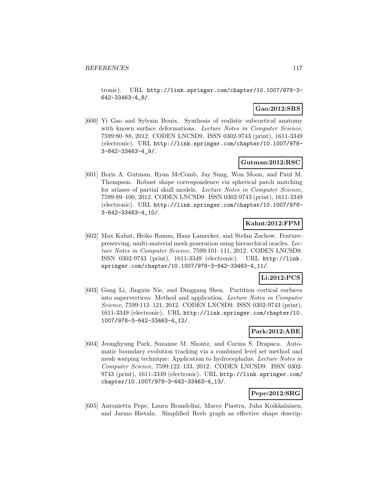tronic). URL http://link.springer.com/chapter/10.1007/978-3- 642-33463-4\_8/.

# **Gao:2012:SRS**

[600] Yi Gao and Sylvain Bouix. Synthesis of realistic subcortical anatomy with known surface deformations. Lecture Notes in Computer Science, 7599:80–88, 2012. CODEN LNCSD9. ISSN 0302-9743 (print), 1611-3349 (electronic). URL http://link.springer.com/chapter/10.1007/978- 3-642-33463-4\_9/.

### **Gutman:2012:RSC**

[601] Boris A. Gutman, Ryan McComb, Jay Sung, Won Moon, and Paul M. Thompson. Robust shape correspondence via spherical patch matching for atlases of partial skull models. Lecture Notes in Computer Science, 7599:89–100, 2012. CODEN LNCSD9. ISSN 0302-9743 (print), 1611-3349 (electronic). URL http://link.springer.com/chapter/10.1007/978- 3-642-33463-4\_10/.

# **Kahnt:2012:FPM**

[602] Max Kahnt, Heiko Ramm, Hans Lamecker, and Stefan Zachow. Featurepreserving, multi-material mesh generation using hierarchical oracles. Lecture Notes in Computer Science, 7599:101–111, 2012. CODEN LNCSD9. ISSN 0302-9743 (print), 1611-3349 (electronic). URL http://link. springer.com/chapter/10.1007/978-3-642-33463-4\_11/.

# **Li:2012:PCS**

[603] Gang Li, Jingxin Nie, and Dinggang Shen. Partition cortical surfaces into supervertices: Method and application. Lecture Notes in Computer Science, 7599:112–121, 2012. CODEN LNCSD9. ISSN 0302-9743 (print), 1611-3349 (electronic). URL http://link.springer.com/chapter/10. 1007/978-3-642-33463-4\_12/.

#### **Park:2012:ABE**

[604] Jeonghyung Park, Suzanne M. Shontz, and Corina S. Drapaca. Automatic boundary evolution tracking via a combined level set method and mesh warping technique: Application to hydrocephalus. Lecture Notes in Computer Science, 7599:122–133, 2012. CODEN LNCSD9. ISSN 0302- 9743 (print), 1611-3349 (electronic). URL http://link.springer.com/ chapter/10.1007/978-3-642-33463-4\_13/.

### **Pepe:2012:SRG**

[605] Antonietta Pepe, Laura Brandolini, Marco Piastra, Juha Koikkalainen, and Jarmo Hietala. Simplified Reeb graph as effective shape descrip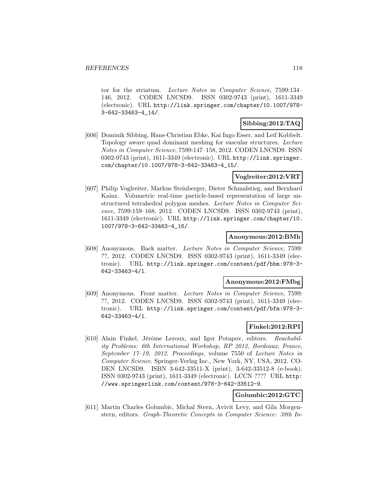tor for the striatum. Lecture Notes in Computer Science, 7599:134– 146, 2012. CODEN LNCSD9. ISSN 0302-9743 (print), 1611-3349 (electronic). URL http://link.springer.com/chapter/10.1007/978- 3-642-33463-4\_14/.

### **Sibbing:2012:TAQ**

[606] Dominik Sibbing, Hans-Christian Ebke, Kai Ingo Esser, and Leif Kobbelt. Topology aware quad dominant meshing for vascular structures. Lecture Notes in Computer Science, 7599:147–158, 2012. CODEN LNCSD9. ISSN 0302-9743 (print), 1611-3349 (electronic). URL http://link.springer. com/chapter/10.1007/978-3-642-33463-4\_15/.

### **Voglreiter:2012:VRT**

[607] Philip Voglreiter, Markus Steinberger, Dieter Schmalstieg, and Bernhard Kainz. Volumetric real-time particle-based representation of large unstructured tetrahedral polygon meshes. Lecture Notes in Computer Science, 7599:159–168, 2012. CODEN LNCSD9. ISSN 0302-9743 (print), 1611-3349 (electronic). URL http://link.springer.com/chapter/10. 1007/978-3-642-33463-4\_16/.

#### **Anonymous:2012:BMh**

[608] Anonymous. Back matter. Lecture Notes in Computer Science, 7599: ??, 2012. CODEN LNCSD9. ISSN 0302-9743 (print), 1611-3349 (electronic). URL http://link.springer.com/content/pdf/bbm:978-3- 642-33463-4/1.

### **Anonymous:2012:FMbg**

[609] Anonymous. Front matter. Lecture Notes in Computer Science, 7599: ??, 2012. CODEN LNCSD9. ISSN 0302-9743 (print), 1611-3349 (electronic). URL http://link.springer.com/content/pdf/bfm:978-3- 642-33463-4/1.

# **Finkel:2012:RPI**

[610] Alain Finkel, Jérôme Leroux, and Igor Potapov, editors. Reachability Problems: 6th International Workshop, RP 2012, Bordeaux, France, September 17–19, 2012. Proceedings, volume 7550 of Lecture Notes in Computer Science. Springer-Verlag Inc., New York, NY, USA, 2012. CO-DEN LNCSD9. ISBN 3-642-33511-X (print), 3-642-33512-8 (e-book). ISSN 0302-9743 (print), 1611-3349 (electronic). LCCN ???? URL http: //www.springerlink.com/content/978-3-642-33512-9.

# **Golumbic:2012:GTC**

[611] Martin Charles Golumbic, Michal Stern, Avivit Levy, and Gila Morgenstern, editors. Graph-Theoretic Concepts in Computer Science: 38th In-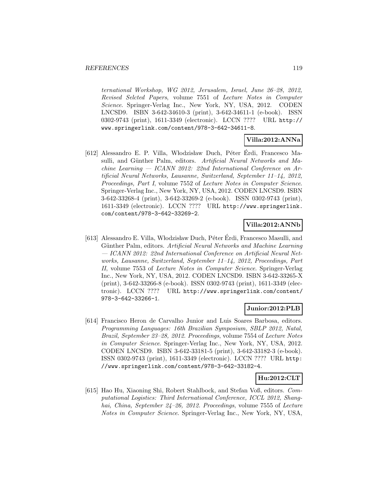ternational Workshop, WG 2012, Jerusalem, Israel, June 26–28, 2012, Revised Selcted Papers, volume 7551 of Lecture Notes in Computer Science. Springer-Verlag Inc., New York, NY, USA, 2012. CODEN LNCSD9. ISBN 3-642-34610-3 (print), 3-642-34611-1 (e-book). ISSN 0302-9743 (print), 1611-3349 (electronic). LCCN ???? URL http:// www.springerlink.com/content/978-3-642-34611-8.

# **Villa:2012:ANNa**

[612] Alessandro E. P. Villa, Włodzisław Duch, Péter Erdi, Francesco Masulli, and Günther Palm, editors. Artificial Neural Networks and Machine Learning — ICANN 2012: 22nd International Conference on Artificial Neural Networks, Lausanne, Switzerland, September 11–14, 2012, Proceedings, Part I, volume 7552 of Lecture Notes in Computer Science. Springer-Verlag Inc., New York, NY, USA, 2012. CODEN LNCSD9. ISBN 3-642-33268-4 (print), 3-642-33269-2 (e-book). ISSN 0302-9743 (print), 1611-3349 (electronic). LCCN ???? URL http://www.springerlink. com/content/978-3-642-33269-2.

# **Villa:2012:ANNb**

[613] Alessandro E. Villa, Włodzisław Duch, Péter Érdi, Francesco Masulli, and Günther Palm, editors. Artificial Neural Networks and Machine Learning — ICANN 2012: 22nd International Conference on Artificial Neural Networks, Lausanne, Switzerland, September 11–14, 2012, Proceedings, Part II, volume 7553 of Lecture Notes in Computer Science. Springer-Verlag Inc., New York, NY, USA, 2012. CODEN LNCSD9. ISBN 3-642-33265-X (print), 3-642-33266-8 (e-book). ISSN 0302-9743 (print), 1611-3349 (electronic). LCCN ???? URL http://www.springerlink.com/content/ 978-3-642-33266-1.

# **Junior:2012:PLB**

[614] Francisco Heron de Carvalho Junior and Luis Soares Barbosa, editors. Programming Languages: 16th Brazilian Symposium, SBLP 2012, Natal, Brazil, September 23–28, 2012. Proceedings, volume 7554 of Lecture Notes in Computer Science. Springer-Verlag Inc., New York, NY, USA, 2012. CODEN LNCSD9. ISBN 3-642-33181-5 (print), 3-642-33182-3 (e-book). ISSN 0302-9743 (print), 1611-3349 (electronic). LCCN ???? URL http: //www.springerlink.com/content/978-3-642-33182-4.

# **Hu:2012:CLT**

[615] Hao Hu, Xiaoning Shi, Robert Stahlbock, and Stefan Voß, editors. Computational Logistics: Third International Conference, ICCL 2012, Shanghai, China, September 24-26, 2012. Proceedings, volume 7555 of Lecture Notes in Computer Science. Springer-Verlag Inc., New York, NY, USA,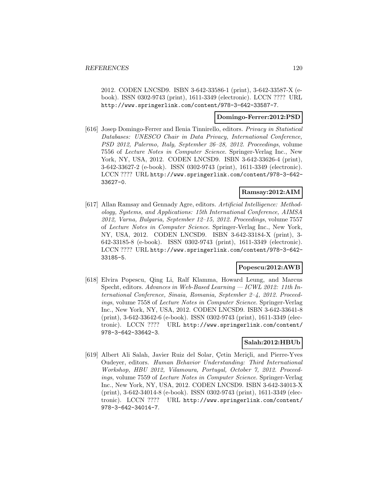2012. CODEN LNCSD9. ISBN 3-642-33586-1 (print), 3-642-33587-X (ebook). ISSN 0302-9743 (print), 1611-3349 (electronic). LCCN ???? URL http://www.springerlink.com/content/978-3-642-33587-7.

### **Domingo-Ferrer:2012:PSD**

[616] Josep Domingo-Ferrer and Ilenia Tinnirello, editors. Privacy in Statistical Databases: UNESCO Chair in Data Privacy, International Conference, PSD 2012, Palermo, Italy, September 26–28, 2012. Proceedings, volume 7556 of Lecture Notes in Computer Science. Springer-Verlag Inc., New York, NY, USA, 2012. CODEN LNCSD9. ISBN 3-642-33626-4 (print), 3-642-33627-2 (e-book). ISSN 0302-9743 (print), 1611-3349 (electronic). LCCN ???? URL http://www.springerlink.com/content/978-3-642- 33627-0.

### **Ramsay:2012:AIM**

[617] Allan Ramsay and Gennady Agre, editors. Artificial Intelligence: Methodology, Systems, and Applications: 15th International Conference, AIMSA 2012, Varna, Bulgaria, September 12–15, 2012. Proceedings, volume 7557 of Lecture Notes in Computer Science. Springer-Verlag Inc., New York, NY, USA, 2012. CODEN LNCSD9. ISBN 3-642-33184-X (print), 3- 642-33185-8 (e-book). ISSN 0302-9743 (print), 1611-3349 (electronic). LCCN ???? URL http://www.springerlink.com/content/978-3-642- 33185-5.

#### **Popescu:2012:AWB**

[618] Elvira Popescu, Qing Li, Ralf Klamma, Howard Leung, and Marcus Specht, editors. Advances in Web-Based Learning — ICWL 2012: 11th International Conference, Sinaia, Romania, September 2–4, 2012. Proceedings, volume 7558 of Lecture Notes in Computer Science. Springer-Verlag Inc., New York, NY, USA, 2012. CODEN LNCSD9. ISBN 3-642-33641-8 (print), 3-642-33642-6 (e-book). ISSN 0302-9743 (print), 1611-3349 (electronic). LCCN ???? URL http://www.springerlink.com/content/ 978-3-642-33642-3.

#### **Salah:2012:HBUb**

[619] Albert Ali Salah, Javier Ruiz del Solar, Cetin Meriçli, and Pierre-Yves Oudeyer, editors. Human Behavior Understanding: Third International Workshop, HBU 2012, Vilamoura, Portugal, October 7, 2012. Proceedings, volume 7559 of Lecture Notes in Computer Science. Springer-Verlag Inc., New York, NY, USA, 2012. CODEN LNCSD9. ISBN 3-642-34013-X (print), 3-642-34014-8 (e-book). ISSN 0302-9743 (print), 1611-3349 (electronic). LCCN ???? URL http://www.springerlink.com/content/ 978-3-642-34014-7.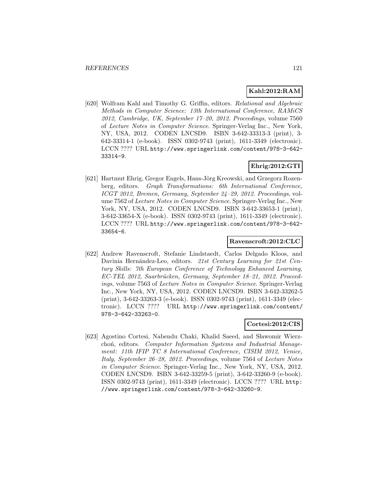# **Kahl:2012:RAM**

[620] Wolfram Kahl and Timothy G. Griffin, editors. Relational and Algebraic Methods in Computer Science: 13th International Conference, RAMiCS 2012, Cambridge, UK, September 17–20, 2012. Proceedings, volume 7560 of Lecture Notes in Computer Science. Springer-Verlag Inc., New York, NY, USA, 2012. CODEN LNCSD9. ISBN 3-642-33313-3 (print), 3- 642-33314-1 (e-book). ISSN 0302-9743 (print), 1611-3349 (electronic). LCCN ???? URL http://www.springerlink.com/content/978-3-642- 33314-9.

# **Ehrig:2012:GTI**

[621] Hartmut Ehrig, Gregor Engels, Hans-Jörg Kreowski, and Grzegorz Rozenberg, editors. Graph Transformations: 6th International Conference, ICGT 2012, Bremen, Germany, September 24–29, 2012. Proceedings, volume 7562 of Lecture Notes in Computer Science. Springer-Verlag Inc., New York, NY, USA, 2012. CODEN LNCSD9. ISBN 3-642-33653-1 (print), 3-642-33654-X (e-book). ISSN 0302-9743 (print), 1611-3349 (electronic). LCCN ???? URL http://www.springerlink.com/content/978-3-642- 33654-6.

# **Ravenscroft:2012:CLC**

[622] Andrew Ravenscroft, Stefanie Lindstaedt, Carlos Delgado Kloos, and Davinia Hernández-Leo, editors. 21st Century Learning for 21st Century Skills: 7th European Conference of Technology Enhanced Learning, EC-TEL 2012, Saarbrücken, Germany, September 18−21, 2012. Proceedings, volume 7563 of Lecture Notes in Computer Science. Springer-Verlag Inc., New York, NY, USA, 2012. CODEN LNCSD9. ISBN 3-642-33262-5 (print), 3-642-33263-3 (e-book). ISSN 0302-9743 (print), 1611-3349 (electronic). LCCN ???? URL http://www.springerlink.com/content/ 978-3-642-33263-0.

# **Cortesi:2012:CIS**

[623] Agostino Cortesi, Nabendu Chaki, Khalid Saeed, and Sławomir Wierzchoń, editors. Computer Information Systems and Industrial Management: 11th IFIP TC 8 International Conference, CISIM 2012, Venice, Italy, September 26–28, 2012. Proceedings, volume 7564 of Lecture Notes in Computer Science. Springer-Verlag Inc., New York, NY, USA, 2012. CODEN LNCSD9. ISBN 3-642-33259-5 (print), 3-642-33260-9 (e-book). ISSN 0302-9743 (print), 1611-3349 (electronic). LCCN ???? URL http: //www.springerlink.com/content/978-3-642-33260-9.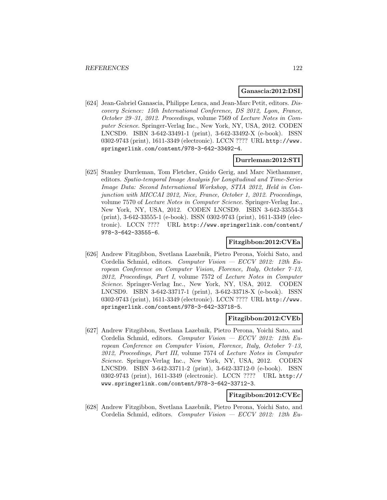#### **Ganascia:2012:DSI**

[624] Jean-Gabriel Ganascia, Philippe Lenca, and Jean-Marc Petit, editors. Discovery Science: 15th International Conference, DS 2012, Lyon, France, October 29–31, 2012. Proceedings, volume 7569 of Lecture Notes in Computer Science. Springer-Verlag Inc., New York, NY, USA, 2012. CODEN LNCSD9. ISBN 3-642-33491-1 (print), 3-642-33492-X (e-book). ISSN 0302-9743 (print), 1611-3349 (electronic). LCCN ???? URL http://www. springerlink.com/content/978-3-642-33492-4.

#### **Durrleman:2012:STI**

[625] Stanley Durrleman, Tom Fletcher, Guido Gerig, and Marc Niethammer, editors. Spatio-temporal Image Analysis for Longitudinal and Time-Series Image Data: Second International Workshop, STIA 2012, Held in Conjunction with MICCAI 2012, Nice, France, October 1, 2012. Proceedings, volume 7570 of Lecture Notes in Computer Science. Springer-Verlag Inc., New York, NY, USA, 2012. CODEN LNCSD9. ISBN 3-642-33554-3 (print), 3-642-33555-1 (e-book). ISSN 0302-9743 (print), 1611-3349 (electronic). LCCN ???? URL http://www.springerlink.com/content/ 978-3-642-33555-6.

### **Fitzgibbon:2012:CVEa**

[626] Andrew Fitzgibbon, Svetlana Lazebnik, Pietro Perona, Yoichi Sato, and Cordelia Schmid, editors. Computer Vision — ECCV 2012: 12th European Conference on Computer Vision, Florence, Italy, October 7–13, 2012, Proceedings, Part I, volume 7572 of Lecture Notes in Computer Science. Springer-Verlag Inc., New York, NY, USA, 2012. CODEN LNCSD9. ISBN 3-642-33717-1 (print), 3-642-33718-X (e-book). ISSN 0302-9743 (print), 1611-3349 (electronic). LCCN ???? URL http://www. springerlink.com/content/978-3-642-33718-5.

#### **Fitzgibbon:2012:CVEb**

[627] Andrew Fitzgibbon, Svetlana Lazebnik, Pietro Perona, Yoichi Sato, and Cordelia Schmid, editors. Computer Vision — ECCV 2012: 12th European Conference on Computer Vision, Florence, Italy, October 7–13, 2012, Proceedings, Part III, volume 7574 of Lecture Notes in Computer Science. Springer-Verlag Inc., New York, NY, USA, 2012. CODEN LNCSD9. ISBN 3-642-33711-2 (print), 3-642-33712-0 (e-book). ISSN 0302-9743 (print), 1611-3349 (electronic). LCCN ???? URL http:// www.springerlink.com/content/978-3-642-33712-3.

# **Fitzgibbon:2012:CVEc**

[628] Andrew Fitzgibbon, Svetlana Lazebnik, Pietro Perona, Yoichi Sato, and Cordelia Schmid, editors. Computer Vision — ECCV 2012: 12th Eu-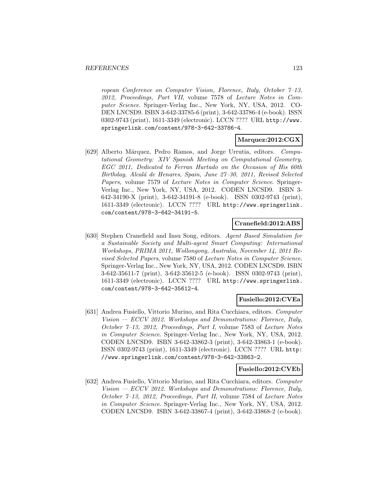ropean Conference on Computer Vision, Florence, Italy, October 7–13, 2012, Proceedings, Part VII, volume 7578 of Lecture Notes in Computer Science. Springer-Verlag Inc., New York, NY, USA, 2012. CO-DEN LNCSD9. ISBN 3-642-33785-6 (print), 3-642-33786-4 (e-book). ISSN 0302-9743 (print), 1611-3349 (electronic). LCCN ???? URL http://www. springerlink.com/content/978-3-642-33786-4.

### **Marquez:2012:CGX**

[629] Alberto Márquez, Pedro Ramos, and Jorge Urrutia, editors. Computational Geometry: XIV Spanish Meeting on Computational Geometry, EGC 2011, Dedicated to Ferran Hurtado on the Occasion of His 60th Birthday, Alcalá de Henares, Spain, June 27–30, 2011, Revised Selected Papers, volume 7579 of Lecture Notes in Computer Science. Springer-Verlag Inc., New York, NY, USA, 2012. CODEN LNCSD9. ISBN 3- 642-34190-X (print), 3-642-34191-8 (e-book). ISSN 0302-9743 (print), 1611-3349 (electronic). LCCN ???? URL http://www.springerlink. com/content/978-3-642-34191-5.

#### **Cranefield:2012:ABS**

[630] Stephen Cranefield and Insu Song, editors. Agent Based Simulation for a Sustainable Society and Multi-agent Smart Computing: International Workshops, PRIMA 2011, Wollongong, Australia, November 14, 2011 Revised Selected Papers, volume 7580 of Lecture Notes in Computer Science. Springer-Verlag Inc., New York, NY, USA, 2012. CODEN LNCSD9. ISBN 3-642-35611-7 (print), 3-642-35612-5 (e-book). ISSN 0302-9743 (print), 1611-3349 (electronic). LCCN ???? URL http://www.springerlink. com/content/978-3-642-35612-4.

# **Fusiello:2012:CVEa**

[631] Andrea Fusiello, Vittorio Murino, and Rita Cucchiara, editors. Computer  $Vision - ECCV 2012$ . Workshops and Demonstrations: Florence, Italy, October 7–13, 2012, Proceedings, Part I, volume 7583 of Lecture Notes in Computer Science. Springer-Verlag Inc., New York, NY, USA, 2012. CODEN LNCSD9. ISBN 3-642-33862-3 (print), 3-642-33863-1 (e-book). ISSN 0302-9743 (print), 1611-3349 (electronic). LCCN ???? URL http: //www.springerlink.com/content/978-3-642-33863-2.

#### **Fusiello:2012:CVEb**

[632] Andrea Fusiello, Vittorio Murino, and Rita Cucchiara, editors. Computer Vision  $-$  ECCV 2012. Workshops and Demonstrations: Florence, Italy, October 7–13, 2012, Proceedings, Part II, volume 7584 of Lecture Notes in Computer Science. Springer-Verlag Inc., New York, NY, USA, 2012. CODEN LNCSD9. ISBN 3-642-33867-4 (print), 3-642-33868-2 (e-book).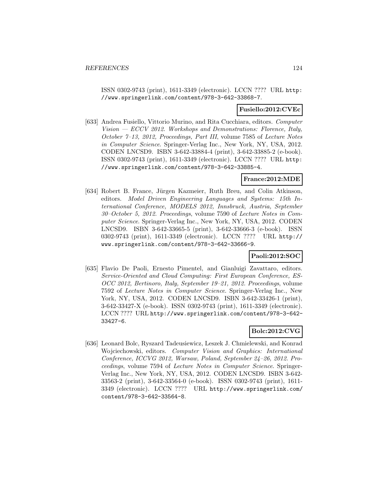ISSN 0302-9743 (print), 1611-3349 (electronic). LCCN ???? URL http: //www.springerlink.com/content/978-3-642-33868-7.

#### **Fusiello:2012:CVEc**

[633] Andrea Fusiello, Vittorio Murino, and Rita Cucchiara, editors. Computer Vision — ECCV 2012. Workshops and Demonstrations: Florence, Italy, October 7–13, 2012, Proceedings, Part III, volume 7585 of Lecture Notes in Computer Science. Springer-Verlag Inc., New York, NY, USA, 2012. CODEN LNCSD9. ISBN 3-642-33884-4 (print), 3-642-33885-2 (e-book). ISSN 0302-9743 (print), 1611-3349 (electronic). LCCN ???? URL http: //www.springerlink.com/content/978-3-642-33885-4.

### **France:2012:MDE**

[634] Robert B. France, Jürgen Kazmeier, Ruth Breu, and Colin Atkinson, editors. Model Driven Engineering Languages and Systems: 15th International Conference, MODELS 2012, Innsbruck, Austria, September 30–October 5, 2012. Proceedings, volume 7590 of Lecture Notes in Computer Science. Springer-Verlag Inc., New York, NY, USA, 2012. CODEN LNCSD9. ISBN 3-642-33665-5 (print), 3-642-33666-3 (e-book). ISSN 0302-9743 (print), 1611-3349 (electronic). LCCN ???? URL http:// www.springerlink.com/content/978-3-642-33666-9.

# **Paoli:2012:SOC**

[635] Flavio De Paoli, Ernesto Pimentel, and Gianluigi Zavattaro, editors. Service-Oriented and Cloud Computing: First European Conference, ES-OCC 2012, Bertinoro, Italy, September 19–21, 2012. Proceedings, volume 7592 of Lecture Notes in Computer Science. Springer-Verlag Inc., New York, NY, USA, 2012. CODEN LNCSD9. ISBN 3-642-33426-1 (print), 3-642-33427-X (e-book). ISSN 0302-9743 (print), 1611-3349 (electronic). LCCN ???? URL http://www.springerlink.com/content/978-3-642- 33427-6.

#### **Bolc:2012:CVG**

[636] Leonard Bolc, Ryszard Tadeusiewicz, Leszek J. Chmielewski, and Konrad Wojciechowski, editors. Computer Vision and Graphics: International Conference, ICCVG 2012, Warsaw, Poland, September 24–26, 2012. Proceedings, volume 7594 of Lecture Notes in Computer Science. Springer-Verlag Inc., New York, NY, USA, 2012. CODEN LNCSD9. ISBN 3-642- 33563-2 (print), 3-642-33564-0 (e-book). ISSN 0302-9743 (print), 1611- 3349 (electronic). LCCN ???? URL http://www.springerlink.com/ content/978-3-642-33564-8.